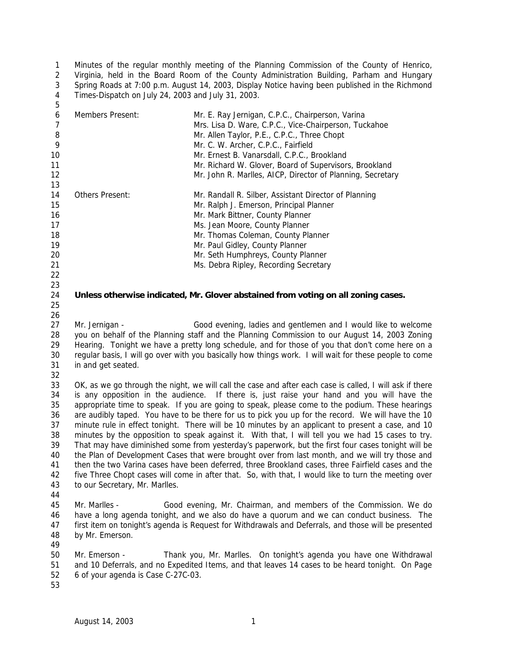Minutes of the regular monthly meeting of the Planning Commission of the County of Henrico, Virginia, held in the Board Room of the County Administration Building, Parham and Hungary Spring Roads at 7:00 p.m. August 14, 2003, Display Notice having been published in the Richmond Times-Dispatch on July 24, 2003 and July 31, 2003. 

| 6<br>$\overline{7}$<br>8<br>9<br>10 | Members Present:                                                                                       | Mr. E. Ray Jernigan, C.P.C., Chairperson, Varina<br>Mrs. Lisa D. Ware, C.P.C., Vice-Chairperson, Tuckahoe<br>Mr. Allen Taylor, P.E., C.P.C., Three Chopt<br>Mr. C. W. Archer, C.P.C., Fairfield<br>Mr. Ernest B. Vanarsdall, C.P.C., Brookland |  |
|-------------------------------------|--------------------------------------------------------------------------------------------------------|------------------------------------------------------------------------------------------------------------------------------------------------------------------------------------------------------------------------------------------------|--|
| 11<br>12                            |                                                                                                        | Mr. Richard W. Glover, Board of Supervisors, Brookland<br>Mr. John R. Marlles, AICP, Director of Planning, Secretary                                                                                                                           |  |
| 13                                  |                                                                                                        |                                                                                                                                                                                                                                                |  |
| 14                                  | <b>Others Present:</b>                                                                                 | Mr. Randall R. Silber, Assistant Director of Planning                                                                                                                                                                                          |  |
| 15                                  |                                                                                                        | Mr. Ralph J. Emerson, Principal Planner                                                                                                                                                                                                        |  |
| 16                                  |                                                                                                        | Mr. Mark Bittner, County Planner                                                                                                                                                                                                               |  |
| 17                                  |                                                                                                        | Ms. Jean Moore, County Planner                                                                                                                                                                                                                 |  |
| 18                                  |                                                                                                        | Mr. Thomas Coleman, County Planner                                                                                                                                                                                                             |  |
| 19                                  |                                                                                                        | Mr. Paul Gidley, County Planner                                                                                                                                                                                                                |  |
| 20                                  |                                                                                                        | Mr. Seth Humphreys, County Planner                                                                                                                                                                                                             |  |
| 21                                  |                                                                                                        | Ms. Debra Ripley, Recording Secretary                                                                                                                                                                                                          |  |
| 22                                  |                                                                                                        |                                                                                                                                                                                                                                                |  |
| 23                                  |                                                                                                        |                                                                                                                                                                                                                                                |  |
| 24                                  |                                                                                                        | Unless otherwise indicated, Mr. Glover abstained from voting on all zoning cases.                                                                                                                                                              |  |
| 25                                  |                                                                                                        |                                                                                                                                                                                                                                                |  |
| 26                                  |                                                                                                        |                                                                                                                                                                                                                                                |  |
| 27                                  | Mr. Jernigan -                                                                                         | Good evening, ladies and gentlemen and I would like to welcome                                                                                                                                                                                 |  |
| 28                                  |                                                                                                        | you on behalf of the Planning staff and the Planning Commission to our August 14, 2003 Zoning                                                                                                                                                  |  |
| 29                                  | Hearing. Tonight we have a pretty long schedule, and for those of you that don't come here on a        |                                                                                                                                                                                                                                                |  |
| 30                                  | regular basis, I will go over with you basically how things work. I will wait for these people to come |                                                                                                                                                                                                                                                |  |
| 31                                  | in and get seated.                                                                                     |                                                                                                                                                                                                                                                |  |
| 32                                  |                                                                                                        |                                                                                                                                                                                                                                                |  |
| 33                                  |                                                                                                        | OK, as we go through the night, we will call the case and after each case is called, I will ask if there                                                                                                                                       |  |
| 34                                  | is any opposition in the audience. If there is, just raise your hand and you will have the             |                                                                                                                                                                                                                                                |  |
| 35                                  | appropriate time to speak. If you are going to speak, please come to the podium. These hearings        |                                                                                                                                                                                                                                                |  |

 is any opposition in the audience. If there is, just raise your hand and you will have the appropriate time to speak. If you are going to speak, please come to the podium. These hearings are audibly taped. You have to be there for us to pick you up for the record. We will have the 10 minute rule in effect tonight. There will be 10 minutes by an applicant to present a case, and 10 minutes by the opposition to speak against it. With that, I will tell you we had 15 cases to try. That may have diminished some from yesterday's paperwork, but the first four cases tonight will be the Plan of Development Cases that were brought over from last month, and we will try those and then the two Varina cases have been deferred, three Brookland cases, three Fairfield cases and the five Three Chopt cases will come in after that. So, with that, I would like to turn the meeting over to our Secretary, Mr. Marlles.

- 
- Mr. Marlles Good evening, Mr. Chairman, and members of the Commission. We do have a long agenda tonight, and we also do have a quorum and we can conduct business. The first item on tonight's agenda is Request for Withdrawals and Deferrals, and those will be presented by Mr. Emerson.

 Mr. Emerson - Thank you, Mr. Marlles. On tonight's agenda you have one Withdrawal and 10 Deferrals, and no Expedited Items, and that leaves 14 cases to be heard tonight. On Page 6 of your agenda is Case C-27C-03.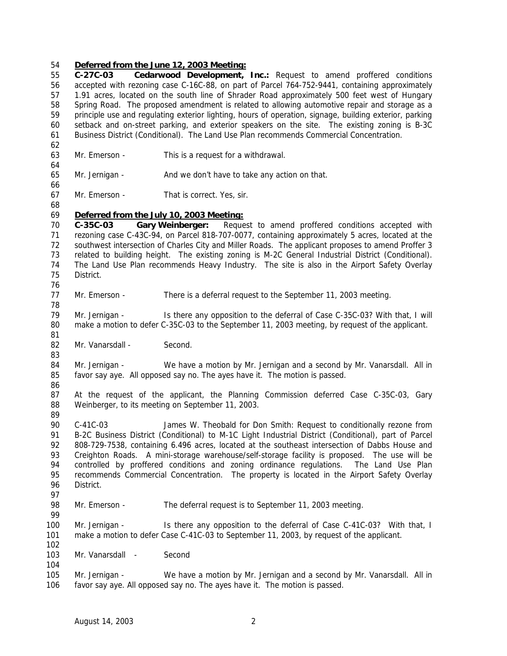#### *Deferred from the June 12, 2003 Meeting:*

 **C-27C-03 Cedarwood Development, Inc.:** Request to amend proffered conditions accepted with rezoning case C-16C-88, on part of Parcel 764-752-9441, containing approximately 1.91 acres, located on the south line of Shrader Road approximately 500 feet west of Hungary Spring Road. The proposed amendment is related to allowing automotive repair and storage as a principle use and regulating exterior lighting, hours of operation, signage, building exterior, parking setback and on-street parking, and exterior speakers on the site. The existing zoning is B-3C Business District (Conditional). The Land Use Plan recommends Commercial Concentration. Mr. Emerson - This is a request for a withdrawal. Mr. Jernigan - And we don't have to take any action on that. Mr. Emerson - That is correct. Yes, sir. *Deferred from the July 10, 2003 Meeting:* **C-35C-03 Gary Weinberger:** Request to amend proffered conditions accepted with rezoning case C-43C-94, on Parcel 818-707-0077, containing approximately 5 acres, located at the southwest intersection of Charles City and Miller Roads. The applicant proposes to amend Proffer 3 related to building height. The existing zoning is M-2C General Industrial District (Conditional). The Land Use Plan recommends Heavy Industry. The site is also in the Airport Safety Overlay District. Mr. Emerson - There is a deferral request to the September 11, 2003 meeting. Mr. Jernigan - Is there any opposition to the deferral of Case C-35C-03? With that, I will make a motion to defer C-35C-03 to the September 11, 2003 meeting, by request of the applicant. 82 Mr. Vanarsdall - Second. Mr. Jernigan - We have a motion by Mr. Jernigan and a second by Mr. Vanarsdall. All in favor say aye. All opposed say no. The ayes have it. The motion is passed. At the request of the applicant, the Planning Commission deferred Case C-35C-03, Gary Weinberger, to its meeting on September 11, 2003. C-41C-03 James W. Theobald for Don Smith: Request to conditionally rezone from B-2C Business District (Conditional) to M-1C Light Industrial District (Conditional), part of Parcel 808-729-7538, containing 6.496 acres, located at the southeast intersection of Dabbs House and 93 Creighton Roads. A mini-storage warehouse/self-storage facility is proposed. The use will be controlled by proffered conditions and zoning ordinance regulations. The Land Use Plan recommends Commercial Concentration. The property is located in the Airport Safety Overlay District. 98 Mr. Emerson - The deferral request is to September 11, 2003 meeting. Mr. Jernigan - Is there any opposition to the deferral of Case C-41C-03? With that, I make a motion to defer Case C-41C-03 to September 11, 2003, by request of the applicant. 103 Mr. Vanarsdall - Second Mr. Jernigan - We have a motion by Mr. Jernigan and a second by Mr. Vanarsdall. All in favor say aye. All opposed say no. The ayes have it. The motion is passed.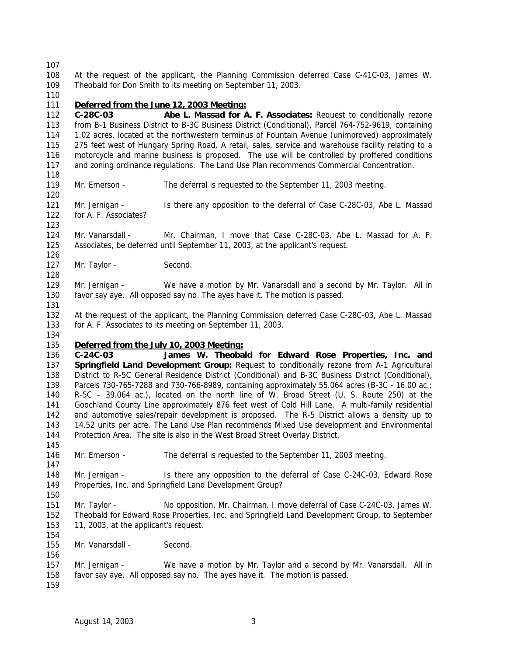At the request of the applicant, the Planning Commission deferred Case C-41C-03, James W. Theobald for Don Smith to its meeting on September 11, 2003.

## *Deferred from the June 12, 2003 Meeting:*

 **C-28C-03 Abe L. Massad for A. F. Associates:** Request to conditionally rezone from B-1 Business District to B-3C Business District (Conditional), Parcel 764-752-9619, containing 1.02 acres, located at the northwestern terminus of Fountain Avenue (unimproved) approximately 275 feet west of Hungary Spring Road. A retail, sales, service and warehouse facility relating to a motorcycle and marine business is proposed. The use will be controlled by proffered conditions and zoning ordinance regulations. The Land Use Plan recommends Commercial Concentration.

- Mr. Emerson The deferral is requested to the September 11, 2003 meeting.
- Mr. Jernigan Is there any opposition to the deferral of Case C-28C-03, Abe L. Massad for A. F. Associates?

 Mr. Vanarsdall - Mr. Chairman, I move that Case C-28C-03, Abe L. Massad for A. F. Associates, be deferred until September 11, 2003, at the applicant's request.

127 Mr. Taylor - Second.

 Mr. Jernigan - We have a motion by Mr. Vanarsdall and a second by Mr. Taylor. All in favor say aye. All opposed say no. The ayes have it. The motion is passed.

 At the request of the applicant, the Planning Commission deferred Case C-28C-03, Abe L. Massad for A. F. Associates to its meeting on September 11, 2003.

### *Deferred from the July 10, 2003 Meeting:*

 **C-24C-03 James W. Theobald for Edward Rose Properties, Inc. and Springfield Land Development Group:** Request to conditionally rezone from A-1 Agricultural District to R-5C General Residence District (Conditional) and B-3C Business District (Conditional), Parcels 730-765-7288 and 730-766-8989, containing approximately 55.064 acres (B-3C - 16.00 ac.; R-5C – 39.064 ac.), located on the north line of W. Broad Street (U. S. Route 250) at the Goochland County Line approximately 876 feet west of Cold Hill Lane. A multi-family residential and automotive sales/repair development is proposed. The R-5 District allows a density up to 14.52 units per acre. The Land Use Plan recommends Mixed Use development and Environmental Protection Area. The site is also in the West Broad Street Overlay District.

Mr. Emerson - The deferral is requested to the September 11, 2003 meeting.

 Mr. Jernigan - Is there any opposition to the deferral of Case C-24C-03, Edward Rose Properties, Inc. and Springfield Land Development Group?

 Mr. Taylor - No opposition, Mr. Chairman. I move deferral of Case C-24C-03, James W. Theobald for Edward Rose Properties, Inc. and Springfield Land Development Group, to September 11, 2003, at the applicant's request.

Mr. Vanarsdall - Second.

 Mr. Jernigan - We have a motion by Mr. Taylor and a second by Mr. Vanarsdall. All in favor say aye. All opposed say no. The ayes have it. The motion is passed.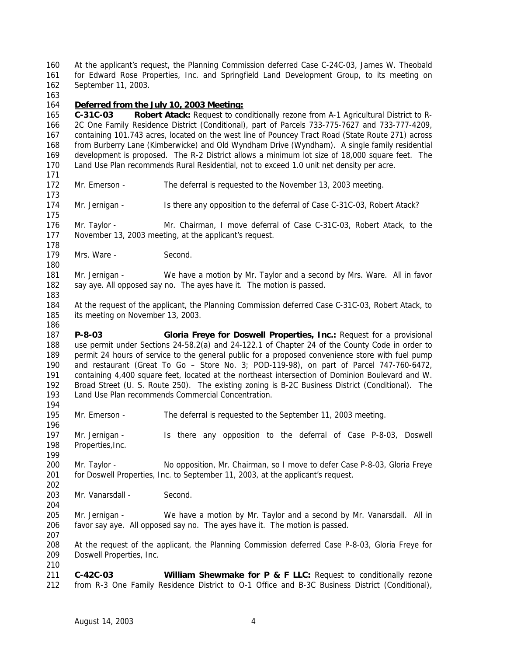At the applicant's request, the Planning Commission deferred Case C-24C-03, James W. Theobald for Edward Rose Properties, Inc. and Springfield Land Development Group, to its meeting on September 11, 2003.

# *Deferred from the July 10, 2003 Meeting:*

 **C-31C-03 Robert Atack:** Request to conditionally rezone from A-1 Agricultural District to R- 2C One Family Residence District (Conditional), part of Parcels 733-775-7627 and 733-777-4209, containing 101.743 acres, located on the west line of Pouncey Tract Road (State Route 271) across from Burberry Lane (Kimberwicke) and Old Wyndham Drive (Wyndham). A single family residential development is proposed. The R-2 District allows a minimum lot size of 18,000 square feet. The Land Use Plan recommends Rural Residential, not to exceed 1.0 unit net density per acre. 

Mr. Emerson - The deferral is requested to the November 13, 2003 meeting.

174 Mr. Jernigan - Is there any opposition to the deferral of Case C-31C-03, Robert Atack?

 Mr. Taylor - Mr. Chairman, I move deferral of Case C-31C-03, Robert Atack, to the November 13, 2003 meeting, at the applicant's request.

179 Mrs. Ware - Second.

 Mr. Jernigan - We have a motion by Mr. Taylor and a second by Mrs. Ware. All in favor say aye. All opposed say no. The ayes have it. The motion is passed.

 At the request of the applicant, the Planning Commission deferred Case C-31C-03, Robert Atack, to its meeting on November 13, 2003.

 **P-8-03 Gloria Freye for Doswell Properties, Inc.:** Request for a provisional use permit under Sections 24-58.2(a) and 24-122.1 of Chapter 24 of the County Code in order to 189 permit 24 hours of service to the general public for a proposed convenience store with fuel pump and restaurant (Great To Go – Store No. 3; POD-119-98), on part of Parcel 747-760-6472, containing 4,400 square feet, located at the northeast intersection of Dominion Boulevard and W. Broad Street (U. S. Route 250). The existing zoning is B-2C Business District (Conditional). The Land Use Plan recommends Commercial Concentration.

Mr. Emerson - The deferral is requested to the September 11, 2003 meeting.

 Mr. Jernigan - Is there any opposition to the deferral of Case P-8-03, Doswell Properties,Inc.

200 Mr. Taylor - No opposition, Mr. Chairman, so I move to defer Case P-8-03, Gloria Freye for Doswell Properties, Inc. to September 11, 2003, at the applicant's request. 

203 Mr. Vanarsdall - Second.

205 Mr. Jernigan - We have a motion by Mr. Taylor and a second by Mr. Vanarsdall. All in favor say aye. All opposed say no. The ayes have it. The motion is passed.

 At the request of the applicant, the Planning Commission deferred Case P-8-03, Gloria Freye for Doswell Properties, Inc.

 **C-42C-03 William Shewmake for P & F LLC:** Request to conditionally rezone from R-3 One Family Residence District to O-1 Office and B-3C Business District (Conditional),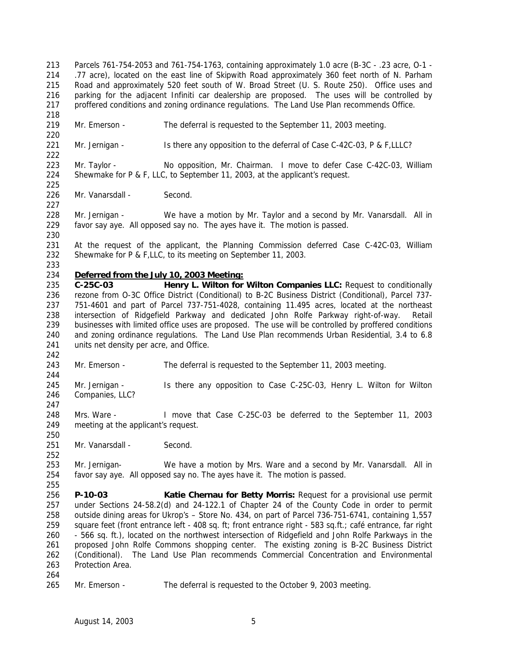Parcels 761-754-2053 and 761-754-1763, containing approximately 1.0 acre (B-3C - .23 acre, O-1 - .77 acre), located on the east line of Skipwith Road approximately 360 feet north of N. Parham Road and approximately 520 feet south of W. Broad Street (U. S. Route 250). Office uses and parking for the adjacent Infiniti car dealership are proposed. The uses will be controlled by 217 proffered conditions and zoning ordinance regulations. The Land Use Plan recommends Office. 

 Mr. Emerson - The deferral is requested to the September 11, 2003 meeting. 

221 Mr. Jernigan - Is there any opposition to the deferral of Case C-42C-03, P & F,LLLC?

 Mr. Taylor - No opposition, Mr. Chairman. I move to defer Case C-42C-03, William Shewmake for P & F, LLC, to September 11, 2003, at the applicant's request.

226 Mr. Vanarsdall - Second.

 Mr. Jernigan - We have a motion by Mr. Taylor and a second by Mr. Vanarsdall. All in favor say aye. All opposed say no. The ayes have it. The motion is passed.

 At the request of the applicant, the Planning Commission deferred Case C-42C-03, William Shewmake for P & F,LLC, to its meeting on September 11, 2003.

## *Deferred from the July 10, 2003 Meeting:*

 **C-25C-03 Henry L. Wilton for Wilton Companies LLC:** Request to conditionally rezone from O-3C Office District (Conditional) to B-2C Business District (Conditional), Parcel 737- 751-4601 and part of Parcel 737-751-4028, containing 11.495 acres, located at the northeast intersection of Ridgefield Parkway and dedicated John Rolfe Parkway right-of-way. Retail businesses with limited office uses are proposed. The use will be controlled by proffered conditions and zoning ordinance regulations. The Land Use Plan recommends Urban Residential, 3.4 to 6.8 241 units net density per acre, and Office.

Mr. Emerson - The deferral is requested to the September 11, 2003 meeting.

 Mr. Jernigan - Is there any opposition to Case C-25C-03, Henry L. Wilton for Wilton Companies, LLC?

 Mrs. Ware - I move that Case C-25C-03 be deferred to the September 11, 2003 meeting at the applicant's request.

251 Mr. Vanarsdall - Second.

 Mr. Jernigan- We have a motion by Mrs. Ware and a second by Mr. Vanarsdall. All in favor say aye. All opposed say no. The ayes have it. The motion is passed.

 **P-10-03 Katie Chernau for Betty Morris:** Request for a provisional use permit under Sections 24-58.2(d) and 24-122.1 of Chapter 24 of the County Code in order to permit outside dining areas for Ukrop's – Store No. 434, on part of Parcel 736-751-6741, containing 1,557 square feet (front entrance left - 408 sq. ft; front entrance right - 583 sq.ft.; café entrance, far right - 566 sq. ft.), located on the northwest intersection of Ridgefield and John Rolfe Parkways in the proposed John Rolfe Commons shopping center. The existing zoning is B-2C Business District (Conditional). The Land Use Plan recommends Commercial Concentration and Environmental Protection Area.

Mr. Emerson - The deferral is requested to the October 9, 2003 meeting.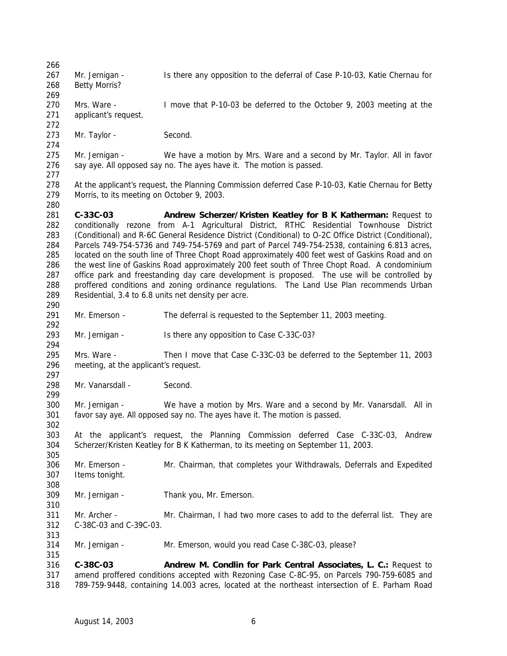267 Mr. Jernigan - Is there any opposition to the deferral of Case P-10-03, Katie Chernau for Betty Morris? Mrs. Ware - I move that P-10-03 be deferred to the October 9, 2003 meeting at the applicant's request. 273 Mr. Taylor - Second. Mr. Jernigan - We have a motion by Mrs. Ware and a second by Mr. Taylor. All in favor say aye. All opposed say no. The ayes have it. The motion is passed. At the applicant's request, the Planning Commission deferred Case P-10-03, Katie Chernau for Betty Morris, to its meeting on October 9, 2003. **C-33C-03 Andrew Scherzer/Kristen Keatley for B K Katherman:** Request to conditionally rezone from A-1 Agricultural District, RTHC Residential Townhouse District (Conditional) and R-6C General Residence District (Conditional) to O-2C Office District (Conditional), Parcels 749-754-5736 and 749-754-5769 and part of Parcel 749-754-2538, containing 6.813 acres, 285 located on the south line of Three Chopt Road approximately 400 feet west of Gaskins Road and on the west line of Gaskins Road approximately 200 feet south of Three Chopt Road. A condominium office park and freestanding day care development is proposed. The use will be controlled by proffered conditions and zoning ordinance regulations. The Land Use Plan recommends Urban Residential, 3.4 to 6.8 units net density per acre. Mr. Emerson - The deferral is requested to the September 11, 2003 meeting. Mr. Jernigan - Is there any opposition to Case C-33C-03? Mrs. Ware - Then I move that Case C-33C-03 be deferred to the September 11, 2003 meeting, at the applicant's request. 298 Mr. Vanarsdall - Second. Mr. Jernigan - We have a motion by Mrs. Ware and a second by Mr. Vanarsdall. All in favor say aye. All opposed say no. The ayes have it. The motion is passed. At the applicant's request, the Planning Commission deferred Case C-33C-03, Andrew Scherzer/Kristen Keatley for B K Katherman, to its meeting on September 11, 2003. Mr. Emerson - Mr. Chairman, that completes your Withdrawals, Deferrals and Expedited Items tonight. Mr. Jernigan - Thank you, Mr. Emerson. 311 Mr. Archer - Mr. Chairman, I had two more cases to add to the deferral list. They are C-38C-03 and C-39C-03. Mr. Jernigan - Mr. Emerson, would you read Case C-38C-03, please? **C-38C-03 Andrew M. Condlin for Park Central Associates, L. C.:** Request to amend proffered conditions accepted with Rezoning Case C-8C-95, on Parcels 790-759-6085 and 789-759-9448, containing 14.003 acres, located at the northeast intersection of E. Parham Road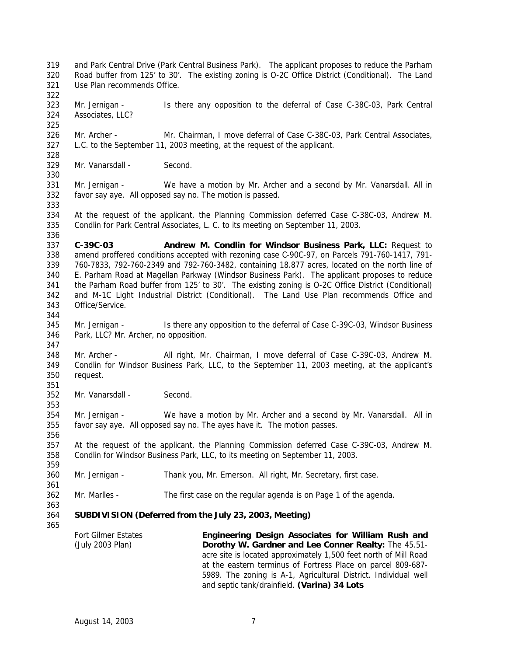Use Plan recommends Office. Mr. Jernigan - Is there any opposition to the deferral of Case C-38C-03, Park Central Associates, LLC? Mr. Archer - Mr. Chairman, I move deferral of Case C-38C-03, Park Central Associates, L.C. to the September 11, 2003 meeting, at the request of the applicant. Mr. Vanarsdall - Second. Mr. Jernigan - We have a motion by Mr. Archer and a second by Mr. Vanarsdall. All in favor say aye. All opposed say no. The motion is passed. At the request of the applicant, the Planning Commission deferred Case C-38C-03, Andrew M. Condlin for Park Central Associates, L. C. to its meeting on September 11, 2003. **C-39C-03 Andrew M. Condlin for Windsor Business Park, LLC:** Request to amend proffered conditions accepted with rezoning case C-90C-97, on Parcels 791-760-1417, 791- 760-7833, 792-760-2349 and 792-760-3482, containing 18.877 acres, located on the north line of E. Parham Road at Magellan Parkway (Windsor Business Park). The applicant proposes to reduce the Parham Road buffer from 125' to 30'. The existing zoning is O-2C Office District (Conditional) and M-1C Light Industrial District (Conditional). The Land Use Plan recommends Office and Office/Service. Mr. Jernigan - Is there any opposition to the deferral of Case C-39C-03, Windsor Business Park, LLC? Mr. Archer, no opposition. 348 Mr. Archer - All right, Mr. Chairman, I move deferral of Case C-39C-03, Andrew M. Condlin for Windsor Business Park, LLC, to the September 11, 2003 meeting, at the applicant's request. 

 and Park Central Drive (Park Central Business Park). The applicant proposes to reduce the Parham Road buffer from 125' to 30'. The existing zoning is O-2C Office District (Conditional). The Land

Mr. Vanarsdall - Second.

 Mr. Jernigan - We have a motion by Mr. Archer and a second by Mr. Vanarsdall. All in favor say aye. All opposed say no. The ayes have it. The motion passes.

 At the request of the applicant, the Planning Commission deferred Case C-39C-03, Andrew M. Condlin for Windsor Business Park, LLC, to its meeting on September 11, 2003.

Mr. Jernigan - Thank you, Mr. Emerson. All right, Mr. Secretary, first case.

- Mr. Marlles The first case on the regular agenda is on Page 1 of the agenda.
- 

## **SUBDIVISION (Deferred from the July 23, 2003, Meeting)**

Fort Gilmer Estates (July 2003 Plan) **Engineering Design Associates for William Rush and Dorothy W. Gardner and Lee Conner Realty:** The 45.51 acre site is located approximately 1,500 feet north of Mill Road at the eastern terminus of Fortress Place on parcel 809-687- 5989. The zoning is A-1, Agricultural District. Individual well and septic tank/drainfield. **(Varina) 34 Lots**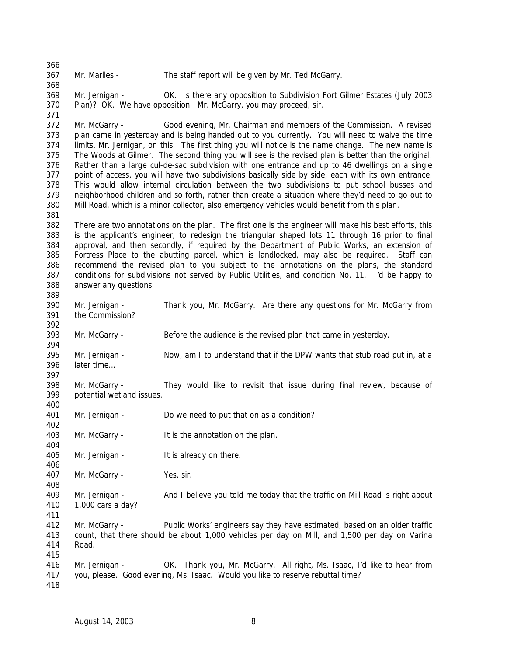Mr. Marlles - The staff report will be given by Mr. Ted McGarry.

 Mr. Jernigan - OK. Is there any opposition to Subdivision Fort Gilmer Estates (July 2003 Plan)? OK. We have opposition. Mr. McGarry, you may proceed, sir.

 Mr. McGarry - Good evening, Mr. Chairman and members of the Commission. A revised plan came in yesterday and is being handed out to you currently. You will need to waive the time limits, Mr. Jernigan, on this. The first thing you will notice is the name change. The new name is The Woods at Gilmer. The second thing you will see is the revised plan is better than the original. Rather than a large cul-de-sac subdivision with one entrance and up to 46 dwellings on a single point of access, you will have two subdivisions basically side by side, each with its own entrance. This would allow internal circulation between the two subdivisions to put school busses and neighborhood children and so forth, rather than create a situation where they'd need to go out to Mill Road, which is a minor collector, also emergency vehicles would benefit from this plan.

 There are two annotations on the plan. The first one is the engineer will make his best efforts, this is the applicant's engineer, to redesign the triangular shaped lots 11 through 16 prior to final approval, and then secondly, if required by the Department of Public Works, an extension of Fortress Place to the abutting parcel, which is landlocked, may also be required. Staff can recommend the revised plan to you subject to the annotations on the plans, the standard conditions for subdivisions not served by Public Utilities, and condition No. 11. I'd be happy to answer any questions.

- Mr. Jernigan Thank you, Mr. McGarry. Are there any questions for Mr. McGarry from the Commission? Mr. McGarry - Before the audience is the revised plan that came in yesterday.
- Mr. Jernigan - Now, am I to understand that if the DPW wants that stub road put in, at a later time…
- Mr. McGarry They would like to revisit that issue during final review, because of potential wetland issues.
- Mr. Jernigan Do we need to put that on as a condition?
- Mr. McGarry It is the annotation on the plan.
- 405 Mr. Jernigan It is already on there.

Mr. McGarry - Yes, sir.

 Mr. Jernigan - And I believe you told me today that the traffic on Mill Road is right about 1,000 cars a day? 

- Mr. McGarry Public Works' engineers say they have estimated, based on an older traffic count, that there should be about 1,000 vehicles per day on Mill, and 1,500 per day on Varina Road.
- Mr. Jernigan OK. Thank you, Mr. McGarry. All right, Ms. Isaac, I'd like to hear from you, please. Good evening, Ms. Isaac. Would you like to reserve rebuttal time?
-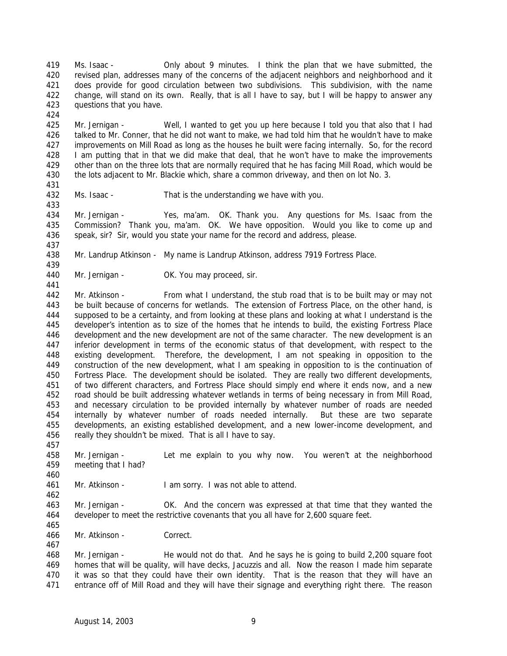Ms. Isaac - Only about 9 minutes. I think the plan that we have submitted, the revised plan, addresses many of the concerns of the adjacent neighbors and neighborhood and it does provide for good circulation between two subdivisions. This subdivision, with the name change, will stand on its own. Really, that is all I have to say, but I will be happy to answer any questions that you have. 

 Mr. Jernigan - Well, I wanted to get you up here because I told you that also that I had talked to Mr. Conner, that he did not want to make, we had told him that he wouldn't have to make improvements on Mill Road as long as the houses he built were facing internally. So, for the record I am putting that in that we did make that deal, that he won't have to make the improvements other than on the three lots that are normally required that he has facing Mill Road, which would be the lots adjacent to Mr. Blackie which, share a common driveway, and then on lot No. 3.

Ms. Isaac - That is the understanding we have with you.

 Mr. Jernigan - Yes, ma'am. OK. Thank you. Any questions for Ms. Isaac from the Commission? Thank you, ma'am. OK. We have opposition. Would you like to come up and speak, sir? Sir, would you state your name for the record and address, please.

Mr. Landrup Atkinson - My name is Landrup Atkinson, address 7919 Fortress Place.

440 Mr. Jernigan - OK. You may proceed, sir.

 Mr. Atkinson - From what I understand, the stub road that is to be built may or may not be built because of concerns for wetlands. The extension of Fortress Place, on the other hand, is supposed to be a certainty, and from looking at these plans and looking at what I understand is the developer's intention as to size of the homes that he intends to build, the existing Fortress Place development and the new development are not of the same character. The new development is an inferior development in terms of the economic status of that development, with respect to the existing development. Therefore, the development, I am not speaking in opposition to the construction of the new development, what I am speaking in opposition to is the continuation of Fortress Place. The development should be isolated. They are really two different developments, of two different characters, and Fortress Place should simply end where it ends now, and a new road should be built addressing whatever wetlands in terms of being necessary in from Mill Road, and necessary circulation to be provided internally by whatever number of roads are needed internally by whatever number of roads needed internally. But these are two separate developments, an existing established development, and a new lower-income development, and really they shouldn't be mixed. That is all I have to say.

 Mr. Jernigan - Let me explain to you why now. You weren't at the neighborhood meeting that I had?

Mr. Atkinson - I am sorry. I was not able to attend.

 Mr. Jernigan - OK. And the concern was expressed at that time that they wanted the developer to meet the restrictive covenants that you all have for 2,600 square feet.

Mr. Atkinson - Correct.

 Mr. Jernigan - He would not do that. And he says he is going to build 2,200 square foot homes that will be quality, will have decks, Jacuzzis and all. Now the reason I made him separate it was so that they could have their own identity. That is the reason that they will have an entrance off of Mill Road and they will have their signage and everything right there. The reason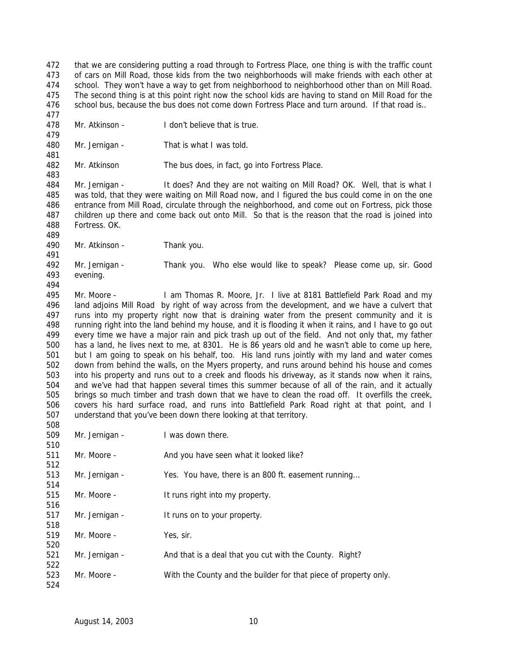that we are considering putting a road through to Fortress Place, one thing is with the traffic count of cars on Mill Road, those kids from the two neighborhoods will make friends with each other at school. They won't have a way to get from neighborhood to neighborhood other than on Mill Road. The second thing is at this point right now the school kids are having to stand on Mill Road for the 476 school bus, because the bus does not come down Fortress Place and turn around. If that road is..

- 
- Mr. Atkinson I don't believe that is true.
- 

480 Mr. Jernigan - That is what I was told.

Mr. Atkinson The bus does, in fact, go into Fortress Place.

 Mr. Jernigan - It does? And they are not waiting on Mill Road? OK. Well, that is what I was told, that they were waiting on Mill Road now, and I figured the bus could come in on the one entrance from Mill Road, circulate through the neighborhood, and come out on Fortress, pick those children up there and come back out onto Mill. So that is the reason that the road is joined into Fortress. OK.

Mr. Atkinson - Thank you.

 Mr. Jernigan - Thank you. Who else would like to speak? Please come up, sir. Good evening.

 Mr. Moore - I am Thomas R. Moore, Jr. I live at 8181 Battlefield Park Road and my land adjoins Mill Road by right of way across from the development, and we have a culvert that runs into my property right now that is draining water from the present community and it is running right into the land behind my house, and it is flooding it when it rains, and I have to go out every time we have a major rain and pick trash up out of the field. And not only that, my father has a land, he lives next to me, at 8301. He is 86 years old and he wasn't able to come up here, but I am going to speak on his behalf, too. His land runs jointly with my land and water comes down from behind the walls, on the Myers property, and runs around behind his house and comes into his property and runs out to a creek and floods his driveway, as it stands now when it rains, and we've had that happen several times this summer because of all of the rain, and it actually brings so much timber and trash down that we have to clean the road off. It overfills the creek, covers his hard surface road, and runs into Battlefield Park Road right at that point, and I understand that you've been down there looking at that territory. 

| υυσ |                |                                                                  |
|-----|----------------|------------------------------------------------------------------|
| 509 | Mr. Jernigan - | I was down there.                                                |
| 510 |                |                                                                  |
| 511 | Mr. Moore -    | And you have seen what it looked like?                           |
| 512 |                |                                                                  |
| 513 | Mr. Jernigan - | Yes. You have, there is an 800 ft. easement running              |
| 514 |                |                                                                  |
| 515 | Mr. Moore -    | It runs right into my property.                                  |
| 516 |                |                                                                  |
| 517 | Mr. Jernigan - | It runs on to your property.                                     |
| 518 |                |                                                                  |
| 519 | Mr. Moore -    | Yes, sir.                                                        |
| 520 |                |                                                                  |
| 521 | Mr. Jernigan - | And that is a deal that you cut with the County. Right?          |
| 522 |                |                                                                  |
| 523 | Mr. Moore -    | With the County and the builder for that piece of property only. |
| 524 |                |                                                                  |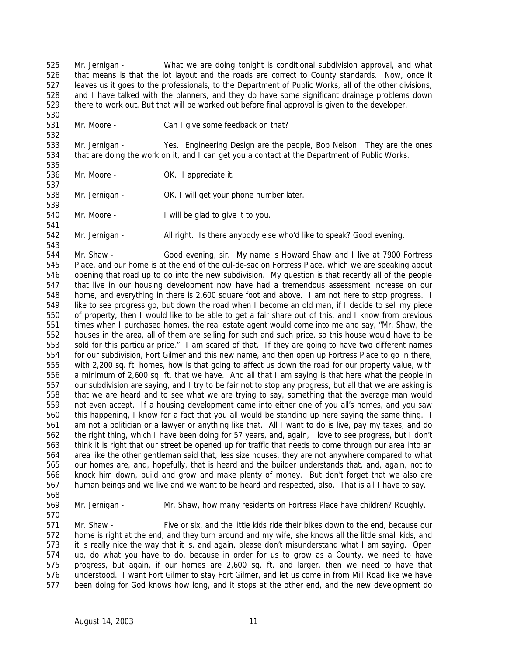Mr. Jernigan - What we are doing tonight is conditional subdivision approval, and what that means is that the lot layout and the roads are correct to County standards. Now, once it leaves us it goes to the professionals, to the Department of Public Works, all of the other divisions, and I have talked with the planners, and they do have some significant drainage problems down there to work out. But that will be worked out before final approval is given to the developer.

- 
- Mr. Moore Can I give some feedback on that?

 Mr. Jernigan - Yes. Engineering Design are the people, Bob Nelson. They are the ones that are doing the work on it, and I can get you a contact at the Department of Public Works.

 

Mr. Moore - OK. I appreciate it.

 Mr. Jernigan - OK. I will get your phone number later. 

Mr. Moore - I will be glad to give it to you.

Mr. Jernigan - All right. Is there anybody else who'd like to speak? Good evening.

543<br>544 Mr. Shaw - Good evening, sir. My name is Howard Shaw and I live at 7900 Fortress Place, and our home is at the end of the cul-de-sac on Fortress Place, which we are speaking about opening that road up to go into the new subdivision. My question is that recently all of the people that live in our housing development now have had a tremendous assessment increase on our home, and everything in there is 2,600 square foot and above. I am not here to stop progress. I like to see progress go, but down the road when I become an old man, if I decide to sell my piece of property, then I would like to be able to get a fair share out of this, and I know from previous times when I purchased homes, the real estate agent would come into me and say, "Mr. Shaw, the houses in the area, all of them are selling for such and such price, so this house would have to be sold for this particular price." I am scared of that. If they are going to have two different names for our subdivision, Fort Gilmer and this new name, and then open up Fortress Place to go in there, with 2,200 sq. ft. homes, how is that going to affect us down the road for our property value, with a minimum of 2,600 sq. ft. that we have. And all that I am saying is that here what the people in our subdivision are saying, and I try to be fair not to stop any progress, but all that we are asking is that we are heard and to see what we are trying to say, something that the average man would not even accept. If a housing development came into either one of you all's homes, and you saw this happening, I know for a fact that you all would be standing up here saying the same thing. I am not a politician or a lawyer or anything like that. All I want to do is live, pay my taxes, and do the right thing, which I have been doing for 57 years, and, again, I love to see progress, but I don't think it is right that our street be opened up for traffic that needs to come through our area into an area like the other gentleman said that, less size houses, they are not anywhere compared to what our homes are, and, hopefully, that is heard and the builder understands that, and, again, not to knock him down, build and grow and make plenty of money. But don't forget that we also are human beings and we live and we want to be heard and respected, also. That is all I have to say.

Mr. Jernigan - Mr. Shaw, how many residents on Fortress Place have children? Roughly.

571 Mr. Shaw - Five or six, and the little kids ride their bikes down to the end, because our home is right at the end, and they turn around and my wife, she knows all the little small kids, and it is really nice the way that it is, and again, please don't misunderstand what I am saying. Open up, do what you have to do, because in order for us to grow as a County, we need to have progress, but again, if our homes are 2,600 sq. ft. and larger, then we need to have that understood. I want Fort Gilmer to stay Fort Gilmer, and let us come in from Mill Road like we have been doing for God knows how long, and it stops at the other end, and the new development do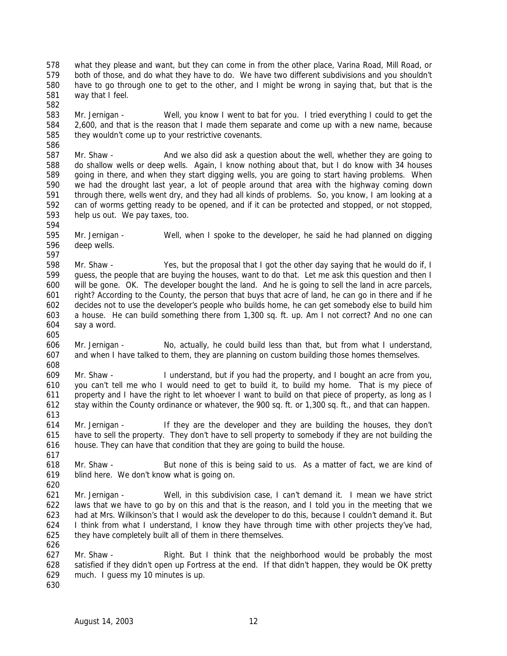what they please and want, but they can come in from the other place, Varina Road, Mill Road, or both of those, and do what they have to do. We have two different subdivisions and you shouldn't have to go through one to get to the other, and I might be wrong in saying that, but that is the way that I feel.

 Mr. Jernigan - Well, you know I went to bat for you. I tried everything I could to get the 2,600, and that is the reason that I made them separate and come up with a new name, because they wouldn't come up to your restrictive covenants.

587 Mr. Shaw - And we also did ask a question about the well, whether they are going to do shallow wells or deep wells. Again, I know nothing about that, but I do know with 34 houses going in there, and when they start digging wells, you are going to start having problems. When we had the drought last year, a lot of people around that area with the highway coming down through there, wells went dry, and they had all kinds of problems. So, you know, I am looking at a can of worms getting ready to be opened, and if it can be protected and stopped, or not stopped, help us out. We pay taxes, too.

 Mr. Jernigan - Well, when I spoke to the developer, he said he had planned on digging deep wells.

 Mr. Shaw - Yes, but the proposal that I got the other day saying that he would do if, I guess, the people that are buying the houses, want to do that. Let me ask this question and then I will be gone. OK. The developer bought the land. And he is going to sell the land in acre parcels, right? According to the County, the person that buys that acre of land, he can go in there and if he decides not to use the developer's people who builds home, he can get somebody else to build him a house. He can build something there from 1,300 sq. ft. up. Am I not correct? And no one can say a word.

 Mr. Jernigan - No, actually, he could build less than that, but from what I understand, and when I have talked to them, they are planning on custom building those homes themselves. 

 Mr. Shaw - I understand, but if you had the property, and I bought an acre from you, you can't tell me who I would need to get to build it, to build my home. That is my piece of property and I have the right to let whoever I want to build on that piece of property, as long as I stay within the County ordinance or whatever, the 900 sq. ft. or 1,300 sq. ft., and that can happen.

 Mr. Jernigan - If they are the developer and they are building the houses, they don't have to sell the property. They don't have to sell property to somebody if they are not building the house. They can have that condition that they are going to build the house.

 618 Mr. Shaw - But none of this is being said to us. As a matter of fact, we are kind of blind here. We don't know what is going on.

 Mr. Jernigan - Well, in this subdivision case, I can't demand it. I mean we have strict laws that we have to go by on this and that is the reason, and I told you in the meeting that we had at Mrs. Wilkinson's that I would ask the developer to do this, because I couldn't demand it. But I think from what I understand, I know they have through time with other projects they've had, they have completely built all of them in there themselves. 

 Mr. Shaw - Right. But I think that the neighborhood would be probably the most satisfied if they didn't open up Fortress at the end. If that didn't happen, they would be OK pretty much. I guess my 10 minutes is up.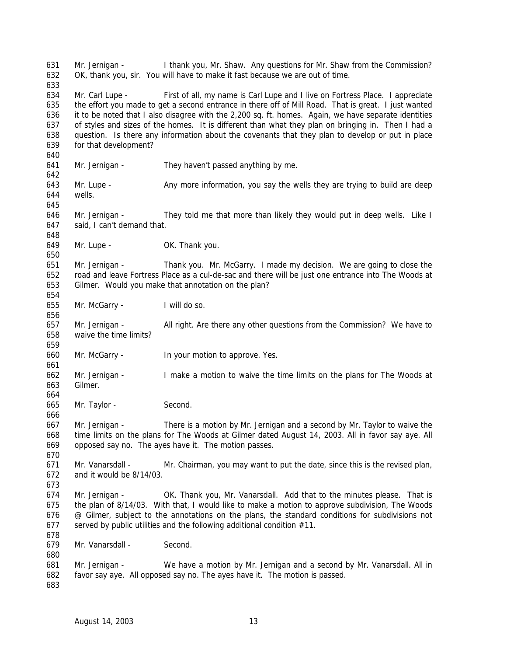Mr. Jernigan - I thank you, Mr. Shaw. Any questions for Mr. Shaw from the Commission? OK, thank you, sir. You will have to make it fast because we are out of time. Mr. Carl Lupe - First of all, my name is Carl Lupe and I live on Fortress Place. I appreciate the effort you made to get a second entrance in there off of Mill Road. That is great. I just wanted it to be noted that I also disagree with the 2,200 sq. ft. homes. Again, we have separate identities of styles and sizes of the homes. It is different than what they plan on bringing in. Then I had a question. Is there any information about the covenants that they plan to develop or put in place for that development? Mr. Jernigan - They haven't passed anything by me. 643 Mr. Lupe - Any more information, you say the wells they are trying to build are deep wells. Mr. Jernigan - They told me that more than likely they would put in deep wells. Like I said, I can't demand that. Mr. Lupe - OK. Thank you. Mr. Jernigan - Thank you. Mr. McGarry. I made my decision. We are going to close the road and leave Fortress Place as a cul-de-sac and there will be just one entrance into The Woods at Gilmer. Would you make that annotation on the plan? Mr. McGarry - I will do so. Mr. Jernigan - All right. Are there any other questions from the Commission? We have to waive the time limits? Mr. McGarry - In your motion to approve. Yes. Mr. Jernigan - I make a motion to waive the time limits on the plans for The Woods at Gilmer. Mr. Taylor - Second. Mr. Jernigan - There is a motion by Mr. Jernigan and a second by Mr. Taylor to waive the time limits on the plans for The Woods at Gilmer dated August 14, 2003. All in favor say aye. All opposed say no. The ayes have it. The motion passes. Mr. Vanarsdall - Mr. Chairman, you may want to put the date, since this is the revised plan, and it would be 8/14/03. Mr. Jernigan - OK. Thank you, Mr. Vanarsdall. Add that to the minutes please. That is the plan of 8/14/03. With that, I would like to make a motion to approve subdivision, The Woods 676 @ Gilmer, subject to the annotations on the plans, the standard conditions for subdivisions not 677 served by public utilities and the following additional condition  $#11$ . Mr. Vanarsdall - Second. Mr. Jernigan - We have a motion by Mr. Jernigan and a second by Mr. Vanarsdall. All in favor say aye. All opposed say no. The ayes have it. The motion is passed.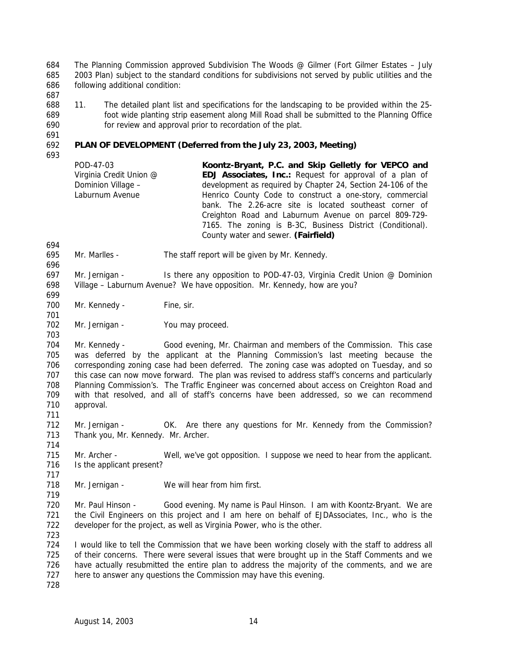The Planning Commission approved Subdivision The Woods @ Gilmer (Fort Gilmer Estates – July 2003 Plan) subject to the standard conditions for subdivisions not served by public utilities and the following additional condition:

 11. The detailed plant list and specifications for the landscaping to be provided within the 25- foot wide planting strip easement along Mill Road shall be submitted to the Planning Office for review and approval prior to recordation of the plat.

# **PLAN OF DEVELOPMENT (Deferred from the July 23, 2003, Meeting)**

| POD-47-03               | Koontz-Bryant, P.C. and Skip Gelletly for VEPCO and            |
|-------------------------|----------------------------------------------------------------|
| Virginia Credit Union @ | <b>EDJ Associates, Inc.:</b> Request for approval of a plan of |
| Dominion Village -      | development as required by Chapter 24, Section 24-106 of the   |
| Laburnum Avenue         | Henrico County Code to construct a one-story, commercial       |
|                         | bank. The 2.26-acre site is located southeast corner of        |
|                         | Creighton Road and Laburnum Avenue on parcel 809-729-          |
|                         | 7165. The zoning is B-3C, Business District (Conditional).     |
|                         | County water and sewer. (Fairfield)                            |

Mr. Marlles - The staff report will be given by Mr. Kennedy.

 Mr. Jernigan - Is there any opposition to POD-47-03, Virginia Credit Union @ Dominion Village – Laburnum Avenue? We have opposition. Mr. Kennedy, how are you?

- 700 Mr. Kennedy Fine, sir.
- Mr. Jernigan You may proceed.

 Mr. Kennedy - Good evening, Mr. Chairman and members of the Commission. This case was deferred by the applicant at the Planning Commission's last meeting because the corresponding zoning case had been deferred. The zoning case was adopted on Tuesday, and so this case can now move forward. The plan was revised to address staff's concerns and particularly Planning Commission's. The Traffic Engineer was concerned about access on Creighton Road and with that resolved, and all of staff's concerns have been addressed, so we can recommend approval.

 Mr. Jernigan - OK. Are there any questions for Mr. Kennedy from the Commission? Thank you, Mr. Kennedy. Mr. Archer.

715 Mr. Archer - Well, we've got opposition. I suppose we need to hear from the applicant. 716 Is the applicant present?

Mr. Jernigan - We will hear from him first.

 Mr. Paul Hinson - Good evening. My name is Paul Hinson. I am with Koontz-Bryant. We are 721 the Civil Engineers on this project and I am here on behalf of EJDAssociates, Inc., who is the developer for the project, as well as Virginia Power, who is the other.

 I would like to tell the Commission that we have been working closely with the staff to address all of their concerns. There were several issues that were brought up in the Staff Comments and we have actually resubmitted the entire plan to address the majority of the comments, and we are 727 here to answer any questions the Commission may have this evening.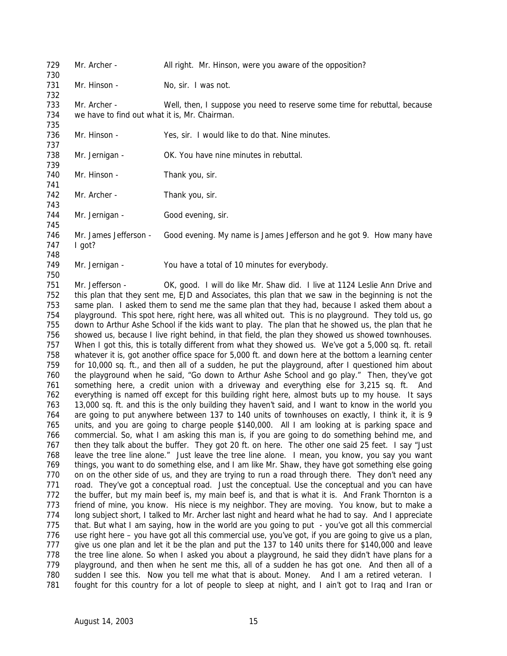Mr. Archer - All right. Mr. Hinson, were you aware of the opposition? 731 Mr. Hinson - No, sir. I was not. Mr. Archer - Well, then, I suppose you need to reserve some time for rebuttal, because we have to find out what it is, Mr. Chairman. 736 Mr. Hinson - Yes, sir. I would like to do that. Nine minutes. Mr. Jernigan - OK. You have nine minutes in rebuttal. 740 Mr. Hinson - Thank you, sir. 742 Mr. Archer - Thank you, sir. 744 Mr. Jernigan - Good evening, sir. 746 Mr. James Jefferson - Good evening. My name is James Jefferson and he got 9. How many have I got? Mr. Jernigan - You have a total of 10 minutes for everybody. 

 Mr. Jefferson - OK, good. I will do like Mr. Shaw did. I live at 1124 Leslie Ann Drive and this plan that they sent me, EJD and Associates, this plan that we saw in the beginning is not the same plan. I asked them to send me the same plan that they had, because I asked them about a playground. This spot here, right here, was all whited out. This is no playground. They told us, go down to Arthur Ashe School if the kids want to play. The plan that he showed us, the plan that he showed us, because I live right behind, in that field, the plan they showed us showed townhouses. When I got this, this is totally different from what they showed us. We've got a 5,000 sq. ft. retail whatever it is, got another office space for 5,000 ft. and down here at the bottom a learning center for 10,000 sq. ft., and then all of a sudden, he put the playground, after I questioned him about the playground when he said, "Go down to Arthur Ashe School and go play." Then, they've got something here, a credit union with a driveway and everything else for 3,215 sq. ft. And everything is named off except for this building right here, almost buts up to my house. It says 13,000 sq. ft. and this is the only building they haven't said, and I want to know in the world you are going to put anywhere between 137 to 140 units of townhouses on exactly, I think it, it is 9 units, and you are going to charge people \$140,000. All I am looking at is parking space and commercial. So, what I am asking this man is, if you are going to do something behind me, and then they talk about the buffer. They got 20 ft. on here. The other one said 25 feet. I say "Just leave the tree line alone." Just leave the tree line alone. I mean, you know, you say you want things, you want to do something else, and I am like Mr. Shaw, they have got something else going on on the other side of us, and they are trying to run a road through there. They don't need any road. They've got a conceptual road. Just the conceptual. Use the conceptual and you can have the buffer, but my main beef is, my main beef is, and that is what it is. And Frank Thornton is a friend of mine, you know. His niece is my neighbor. They are moving. You know, but to make a 774 long subject short, I talked to Mr. Archer last night and heard what he had to say. And I appreciate that. But what I am saying, how in the world are you going to put - you've got all this commercial use right here – you have got all this commercial use, you've got, if you are going to give us a plan, give us one plan and let it be the plan and put the 137 to 140 units there for \$140,000 and leave the tree line alone. So when I asked you about a playground, he said they didn't have plans for a 779 playground, and then when he sent me this, all of a sudden he has got one. And then all of a sudden I see this. Now you tell me what that is about. Money. And I am a retired veteran. I fought for this country for a lot of people to sleep at night, and I ain't got to Iraq and Iran or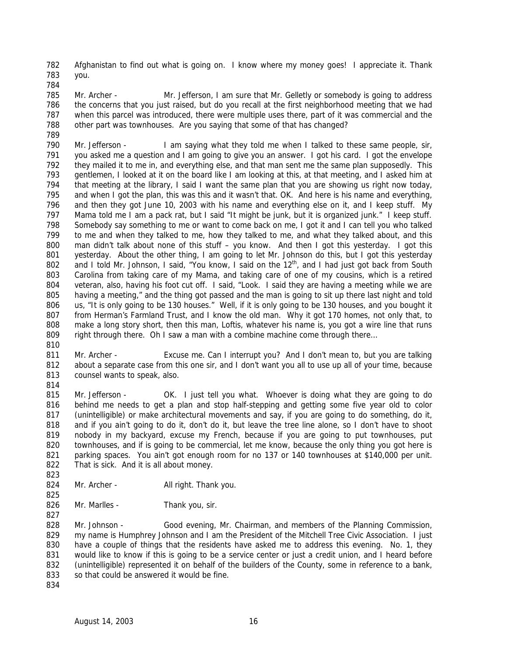Afghanistan to find out what is going on. I know where my money goes! I appreciate it. Thank you.

785 Mr. Archer - Mr. Jefferson, I am sure that Mr. Gelletly or somebody is going to address the concerns that you just raised, but do you recall at the first neighborhood meeting that we had when this parcel was introduced, there were multiple uses there, part of it was commercial and the other part was townhouses. Are you saying that some of that has changed? 

 Mr. Jefferson - I am saying what they told me when I talked to these same people, sir, you asked me a question and I am going to give you an answer. I got his card. I got the envelope they mailed it to me in, and everything else, and that man sent me the same plan supposedly. This gentlemen, I looked at it on the board like I am looking at this, at that meeting, and I asked him at that meeting at the library, I said I want the same plan that you are showing us right now today, and when I got the plan, this was this and it wasn't that. OK. And here is his name and everything, and then they got June 10, 2003 with his name and everything else on it, and I keep stuff. My Mama told me I am a pack rat, but I said "It might be junk, but it is organized junk." I keep stuff. Somebody say something to me or want to come back on me, I got it and I can tell you who talked to me and when they talked to me, how they talked to me, and what they talked about, and this 800 man didn't talk about none of this stuff - you know. And then I got this yesterday. I got this 801 yesterday. About the other thing, I am going to let Mr. Johnson do this, but I got this yesterday 802 and I told Mr. Johnson, I said, "You know, I said on the  $12<sup>th</sup>$ , and I had just got back from South Carolina from taking care of my Mama, and taking care of one of my cousins, which is a retired veteran, also, having his foot cut off. I said, "Look. I said they are having a meeting while we are having a meeting," and the thing got passed and the man is going to sit up there last night and told 806 us, "It is only going to be 130 houses." Well, if it is only going to be 130 houses, and you bought it from Herman's Farmland Trust, and I know the old man. Why it got 170 homes, not only that, to make a long story short, then this man, Loftis, whatever his name is, you got a wire line that runs 809 right through there. Oh I saw a man with a combine machine come through there...

811 Mr. Archer - Excuse me. Can I interrupt you? And I don't mean to, but you are talking about a separate case from this one sir, and I don't want you all to use up all of your time, because 813 counsel wants to speak, also.

815 Mr. Jefferson - OK. I just tell you what. Whoever is doing what they are going to do behind me needs to get a plan and stop half-stepping and getting some five year old to color (unintelligible) or make architectural movements and say, if you are going to do something, do it, and if you ain't going to do it, don't do it, but leave the tree line alone, so I don't have to shoot nobody in my backyard, excuse my French, because if you are going to put townhouses, put townhouses, and if is going to be commercial, let me know, because the only thing you got here is parking spaces. You ain't got enough room for no 137 or 140 townhouses at \$140,000 per unit. That is sick. And it is all about money. 

- 824 Mr. Archer All right. Thank you.
- 826 Mr. Marlles Thank you, sir.

 Mr. Johnson - Good evening, Mr. Chairman, and members of the Planning Commission, my name is Humphrey Johnson and I am the President of the Mitchell Tree Civic Association. I just have a couple of things that the residents have asked me to address this evening. No. 1, they would like to know if this is going to be a service center or just a credit union, and I heard before 832 (unintelligible) represented it on behalf of the builders of the County, some in reference to a bank, 833 so that could be answered it would be fine.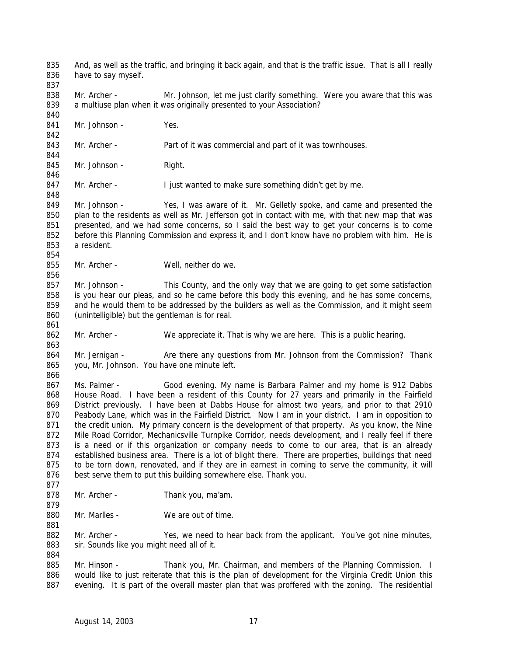And, as well as the traffic, and bringing it back again, and that is the traffic issue. That is all I really have to say myself. 838 Mr. Archer - Mr. Johnson, let me just clarify something. Were you aware that this was a multiuse plan when it was originally presented to your Association? 841 Mr. Johnson - Yes. 843 Mr. Archer - Part of it was commercial and part of it was townhouses. 845 Mr. Johnson - Right. 847 Mr. Archer - I just wanted to make sure something didn't get by me. Mr. Johnson - Yes, I was aware of it. Mr. Gelletly spoke, and came and presented the plan to the residents as well as Mr. Jefferson got in contact with me, with that new map that was presented, and we had some concerns, so I said the best way to get your concerns is to come before this Planning Commission and express it, and I don't know have no problem with him. He is a resident. 855 Mr. Archer - Well, neither do we. Mr. Johnson - This County, and the only way that we are going to get some satisfaction is you hear our pleas, and so he came before this body this evening, and he has some concerns, 859 and he would them to be addressed by the builders as well as the Commission, and it might seem (unintelligible) but the gentleman is for real. Mr. Archer - We appreciate it. That is why we are here. This is a public hearing. 864 Mr. Jernigan - Are there any questions from Mr. Johnson from the Commission? Thank you, Mr. Johnson. You have one minute left. Ms. Palmer - Good evening. My name is Barbara Palmer and my home is 912 Dabbs House Road. I have been a resident of this County for 27 years and primarily in the Fairfield District previously. I have been at Dabbs House for almost two years, and prior to that 2910 Peabody Lane, which was in the Fairfield District. Now I am in your district. I am in opposition to 871 the credit union. My primary concern is the development of that property. As you know, the Nine Mile Road Corridor, Mechanicsville Turnpike Corridor, needs development, and I really feel if there is a need or if this organization or company needs to come to our area, that is an already 874 established business area. There is a lot of blight there. There are properties, buildings that need 875 to be torn down, renovated, and if they are in earnest in coming to serve the community, it will 876 best serve them to put this building somewhere else. Thank you. 878 Mr. Archer - Thank you, ma'am. 880 Mr. Marlles - We are out of time. 882 Mr. Archer - Yes, we need to hear back from the applicant. You've got nine minutes, 883 sir. Sounds like you might need all of it. 885 Mr. Hinson - Thank you, Mr. Chairman, and members of the Planning Commission. I would like to just reiterate that this is the plan of development for the Virginia Credit Union this

evening. It is part of the overall master plan that was proffered with the zoning. The residential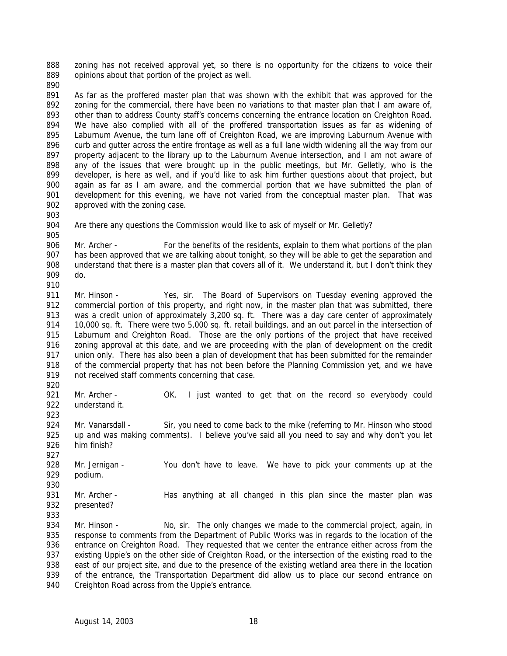888 zoning has not received approval yet, so there is no opportunity for the citizens to voice their opinions about that portion of the project as well.

891 As far as the proffered master plan that was shown with the exhibit that was approved for the 892 zoning for the commercial, there have been no variations to that master plan that I am aware of, other than to address County staff's concerns concerning the entrance location on Creighton Road. We have also complied with all of the proffered transportation issues as far as widening of Laburnum Avenue, the turn lane off of Creighton Road, we are improving Laburnum Avenue with curb and gutter across the entire frontage as well as a full lane width widening all the way from our property adjacent to the library up to the Laburnum Avenue intersection, and I am not aware of any of the issues that were brought up in the public meetings, but Mr. Gelletly, who is the developer, is here as well, and if you'd like to ask him further questions about that project, but again as far as I am aware, and the commercial portion that we have submitted the plan of 901 development for this evening, we have not varied from the conceptual master plan. That was approved with the zoning case.

- 
- 

Are there any questions the Commission would like to ask of myself or Mr. Gelletly?

 Mr. Archer - For the benefits of the residents, explain to them what portions of the plan 907 has been approved that we are talking about tonight, so they will be able to get the separation and 908 understand that there is a master plan that covers all of it. We understand it, but I don't think they do. 

 Mr. Hinson - Yes, sir. The Board of Supervisors on Tuesday evening approved the 912 commercial portion of this property, and right now, in the master plan that was submitted, there was a credit union of approximately 3,200 sq. ft. There was a day care center of approximately 10,000 sq. ft. There were two 5,000 sq. ft. retail buildings, and an out parcel in the intersection of Laburnum and Creighton Road. Those are the only portions of the project that have received zoning approval at this date, and we are proceeding with the plan of development on the credit 917 union only. There has also been a plan of development that has been submitted for the remainder of the commercial property that has not been before the Planning Commission yet, and we have not received staff comments concerning that case.

921 Mr. Archer - OK. I just wanted to get that on the record so everybody could understand it.

924 Mr. Vanarsdall - Sir, you need to come back to the mike (referring to Mr. Hinson who stood up and was making comments). I believe you've said all you need to say and why don't you let him finish? 

928 Mr. Jernigan - You don't have to leave. We have to pick your comments up at the podium.

 Mr. Archer - Has anything at all changed in this plan since the master plan was presented? 

934 Mr. Hinson - No, sir. The only changes we made to the commercial project, again, in response to comments from the Department of Public Works was in regards to the location of the entrance on Creighton Road. They requested that we center the entrance either across from the existing Uppie's on the other side of Creighton Road, or the intersection of the existing road to the 938 east of our project site, and due to the presence of the existing wetland area there in the location of the entrance, the Transportation Department did allow us to place our second entrance on Creighton Road across from the Uppie's entrance.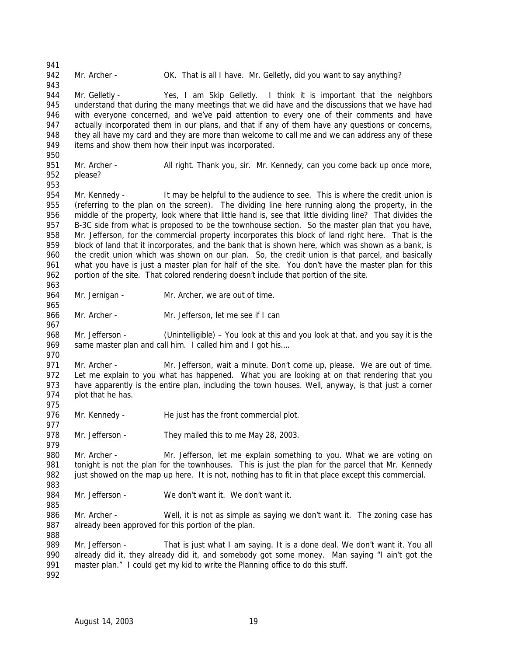942 Mr. Archer - OK. That is all I have. Mr. Gelletly, did you want to say anything? 944 Mr. Gelletly - Yes, I am Skip Gelletly. I think it is important that the neighbors understand that during the many meetings that we did have and the discussions that we have had with everyone concerned, and we've paid attention to every one of their comments and have actually incorporated them in our plans, and that if any of them have any questions or concerns, 948 they all have my card and they are more than welcome to call me and we can address any of these items and show them how their input was incorporated. Mr. Archer - All right. Thank you, sir. Mr. Kennedy, can you come back up once more, please? 954 Mr. Kennedy - It may be helpful to the audience to see. This is where the credit union is (referring to the plan on the screen). The dividing line here running along the property, in the middle of the property, look where that little hand is, see that little dividing line? That divides the B-3C side from what is proposed to be the townhouse section. So the master plan that you have, Mr. Jefferson, for the commercial property incorporates this block of land right here. That is the block of land that it incorporates, and the bank that is shown here, which was shown as a bank, is 960 the credit union which was shown on our plan. So, the credit union is that parcel, and basically what you have is just a master plan for half of the site. You don't have the master plan for this portion of the site. That colored rendering doesn't include that portion of the site. 964 Mr. Jernigan - Mr. Archer, we are out of time. 966 Mr. Archer - Mr. Jefferson, let me see if I can Mr. Jefferson - (Unintelligible) – You look at this and you look at that, and you say it is the 969 same master plan and call him. I called him and I got his.... 971 Mr. Archer - Mr. Jefferson, wait a minute. Don't come up, please. We are out of time. 972 Let me explain to you what has happened. What you are looking at on that rendering that you have apparently is the entire plan, including the town houses. Well, anyway, is that just a corner plot that he has. 976 Mr. Kennedy - He just has the front commercial plot. 978 Mr. Jefferson - They mailed this to me May 28, 2003. Mr. Archer - Mr. Jefferson, let me explain something to you. What we are voting on 981 tonight is not the plan for the townhouses. This is just the plan for the parcel that Mr. Kennedy just showed on the map up here. It is not, nothing has to fit in that place except this commercial. 984 Mr. Jefferson - We don't want it. We don't want it. 986 Mr. Archer - Well, it is not as simple as saying we don't want it. The zoning case has 987 already been approved for this portion of the plan. 989 Mr. Jefferson - That is just what I am saying. It is a done deal. We don't want it. You all already did it, they already did it, and somebody got some money. Man saying "I ain't got the 991 master plan." I could get my kid to write the Planning office to do this stuff.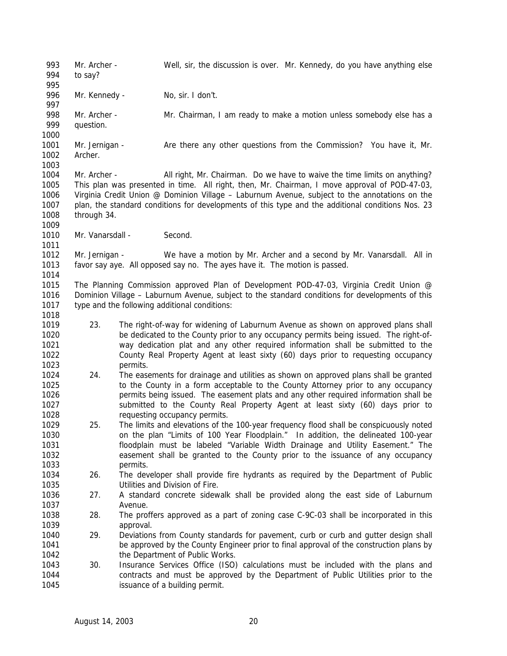Mr. Archer - Well, sir, the discussion is over. Mr. Kennedy, do you have anything else to say? 996 Mr. Kennedy - No, sir. I don't. 998 Mr. Archer - Mr. Chairman, I am ready to make a motion unless somebody else has a question. 1001 Mr. Jernigan - Are there any other questions from the Commission? You have it, Mr. Archer. Mr. Archer - All right, Mr. Chairman. Do we have to waive the time limits on anything? This plan was presented in time. All right, then, Mr. Chairman, I move approval of POD-47-03, Virginia Credit Union @ Dominion Village – Laburnum Avenue, subject to the annotations on the plan, the standard conditions for developments of this type and the additional conditions Nos. 23 through 34. 1010 Mr. Vanarsdall - Second. Mr. Jernigan - We have a motion by Mr. Archer and a second by Mr. Vanarsdall. All in favor say aye. All opposed say no. The ayes have it. The motion is passed. The Planning Commission approved Plan of Development POD-47-03, Virginia Credit Union @ Dominion Village – Laburnum Avenue, subject to the standard conditions for developments of this type and the following additional conditions: 23. The right-of-way for widening of Laburnum Avenue as shown on approved plans shall be dedicated to the County prior to any occupancy permits being issued. The right-of- way dedication plat and any other required information shall be submitted to the County Real Property Agent at least sixty (60) days prior to requesting occupancy permits. 24. The easements for drainage and utilities as shown on approved plans shall be granted to the County in a form acceptable to the County Attorney prior to any occupancy permits being issued. The easement plats and any other required information shall be submitted to the County Real Property Agent at least sixty (60) days prior to requesting occupancy permits. 25. The limits and elevations of the 100-year frequency flood shall be conspicuously noted on the plan "Limits of 100 Year Floodplain." In addition, the delineated 100-year floodplain must be labeled "Variable Width Drainage and Utility Easement." The easement shall be granted to the County prior to the issuance of any occupancy permits. 26. The developer shall provide fire hydrants as required by the Department of Public Utilities and Division of Fire. 27. A standard concrete sidewalk shall be provided along the east side of Laburnum Avenue. 28. The proffers approved as a part of zoning case C-9C-03 shall be incorporated in this approval. 29. Deviations from County standards for pavement, curb or curb and gutter design shall be approved by the County Engineer prior to final approval of the construction plans by 1042 the Department of Public Works. 30. Insurance Services Office (ISO) calculations must be included with the plans and contracts and must be approved by the Department of Public Utilities prior to the issuance of a building permit.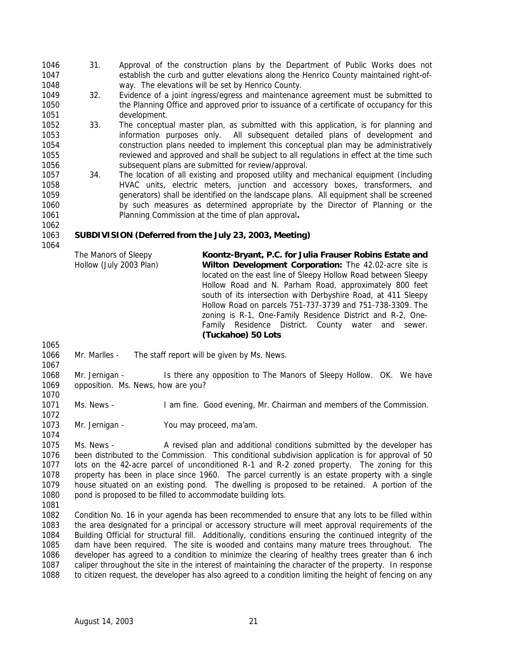- 31. Approval of the construction plans by the Department of Public Works does not establish the curb and gutter elevations along the Henrico County maintained right-of-way. The elevations will be set by Henrico County.
- 32. Evidence of a joint ingress/egress and maintenance agreement must be submitted to the Planning Office and approved prior to issuance of a certificate of occupancy for this development.
- 33. The conceptual master plan, as submitted with this application, is for planning and information purposes only. All subsequent detailed plans of development and construction plans needed to implement this conceptual plan may be administratively reviewed and approved and shall be subject to all regulations in effect at the time such subsequent plans are submitted for review/approval.
- 1057 34. The location of all existing and proposed utility and mechanical equipment (including HVAC units, electric meters, junction and accessory boxes, transformers, and generators) shall be identified on the landscape plans. All equipment shall be screened by such measures as determined appropriate by the Director of Planning or the Planning Commission at the time of plan approval**.**
- **SUBDIVISION (Deferred from the July 23, 2003, Meeting)**

The Manors of Sleepy Hollow (July 2003 Plan) **Koontz-Bryant, P.C. for Julia Frauser Robins Estate and Wilton Development Corporation:** The 42.02-acre site is located on the east line of Sleepy Hollow Road between Sleepy Hollow Road and N. Parham Road, approximately 800 feet south of its intersection with Derbyshire Road, at 411 Sleepy Hollow Road on parcels 751-737-3739 and 751-738-3309. The zoning is R-1, One-Family Residence District and R-2, One-Family Residence District. County water and sewer. **(Tuckahoe) 50 Lots**

- Mr. Marlles The staff report will be given by Ms. News.
- Mr. Jernigan Is there any opposition to The Manors of Sleepy Hollow. OK. We have opposition. Ms. News, how are you?
- Ms. News I am fine. Good evening, Mr. Chairman and members of the Commission.
- 1073 Mr. Jernigan You may proceed, ma'am.

 Ms. News - A revised plan and additional conditions submitted by the developer has been distributed to the Commission. This conditional subdivision application is for approval of 50 lots on the 42-acre parcel of unconditioned R-1 and R-2 zoned property. The zoning for this property has been in place since 1960. The parcel currently is an estate property with a single house situated on an existing pond. The dwelling is proposed to be retained. A portion of the 1080 pond is proposed to be filled to accommodate building lots.

 Condition No. 16 in your agenda has been recommended to ensure that any lots to be filled within the area designated for a principal or accessory structure will meet approval requirements of the Building Official for structural fill. Additionally, conditions ensuring the continued integrity of the dam have been required. The site is wooded and contains many mature trees throughout. The developer has agreed to a condition to minimize the clearing of healthy trees greater than 6 inch caliper throughout the site in the interest of maintaining the character of the property. In response to citizen request, the developer has also agreed to a condition limiting the height of fencing on any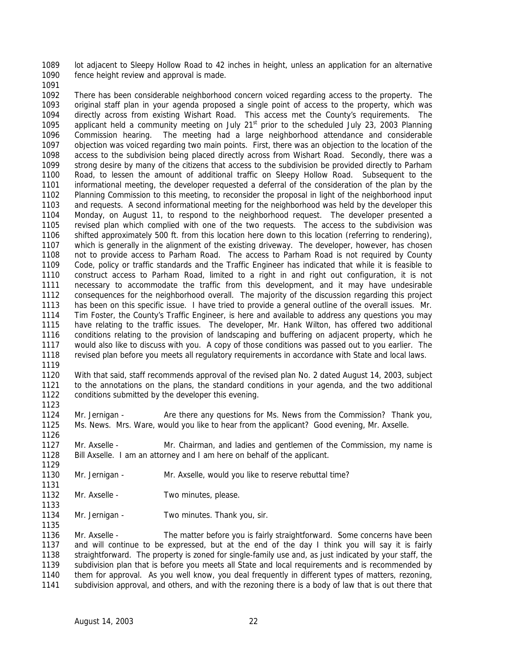lot adjacent to Sleepy Hollow Road to 42 inches in height, unless an application for an alternative fence height review and approval is made.

 There has been considerable neighborhood concern voiced regarding access to the property. The original staff plan in your agenda proposed a single point of access to the property, which was directly across from existing Wishart Road. This access met the County's requirements. The 1095 applicant held a community meeting on July  $21^{st}$  prior to the scheduled July 23, 2003 Planning Commission hearing. The meeting had a large neighborhood attendance and considerable objection was voiced regarding two main points. First, there was an objection to the location of the access to the subdivision being placed directly across from Wishart Road. Secondly, there was a strong desire by many of the citizens that access to the subdivision be provided directly to Parham Road, to lessen the amount of additional traffic on Sleepy Hollow Road. Subsequent to the informational meeting, the developer requested a deferral of the consideration of the plan by the Planning Commission to this meeting, to reconsider the proposal in light of the neighborhood input and requests. A second informational meeting for the neighborhood was held by the developer this Monday, on August 11, to respond to the neighborhood request. The developer presented a revised plan which complied with one of the two requests. The access to the subdivision was shifted approximately 500 ft. from this location here down to this location (referring to rendering), which is generally in the alignment of the existing driveway. The developer, however, has chosen not to provide access to Parham Road. The access to Parham Road is not required by County Code, policy or traffic standards and the Traffic Engineer has indicated that while it is feasible to construct access to Parham Road, limited to a right in and right out configuration, it is not necessary to accommodate the traffic from this development, and it may have undesirable consequences for the neighborhood overall. The majority of the discussion regarding this project has been on this specific issue. I have tried to provide a general outline of the overall issues. Mr. Tim Foster, the County's Traffic Engineer, is here and available to address any questions you may have relating to the traffic issues. The developer, Mr. Hank Wilton, has offered two additional conditions relating to the provision of landscaping and buffering on adjacent property, which he would also like to discuss with you. A copy of those conditions was passed out to you earlier. The revised plan before you meets all regulatory requirements in accordance with State and local laws. 

 With that said, staff recommends approval of the revised plan No. 2 dated August 14, 2003, subject to the annotations on the plans, the standard conditions in your agenda, and the two additional conditions submitted by the developer this evening.

 Mr. Jernigan - Are there any questions for Ms. News from the Commission? Thank you, Ms. News. Mrs. Ware, would you like to hear from the applicant? Good evening, Mr. Axselle.

 Mr. Axselle - Mr. Chairman, and ladies and gentlemen of the Commission, my name is Bill Axselle. I am an attorney and I am here on behalf of the applicant. 

- Mr. Jernigan Mr. Axselle, would you like to reserve rebuttal time?
- 1132 Mr. Axselle Two minutes, please.
- 1134 Mr. Jernigan Two minutes. Thank you, sir.

 Mr. Axselle - The matter before you is fairly straightforward. Some concerns have been and will continue to be expressed, but at the end of the day I think you will say it is fairly straightforward. The property is zoned for single-family use and, as just indicated by your staff, the subdivision plan that is before you meets all State and local requirements and is recommended by them for approval. As you well know, you deal frequently in different types of matters, rezoning, subdivision approval, and others, and with the rezoning there is a body of law that is out there that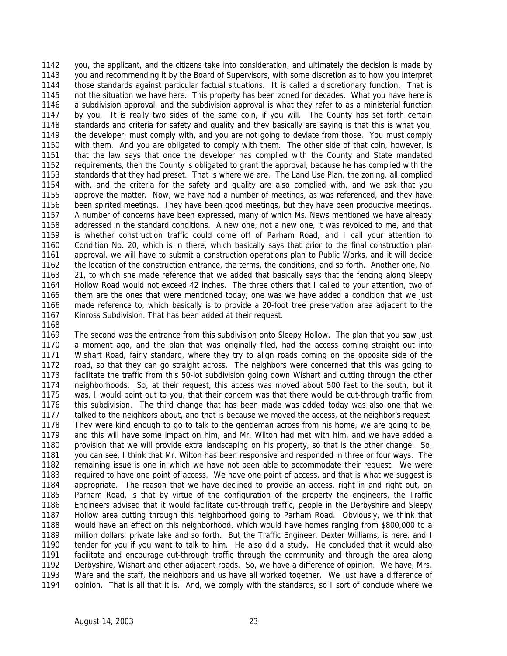you, the applicant, and the citizens take into consideration, and ultimately the decision is made by you and recommending it by the Board of Supervisors, with some discretion as to how you interpret those standards against particular factual situations. It is called a discretionary function. That is not the situation we have here. This property has been zoned for decades. What you have here is a subdivision approval, and the subdivision approval is what they refer to as a ministerial function by you. It is really two sides of the same coin, if you will. The County has set forth certain standards and criteria for safety and quality and they basically are saying is that this is what you, the developer, must comply with, and you are not going to deviate from those. You must comply with them. And you are obligated to comply with them. The other side of that coin, however, is that the law says that once the developer has complied with the County and State mandated requirements, then the County is obligated to grant the approval, because he has complied with the standards that they had preset. That is where we are. The Land Use Plan, the zoning, all complied with, and the criteria for the safety and quality are also complied with, and we ask that you approve the matter. Now, we have had a number of meetings, as was referenced, and they have been spirited meetings. They have been good meetings, but they have been productive meetings. A number of concerns have been expressed, many of which Ms. News mentioned we have already addressed in the standard conditions. A new one, not a new one, it was revoiced to me, and that is whether construction traffic could come off of Parham Road, and I call your attention to Condition No. 20, which is in there, which basically says that prior to the final construction plan approval, we will have to submit a construction operations plan to Public Works, and it will decide the location of the construction entrance, the terms, the conditions, and so forth. Another one, No. 21, to which she made reference that we added that basically says that the fencing along Sleepy Hollow Road would not exceed 42 inches. The three others that I called to your attention, two of them are the ones that were mentioned today, one was we have added a condition that we just made reference to, which basically is to provide a 20-foot tree preservation area adjacent to the Kinross Subdivision. That has been added at their request.

 The second was the entrance from this subdivision onto Sleepy Hollow. The plan that you saw just a moment ago, and the plan that was originally filed, had the access coming straight out into Wishart Road, fairly standard, where they try to align roads coming on the opposite side of the road, so that they can go straight across. The neighbors were concerned that this was going to facilitate the traffic from this 50-lot subdivision going down Wishart and cutting through the other neighborhoods. So, at their request, this access was moved about 500 feet to the south, but it was, I would point out to you, that their concern was that there would be cut-through traffic from this subdivision. The third change that has been made was added today was also one that we talked to the neighbors about, and that is because we moved the access, at the neighbor's request. They were kind enough to go to talk to the gentleman across from his home, we are going to be, and this will have some impact on him, and Mr. Wilton had met with him, and we have added a provision that we will provide extra landscaping on his property, so that is the other change. So, you can see, I think that Mr. Wilton has been responsive and responded in three or four ways. The remaining issue is one in which we have not been able to accommodate their request. We were required to have one point of access. We have one point of access, and that is what we suggest is appropriate. The reason that we have declined to provide an access, right in and right out, on Parham Road, is that by virtue of the configuration of the property the engineers, the Traffic Engineers advised that it would facilitate cut-through traffic, people in the Derbyshire and Sleepy Hollow area cutting through this neighborhood going to Parham Road. Obviously, we think that would have an effect on this neighborhood, which would have homes ranging from \$800,000 to a million dollars, private lake and so forth. But the Traffic Engineer, Dexter Williams, is here, and I tender for you if you want to talk to him. He also did a study. He concluded that it would also facilitate and encourage cut-through traffic through the community and through the area along Derbyshire, Wishart and other adjacent roads. So, we have a difference of opinion. We have, Mrs. Ware and the staff, the neighbors and us have all worked together. We just have a difference of opinion. That is all that it is. And, we comply with the standards, so I sort of conclude where we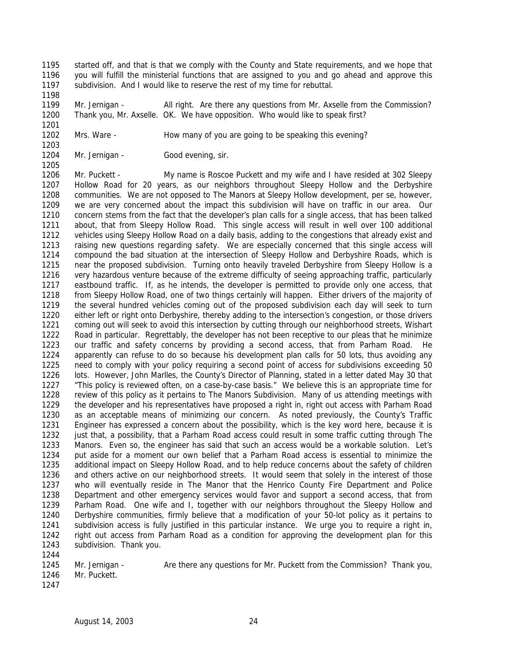- started off, and that is that we comply with the County and State requirements, and we hope that you will fulfill the ministerial functions that are assigned to you and go ahead and approve this subdivision. And I would like to reserve the rest of my time for rebuttal.
- Mr. Jernigan All right. Are there any questions from Mr. Axselle from the Commission? Thank you, Mr. Axselle. OK. We have opposition. Who would like to speak first?
- Mrs. Ware How many of you are going to be speaking this evening?
- 1204 Mr. Jernigan Good evening, sir.

 Mr. Puckett - My name is Roscoe Puckett and my wife and I have resided at 302 Sleepy Hollow Road for 20 years, as our neighbors throughout Sleepy Hollow and the Derbyshire communities. We are not opposed to The Manors at Sleepy Hollow development, per se, however, we are very concerned about the impact this subdivision will have on traffic in our area. Our concern stems from the fact that the developer's plan calls for a single access, that has been talked about, that from Sleepy Hollow Road. This single access will result in well over 100 additional vehicles using Sleepy Hollow Road on a daily basis, adding to the congestions that already exist and raising new questions regarding safety. We are especially concerned that this single access will compound the bad situation at the intersection of Sleepy Hollow and Derbyshire Roads, which is near the proposed subdivision. Turning onto heavily traveled Derbyshire from Sleepy Hollow is a very hazardous venture because of the extreme difficulty of seeing approaching traffic, particularly eastbound traffic. If, as he intends, the developer is permitted to provide only one access, that 1218 from Sleepy Hollow Road, one of two things certainly will happen. Either drivers of the majority of the several hundred vehicles coming out of the proposed subdivision each day will seek to turn either left or right onto Derbyshire, thereby adding to the intersection's congestion, or those drivers coming out will seek to avoid this intersection by cutting through our neighborhood streets, Wishart Road in particular. Regrettably, the developer has not been receptive to our pleas that he minimize our traffic and safety concerns by providing a second access, that from Parham Road. He apparently can refuse to do so because his development plan calls for 50 lots, thus avoiding any need to comply with your policy requiring a second point of access for subdivisions exceeding 50 lots. However, John Marlles, the County's Director of Planning, stated in a letter dated May 30 that "This policy is reviewed often, on a case-by-case basis." We believe this is an appropriate time for review of this policy as it pertains to The Manors Subdivision. Many of us attending meetings with the developer and his representatives have proposed a right in, right out access with Parham Road as an acceptable means of minimizing our concern. As noted previously, the County's Traffic Engineer has expressed a concern about the possibility, which is the key word here, because it is 1232 iust that, a possibility, that a Parham Road access could result in some traffic cutting through The Manors. Even so, the engineer has said that such an access would be a workable solution. Let's put aside for a moment our own belief that a Parham Road access is essential to minimize the additional impact on Sleepy Hollow Road, and to help reduce concerns about the safety of children and others active on our neighborhood streets. It would seem that solely in the interest of those who will eventually reside in The Manor that the Henrico County Fire Department and Police Department and other emergency services would favor and support a second access, that from Parham Road. One wife and I, together with our neighbors throughout the Sleepy Hollow and Derbyshire communities, firmly believe that a modification of your 50-lot policy as it pertains to subdivision access is fully justified in this particular instance. We urge you to require a right in, right out access from Parham Road as a condition for approving the development plan for this subdivision. Thank you. 

1245 Mr. Jernigan - Are there any questions for Mr. Puckett from the Commission? Thank you, Mr. Puckett.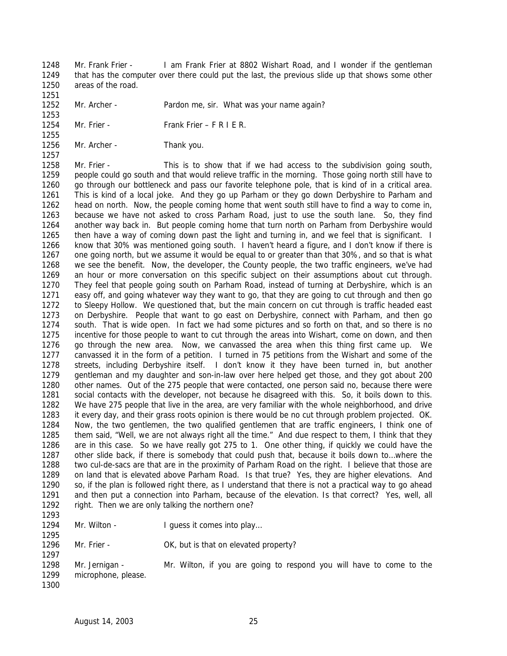Mr. Frank Frier - I am Frank Frier at 8802 Wishart Road, and I wonder if the gentleman that has the computer over there could put the last, the previous slide up that shows some other areas of the road.

Mr. Archer - Pardon me, sir. What was your name again?

 Mr. Frier - Frank Frier – F R I E R.

1256 Mr. Archer - Thank you. 

 Mr. Frier - This is to show that if we had access to the subdivision going south, people could go south and that would relieve traffic in the morning. Those going north still have to go through our bottleneck and pass our favorite telephone pole, that is kind of in a critical area. This is kind of a local joke. And they go up Parham or they go down Derbyshire to Parham and head on north. Now, the people coming home that went south still have to find a way to come in, because we have not asked to cross Parham Road, just to use the south lane. So, they find another way back in. But people coming home that turn north on Parham from Derbyshire would then have a way of coming down past the light and turning in, and we feel that is significant. I know that 30% was mentioned going south. I haven't heard a figure, and I don't know if there is one going north, but we assume it would be equal to or greater than that 30%, and so that is what we see the benefit. Now, the developer, the County people, the two traffic engineers, we've had an hour or more conversation on this specific subject on their assumptions about cut through. They feel that people going south on Parham Road, instead of turning at Derbyshire, which is an easy off, and going whatever way they want to go, that they are going to cut through and then go to Sleepy Hollow. We questioned that, but the main concern on cut through is traffic headed east on Derbyshire. People that want to go east on Derbyshire, connect with Parham, and then go south. That is wide open. In fact we had some pictures and so forth on that, and so there is no incentive for those people to want to cut through the areas into Wishart, come on down, and then go through the new area. Now, we canvassed the area when this thing first came up. We canvassed it in the form of a petition. I turned in 75 petitions from the Wishart and some of the streets, including Derbyshire itself. I don't know it they have been turned in, but another gentleman and my daughter and son-in-law over here helped get those, and they got about 200 other names. Out of the 275 people that were contacted, one person said no, because there were social contacts with the developer, not because he disagreed with this. So, it boils down to this. We have 275 people that live in the area, are very familiar with the whole neighborhood, and drive it every day, and their grass roots opinion is there would be no cut through problem projected. OK. Now, the two gentlemen, the two qualified gentlemen that are traffic engineers, I think one of them said, "Well, we are not always right all the time." And due respect to them, I think that they are in this case. So we have really got 275 to 1. One other thing, if quickly we could have the other slide back, if there is somebody that could push that, because it boils down to…where the two cul-de-sacs are that are in the proximity of Parham Road on the right. I believe that those are on land that is elevated above Parham Road. Is that true? Yes, they are higher elevations. And so, if the plan is followed right there, as I understand that there is not a practical way to go ahead and then put a connection into Parham, because of the elevation. Is that correct? Yes, well, all right. Then we are only talking the northern one? 

| 1 Z Y.<br>ำ |
|-------------|
| 129.<br>4   |
| 29<br>b     |

Mr. Wilton - I guess it comes into play…

1296 Mr. Frier - OK, but is that on elevated property?

 Mr. Jernigan - Mr. Wilton, if you are going to respond you will have to come to the microphone, please.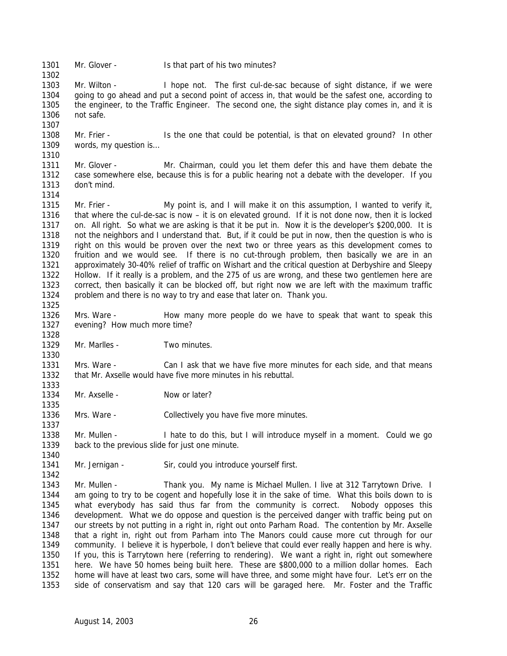1301 Mr. Glover - Is that part of his two minutes?

 Mr. Wilton - I hope not. The first cul-de-sac because of sight distance, if we were going to go ahead and put a second point of access in, that would be the safest one, according to the engineer, to the Traffic Engineer. The second one, the sight distance play comes in, and it is not safe.

 Mr. Frier - Is the one that could be potential, is that on elevated ground? In other 1309 words, my question is... 

 Mr. Glover - Mr. Chairman, could you let them defer this and have them debate the case somewhere else, because this is for a public hearing not a debate with the developer. If you don't mind.

1315 Mr. Frier - My point is, and I will make it on this assumption, I wanted to verify it, that where the cul-de-sac is now – it is on elevated ground. If it is not done now, then it is locked on. All right. So what we are asking is that it be put in. Now it is the developer's \$200,000. It is not the neighbors and I understand that. But, if it could be put in now, then the question is who is right on this would be proven over the next two or three years as this development comes to fruition and we would see. If there is no cut-through problem, then basically we are in an approximately 30-40% relief of traffic on Wishart and the critical question at Derbyshire and Sleepy Hollow. If it really is a problem, and the 275 of us are wrong, and these two gentlemen here are correct, then basically it can be blocked off, but right now we are left with the maximum traffic problem and there is no way to try and ease that later on. Thank you. 

 Mrs. Ware - How many more people do we have to speak that want to speak this evening? How much more time?

1329 Mr. Marlles - Two minutes.

 Mrs. Ware - Can I ask that we have five more minutes for each side, and that means that Mr. Axselle would have five more minutes in his rebuttal.

Mr. Axselle - Now or later?

Mrs. Ware - Collectively you have five more minutes.

 Mr. Mullen - I hate to do this, but I will introduce myself in a moment. Could we go back to the previous slide for just one minute.

1341 Mr. Jernigan - Sir, could you introduce yourself first.

 Mr. Mullen - Thank you. My name is Michael Mullen. I live at 312 Tarrytown Drive. I am going to try to be cogent and hopefully lose it in the sake of time. What this boils down to is what everybody has said thus far from the community is correct. Nobody opposes this development. What we do oppose and question is the perceived danger with traffic being put on our streets by not putting in a right in, right out onto Parham Road. The contention by Mr. Axselle that a right in, right out from Parham into The Manors could cause more cut through for our community. I believe it is hyperbole, I don't believe that could ever really happen and here is why. If you, this is Tarrytown here (referring to rendering). We want a right in, right out somewhere here. We have 50 homes being built here. These are \$800,000 to a million dollar homes. Each home will have at least two cars, some will have three, and some might have four. Let's err on the side of conservatism and say that 120 cars will be garaged here. Mr. Foster and the Traffic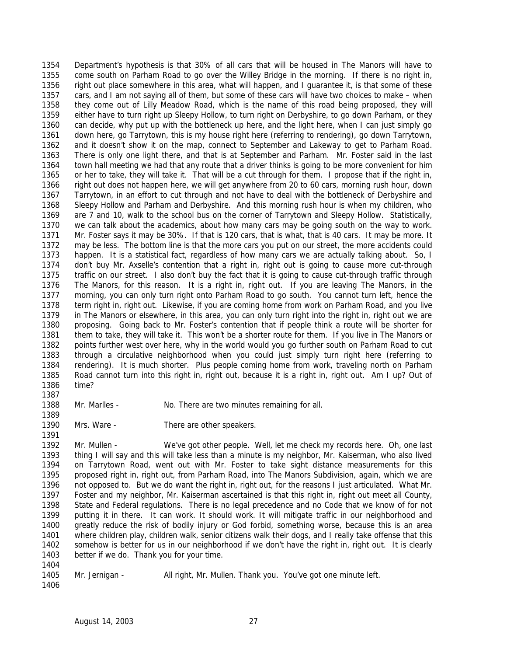Department's hypothesis is that 30% of all cars that will be housed in The Manors will have to come south on Parham Road to go over the Willey Bridge in the morning. If there is no right in, right out place somewhere in this area, what will happen, and I guarantee it, is that some of these cars, and I am not saying all of them, but some of these cars will have two choices to make – when they come out of Lilly Meadow Road, which is the name of this road being proposed, they will either have to turn right up Sleepy Hollow, to turn right on Derbyshire, to go down Parham, or they can decide, why put up with the bottleneck up here, and the light here, when I can just simply go down here, go Tarrytown, this is my house right here (referring to rendering), go down Tarrytown, and it doesn't show it on the map, connect to September and Lakeway to get to Parham Road. 1363 There is only one light there, and that is at September and Parham. Mr. Foster said in the last 1364 town hall meeting we had that any route that a driver thinks is going to be more convenient for him town hall meeting we had that any route that a driver thinks is going to be more convenient for him or her to take, they will take it. That will be a cut through for them. I propose that if the right in, right out does not happen here, we will get anywhere from 20 to 60 cars, morning rush hour, down Tarrytown, in an effort to cut through and not have to deal with the bottleneck of Derbyshire and Sleepy Hollow and Parham and Derbyshire. And this morning rush hour is when my children, who are 7 and 10, walk to the school bus on the corner of Tarrytown and Sleepy Hollow. Statistically, we can talk about the academics, about how many cars may be going south on the way to work. Mr. Foster says it may be 30%. If that is 120 cars, that is what, that is 40 cars. It may be more. It may be less. The bottom line is that the more cars you put on our street, the more accidents could happen. It is a statistical fact, regardless of how many cars we are actually talking about. So, I don't buy Mr. Axselle's contention that a right in, right out is going to cause more cut-through traffic on our street. I also don't buy the fact that it is going to cause cut-through traffic through The Manors, for this reason. It is a right in, right out. If you are leaving The Manors, in the morning, you can only turn right onto Parham Road to go south. You cannot turn left, hence the term right in, right out. Likewise, if you are coming home from work on Parham Road, and you live in The Manors or elsewhere, in this area, you can only turn right into the right in, right out we are proposing. Going back to Mr. Foster's contention that if people think a route will be shorter for them to take, they will take it. This won't be a shorter route for them. If you live in The Manors or points further west over here, why in the world would you go further south on Parham Road to cut through a circulative neighborhood when you could just simply turn right here (referring to rendering). It is much shorter. Plus people coming home from work, traveling north on Parham Road cannot turn into this right in, right out, because it is a right in, right out. Am I up? Out of time?

- 1388 Mr. Marlles No. There are two minutes remaining for all.
- 1390 Mrs. Ware There are other speakers.

 Mr. Mullen - We've got other people. Well, let me check my records here. Oh, one last thing I will say and this will take less than a minute is my neighbor, Mr. Kaiserman, who also lived on Tarrytown Road, went out with Mr. Foster to take sight distance measurements for this proposed right in, right out, from Parham Road, into The Manors Subdivision, again, which we are not opposed to. But we do want the right in, right out, for the reasons I just articulated. What Mr. Foster and my neighbor, Mr. Kaiserman ascertained is that this right in, right out meet all County, State and Federal regulations. There is no legal precedence and no Code that we know of for not putting it in there. It can work. It should work. It will mitigate traffic in our neighborhood and greatly reduce the risk of bodily injury or God forbid, something worse, because this is an area where children play, children walk, senior citizens walk their dogs, and I really take offense that this somehow is better for us in our neighborhood if we don't have the right in, right out. It is clearly better if we do. Thank you for your time.

Mr. Jernigan - All right, Mr. Mullen. Thank you. You've got one minute left.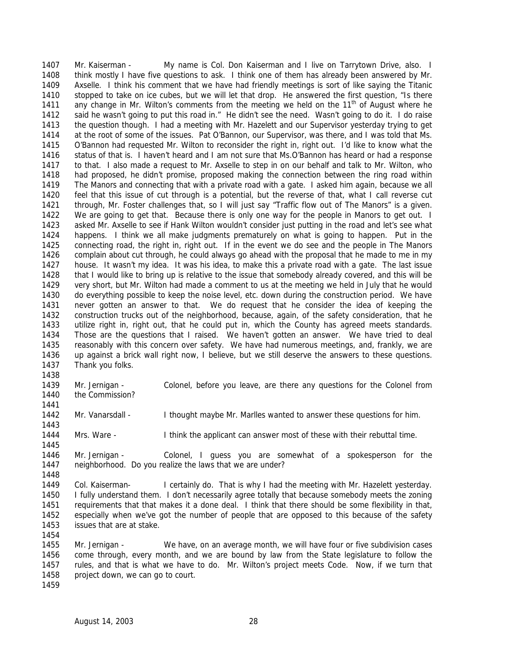Mr. Kaiserman - My name is Col. Don Kaiserman and I live on Tarrytown Drive, also. I think mostly I have five questions to ask. I think one of them has already been answered by Mr. Axselle. I think his comment that we have had friendly meetings is sort of like saying the Titanic stopped to take on ice cubes, but we will let that drop. He answered the first question, "Is there 1411 any change in Mr. Wilton's comments from the meeting we held on the  $11<sup>th</sup>$  of August where he said he wasn't going to put this road in." He didn't see the need. Wasn't going to do it. I do raise the question though. I had a meeting with Mr. Hazelett and our Supervisor yesterday trying to get at the root of some of the issues. Pat O'Bannon, our Supervisor, was there, and I was told that Ms. O'Bannon had requested Mr. Wilton to reconsider the right in, right out. I'd like to know what the status of that is. I haven't heard and I am not sure that Ms.O'Bannon has heard or had a response to that. I also made a request to Mr. Axselle to step in on our behalf and talk to Mr. Wilton, who had proposed, he didn't promise, proposed making the connection between the ring road within The Manors and connecting that with a private road with a gate. I asked him again, because we all feel that this issue of cut through is a potential, but the reverse of that, what I call reverse cut through, Mr. Foster challenges that, so I will just say "Traffic flow out of The Manors" is a given. We are going to get that. Because there is only one way for the people in Manors to get out. I asked Mr. Axselle to see if Hank Wilton wouldn't consider just putting in the road and let's see what happens. I think we all make judgments prematurely on what is going to happen. Put in the connecting road, the right in, right out. If in the event we do see and the people in The Manors complain about cut through, he could always go ahead with the proposal that he made to me in my house. It wasn't my idea. It was his idea, to make this a private road with a gate. The last issue that I would like to bring up is relative to the issue that somebody already covered, and this will be very short, but Mr. Wilton had made a comment to us at the meeting we held in July that he would do everything possible to keep the noise level, etc. down during the construction period. We have never gotten an answer to that. We do request that he consider the idea of keeping the construction trucks out of the neighborhood, because, again, of the safety consideration, that he utilize right in, right out, that he could put in, which the County has agreed meets standards. Those are the questions that I raised. We haven't gotten an answer. We have tried to deal reasonably with this concern over safety. We have had numerous meetings, and, frankly, we are up against a brick wall right now, I believe, but we still deserve the answers to these questions. Thank you folks. 

- Mr. Jernigan Colonel, before you leave, are there any questions for the Colonel from 1440 the Commission?
- 1442 Mr. Vanarsdall I thought maybe Mr. Marlles wanted to answer these questions for him.
- Mrs. Ware I think the applicant can answer most of these with their rebuttal time.
- Mr. Jernigan Colonel, I guess you are somewhat of a spokesperson for the neighborhood. Do you realize the laws that we are under?
- Col. Kaiserman- I certainly do. That is why I had the meeting with Mr. Hazelett yesterday. I fully understand them. I don't necessarily agree totally that because somebody meets the zoning requirements that that makes it a done deal. I think that there should be some flexibility in that, especially when we've got the number of people that are opposed to this because of the safety issues that are at stake.
- Mr. Jernigan We have, on an average month, we will have four or five subdivision cases come through, every month, and we are bound by law from the State legislature to follow the rules, and that is what we have to do. Mr. Wilton's project meets Code. Now, if we turn that 1458 project down, we can go to court.
	- August 14, 2003 28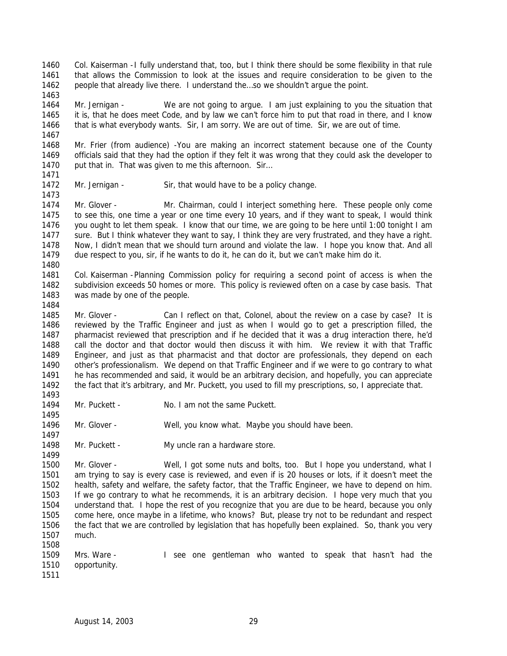Col. Kaiserman -I fully understand that, too, but I think there should be some flexibility in that rule that allows the Commission to look at the issues and require consideration to be given to the people that already live there. I understand the…so we shouldn't argue the point. 

 Mr. Jernigan - We are not going to argue. I am just explaining to you the situation that it is, that he does meet Code, and by law we can't force him to put that road in there, and I know that is what everybody wants. Sir, I am sorry. We are out of time. Sir, we are out of time.

 Mr. Frier (from audience) -You are making an incorrect statement because one of the County officials said that they had the option if they felt it was wrong that they could ask the developer to 1470 put that in. That was given to me this afternoon. Sir...

1472 Mr. Jernigan - Sir, that would have to be a policy change.

 Mr. Glover - Mr. Chairman, could I interject something here. These people only come to see this, one time a year or one time every 10 years, and if they want to speak, I would think you ought to let them speak. I know that our time, we are going to be here until 1:00 tonight I am sure. But I think whatever they want to say, I think they are very frustrated, and they have a right. Now, I didn't mean that we should turn around and violate the law. I hope you know that. And all due respect to you, sir, if he wants to do it, he can do it, but we can't make him do it. 

 Col. Kaiserman -Planning Commission policy for requiring a second point of access is when the subdivision exceeds 50 homes or more. This policy is reviewed often on a case by case basis. That was made by one of the people.

1485 Mr. Glover - Can I reflect on that, Colonel, about the review on a case by case? It is reviewed by the Traffic Engineer and just as when I would go to get a prescription filled, the pharmacist reviewed that prescription and if he decided that it was a drug interaction there, he'd call the doctor and that doctor would then discuss it with him. We review it with that Traffic Engineer, and just as that pharmacist and that doctor are professionals, they depend on each other's professionalism. We depend on that Traffic Engineer and if we were to go contrary to what he has recommended and said, it would be an arbitrary decision, and hopefully, you can appreciate the fact that it's arbitrary, and Mr. Puckett, you used to fill my prescriptions, so, I appreciate that. 

1494 Mr. Puckett - No. I am not the same Puckett.

Mr. Glover - Well, you know what. Maybe you should have been.

1498 Mr. Puckett - My uncle ran a hardware store.

 Mr. Glover - Well, I got some nuts and bolts, too. But I hope you understand, what I am trying to say is every case is reviewed, and even if is 20 houses or lots, if it doesn't meet the health, safety and welfare, the safety factor, that the Traffic Engineer, we have to depend on him. If we go contrary to what he recommends, it is an arbitrary decision. I hope very much that you understand that. I hope the rest of you recognize that you are due to be heard, because you only come here, once maybe in a lifetime, who knows? But, please try not to be redundant and respect the fact that we are controlled by legislation that has hopefully been explained. So, thank you very much. 

 Mrs. Ware - I see one gentleman who wanted to speak that hasn't had the opportunity.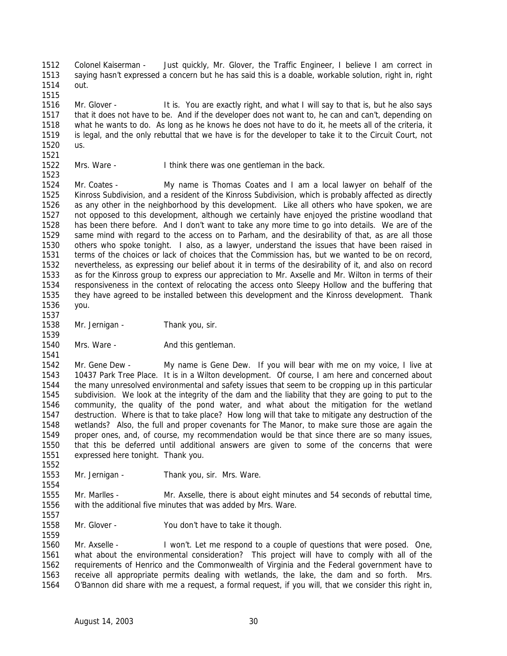Colonel Kaiserman - Just quickly, Mr. Glover, the Traffic Engineer, I believe I am correct in saying hasn't expressed a concern but he has said this is a doable, workable solution, right in, right out. 

 Mr. Glover - It is. You are exactly right, and what I will say to that is, but he also says that it does not have to be. And if the developer does not want to, he can and can't, depending on what he wants to do. As long as he knows he does not have to do it, he meets all of the criteria, it is legal, and the only rebuttal that we have is for the developer to take it to the Circuit Court, not us. 

Mrs. Ware - I think there was one gentleman in the back.

 Mr. Coates - My name is Thomas Coates and I am a local lawyer on behalf of the Kinross Subdivision, and a resident of the Kinross Subdivision, which is probably affected as directly as any other in the neighborhood by this development. Like all others who have spoken, we are not opposed to this development, although we certainly have enjoyed the pristine woodland that has been there before. And I don't want to take any more time to go into details. We are of the same mind with regard to the access on to Parham, and the desirability of that, as are all those others who spoke tonight. I also, as a lawyer, understand the issues that have been raised in terms of the choices or lack of choices that the Commission has, but we wanted to be on record, nevertheless, as expressing our belief about it in terms of the desirability of it, and also on record as for the Kinross group to express our appreciation to Mr. Axselle and Mr. Wilton in terms of their responsiveness in the context of relocating the access onto Sleepy Hollow and the buffering that they have agreed to be installed between this development and the Kinross development. Thank you.

 1538 Mr. Jernigan - Thank you, sir.

1540 Mrs. Ware - And this gentleman. 

 Mr. Gene Dew - My name is Gene Dew. If you will bear with me on my voice, I live at 10437 Park Tree Place. It is in a Wilton development. Of course, I am here and concerned about the many unresolved environmental and safety issues that seem to be cropping up in this particular subdivision. We look at the integrity of the dam and the liability that they are going to put to the community, the quality of the pond water, and what about the mitigation for the wetland destruction. Where is that to take place? How long will that take to mitigate any destruction of the wetlands? Also, the full and proper covenants for The Manor, to make sure those are again the proper ones, and, of course, my recommendation would be that since there are so many issues, that this be deferred until additional answers are given to some of the concerns that were expressed here tonight. Thank you.

Mr. Jernigan - Thank you, sir. Mrs. Ware.

 Mr. Marlles - Mr. Axselle, there is about eight minutes and 54 seconds of rebuttal time, with the additional five minutes that was added by Mrs. Ware.

Mr. Glover - You don't have to take it though.

 Mr. Axselle - I won't. Let me respond to a couple of questions that were posed. One, what about the environmental consideration? This project will have to comply with all of the requirements of Henrico and the Commonwealth of Virginia and the Federal government have to receive all appropriate permits dealing with wetlands, the lake, the dam and so forth. Mrs. O'Bannon did share with me a request, a formal request, if you will, that we consider this right in,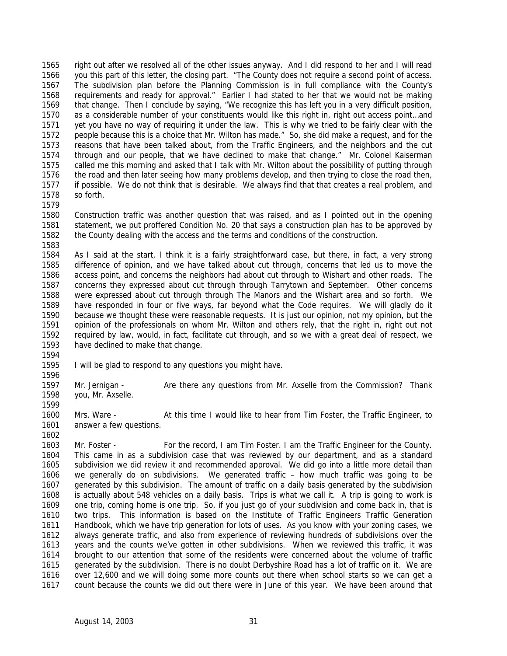right out after we resolved all of the other issues anyway. And I did respond to her and I will read you this part of this letter, the closing part. "The County does not require a second point of access. The subdivision plan before the Planning Commission is in full compliance with the County's requirements and ready for approval." Earlier I had stated to her that we would not be making that change. Then I conclude by saying, "We recognize this has left you in a very difficult position, as a considerable number of your constituents would like this right in, right out access point…and yet you have no way of requiring it under the law. This is why we tried to be fairly clear with the people because this is a choice that Mr. Wilton has made." So, she did make a request, and for the reasons that have been talked about, from the Traffic Engineers, and the neighbors and the cut through and our people, that we have declined to make that change." Mr. Colonel Kaiserman called me this morning and asked that I talk with Mr. Wilton about the possibility of putting through the road and then later seeing how many problems develop, and then trying to close the road then, if possible. We do not think that is desirable. We always find that that creates a real problem, and so forth.

 Construction traffic was another question that was raised, and as I pointed out in the opening statement, we put proffered Condition No. 20 that says a construction plan has to be approved by the County dealing with the access and the terms and conditions of the construction.

 As I said at the start, I think it is a fairly straightforward case, but there, in fact, a very strong difference of opinion, and we have talked about cut through, concerns that led us to move the access point, and concerns the neighbors had about cut through to Wishart and other roads. The concerns they expressed about cut through through Tarrytown and September. Other concerns were expressed about cut through through The Manors and the Wishart area and so forth. We have responded in four or five ways, far beyond what the Code requires. We will gladly do it because we thought these were reasonable requests. It is just our opinion, not my opinion, but the opinion of the professionals on whom Mr. Wilton and others rely, that the right in, right out not required by law, would, in fact, facilitate cut through, and so we with a great deal of respect, we have declined to make that change. 

I will be glad to respond to any questions you might have.

 Mr. Jernigan - Are there any questions from Mr. Axselle from the Commission? Thank you, Mr. Axselle.

 Mrs. Ware - At this time I would like to hear from Tim Foster, the Traffic Engineer, to answer a few questions.

 Mr. Foster - For the record, I am Tim Foster. I am the Traffic Engineer for the County. This came in as a subdivision case that was reviewed by our department, and as a standard subdivision we did review it and recommended approval. We did go into a little more detail than we generally do on subdivisions. We generated traffic – how much traffic was going to be generated by this subdivision. The amount of traffic on a daily basis generated by the subdivision is actually about 548 vehicles on a daily basis. Trips is what we call it. A trip is going to work is one trip, coming home is one trip. So, if you just go of your subdivision and come back in, that is two trips. This information is based on the Institute of Traffic Engineers Traffic Generation Handbook, which we have trip generation for lots of uses. As you know with your zoning cases, we always generate traffic, and also from experience of reviewing hundreds of subdivisions over the years and the counts we've gotten in other subdivisions. When we reviewed this traffic, it was brought to our attention that some of the residents were concerned about the volume of traffic generated by the subdivision. There is no doubt Derbyshire Road has a lot of traffic on it. We are over 12,600 and we will doing some more counts out there when school starts so we can get a count because the counts we did out there were in June of this year. We have been around that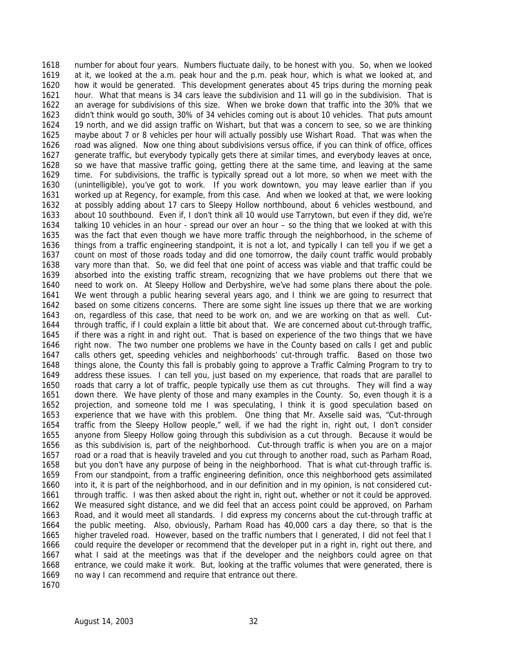number for about four years. Numbers fluctuate daily, to be honest with you. So, when we looked at it, we looked at the a.m. peak hour and the p.m. peak hour, which is what we looked at, and how it would be generated. This development generates about 45 trips during the morning peak hour. What that means is 34 cars leave the subdivision and 11 will go in the subdivision. That is an average for subdivisions of this size. When we broke down that traffic into the 30% that we didn't think would go south, 30% of 34 vehicles coming out is about 10 vehicles. That puts amount 19 north, and we did assign traffic on Wishart, but that was a concern to see, so we are thinking maybe about 7 or 8 vehicles per hour will actually possibly use Wishart Road. That was when the road was aligned. Now one thing about subdivisions versus office, if you can think of office, offices generate traffic, but everybody typically gets there at similar times, and everybody leaves at once, so we have that massive traffic going, getting there at the same time, and leaving at the same time. For subdivisions, the traffic is typically spread out a lot more, so when we meet with the (unintelligible), you've got to work. If you work downtown, you may leave earlier than if you worked up at Regency, for example, from this case. And when we looked at that, we were looking at possibly adding about 17 cars to Sleepy Hollow northbound, about 6 vehicles westbound, and about 10 southbound. Even if, I don't think all 10 would use Tarrytown, but even if they did, we're talking 10 vehicles in an hour - spread our over an hour – so the thing that we looked at with this was the fact that even though we have more traffic through the neighborhood, in the scheme of things from a traffic engineering standpoint, it is not a lot, and typically I can tell you if we get a count on most of those roads today and did one tomorrow, the daily count traffic would probably vary more than that. So, we did feel that one point of access was viable and that traffic could be absorbed into the existing traffic stream, recognizing that we have problems out there that we need to work on. At Sleepy Hollow and Derbyshire, we've had some plans there about the pole. We went through a public hearing several years ago, and I think we are going to resurrect that based on some citizens concerns. There are some sight line issues up there that we are working on, regardless of this case, that need to be work on, and we are working on that as well. Cut- through traffic, if I could explain a little bit about that. We are concerned about cut-through traffic, if there was a right in and right out. That is based on experience of the two things that we have right now. The two number one problems we have in the County based on calls I get and public calls others get, speeding vehicles and neighborhoods' cut-through traffic. Based on those two things alone, the County this fall is probably going to approve a Traffic Calming Program to try to address these issues. I can tell you, just based on my experience, that roads that are parallel to roads that carry a lot of traffic, people typically use them as cut throughs. They will find a way down there. We have plenty of those and many examples in the County. So, even though it is a projection, and someone told me I was speculating, I think it is good speculation based on experience that we have with this problem. One thing that Mr. Axselle said was, "Cut-through traffic from the Sleepy Hollow people," well, if we had the right in, right out, I don't consider anyone from Sleepy Hollow going through this subdivision as a cut through. Because it would be as this subdivision is, part of the neighborhood. Cut-through traffic is when you are on a major road or a road that is heavily traveled and you cut through to another road, such as Parham Road, but you don't have any purpose of being in the neighborhood. That is what cut-through traffic is. From our standpoint, from a traffic engineering definition, once this neighborhood gets assimilated into it, it is part of the neighborhood, and in our definition and in my opinion, is not considered cut- through traffic. I was then asked about the right in, right out, whether or not it could be approved. We measured sight distance, and we did feel that an access point could be approved, on Parham Road, and it would meet all standards. I did express my concerns about the cut-through traffic at the public meeting. Also, obviously, Parham Road has 40,000 cars a day there, so that is the higher traveled road. However, based on the traffic numbers that I generated, I did not feel that I could require the developer or recommend that the developer put in a right in, right out there, and what I said at the meetings was that if the developer and the neighbors could agree on that entrance, we could make it work. But, looking at the traffic volumes that were generated, there is no way I can recommend and require that entrance out there.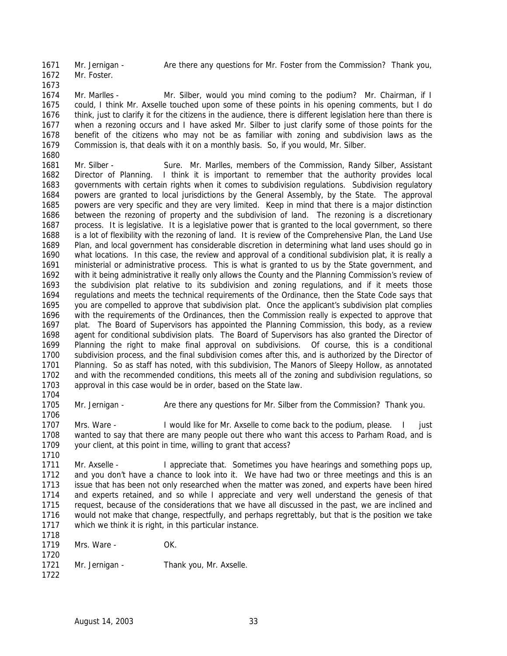Mr. Jernigan - Are there any questions for Mr. Foster from the Commission? Thank you,

 Mr. Foster. 

- 1674 Mr. Marlles Mr. Silber, would you mind coming to the podium? Mr. Chairman, if I could, I think Mr. Axselle touched upon some of these points in his opening comments, but I do think, just to clarify it for the citizens in the audience, there is different legislation here than there is when a rezoning occurs and I have asked Mr. Silber to just clarify some of those points for the benefit of the citizens who may not be as familiar with zoning and subdivision laws as the Commission is, that deals with it on a monthly basis. So, if you would, Mr. Silber.
- 1681 Mr. Silber - Sure. Mr. Marlles, members of the Commission, Randy Silber, Assistant Director of Planning. I think it is important to remember that the authority provides local governments with certain rights when it comes to subdivision regulations. Subdivision regulatory powers are granted to local jurisdictions by the General Assembly, by the State. The approval powers are very specific and they are very limited. Keep in mind that there is a major distinction between the rezoning of property and the subdivision of land. The rezoning is a discretionary process. It is legislative. It is a legislative power that is granted to the local government, so there is a lot of flexibility with the rezoning of land. It is review of the Comprehensive Plan, the Land Use Plan, and local government has considerable discretion in determining what land uses should go in what locations. In this case, the review and approval of a conditional subdivision plat, it is really a ministerial or administrative process. This is what is granted to us by the State government, and with it being administrative it really only allows the County and the Planning Commission's review of the subdivision plat relative to its subdivision and zoning regulations, and if it meets those regulations and meets the technical requirements of the Ordinance, then the State Code says that you are compelled to approve that subdivision plat. Once the applicant's subdivision plat complies with the requirements of the Ordinances, then the Commission really is expected to approve that plat. The Board of Supervisors has appointed the Planning Commission, this body, as a review agent for conditional subdivision plats. The Board of Supervisors has also granted the Director of Planning the right to make final approval on subdivisions. Of course, this is a conditional subdivision process, and the final subdivision comes after this, and is authorized by the Director of Planning. So as staff has noted, with this subdivision, The Manors of Sleepy Hollow, as annotated and with the recommended conditions, this meets all of the zoning and subdivision regulations, so approval in this case would be in order, based on the State law.
- 

1705 Mr. Jernigan - Are there any questions for Mr. Silber from the Commission? Thank you.

 Mrs. Ware - I would like for Mr. Axselle to come back to the podium, please. I just wanted to say that there are many people out there who want this access to Parham Road, and is your client, at this point in time, willing to grant that access?

1711 Mr. Axselle - I appreciate that. Sometimes you have hearings and something pops up, and you don't have a chance to look into it. We have had two or three meetings and this is an issue that has been not only researched when the matter was zoned, and experts have been hired and experts retained, and so while I appreciate and very well understand the genesis of that request, because of the considerations that we have all discussed in the past, we are inclined and would not make that change, respectfully, and perhaps regrettably, but that is the position we take which we think it is right, in this particular instance.

| 1718 |                |                         |
|------|----------------|-------------------------|
| 1719 | Mrs. Ware -    | OK.                     |
| 1720 |                |                         |
| 1721 | Mr. Jernigan - | Thank you, Mr. Axselle. |
| 1722 |                |                         |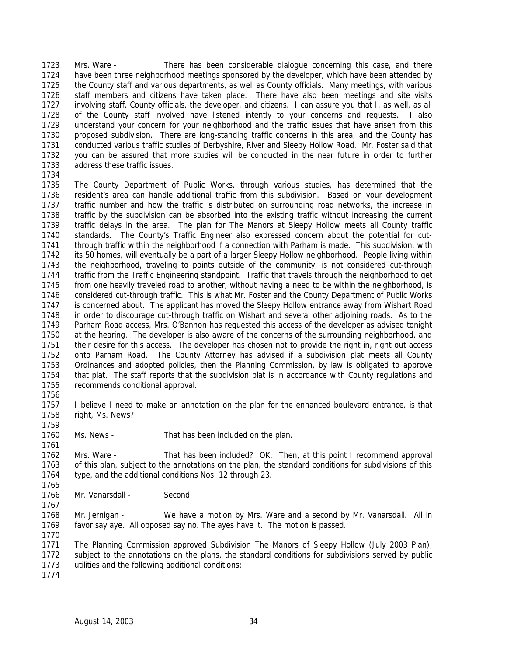Mrs. Ware - There has been considerable dialogue concerning this case, and there have been three neighborhood meetings sponsored by the developer, which have been attended by the County staff and various departments, as well as County officials. Many meetings, with various staff members and citizens have taken place. There have also been meetings and site visits involving staff, County officials, the developer, and citizens. I can assure you that I, as well, as all of the County staff involved have listened intently to your concerns and requests. I also understand your concern for your neighborhood and the traffic issues that have arisen from this proposed subdivision. There are long-standing traffic concerns in this area, and the County has conducted various traffic studies of Derbyshire, River and Sleepy Hollow Road. Mr. Foster said that you can be assured that more studies will be conducted in the near future in order to further address these traffic issues. 

- The County Department of Public Works, through various studies, has determined that the resident's area can handle additional traffic from this subdivision. Based on your development traffic number and how the traffic is distributed on surrounding road networks, the increase in traffic by the subdivision can be absorbed into the existing traffic without increasing the current traffic delays in the area. The plan for The Manors at Sleepy Hollow meets all County traffic standards. The County's Traffic Engineer also expressed concern about the potential for cut- through traffic within the neighborhood if a connection with Parham is made. This subdivision, with its 50 homes, will eventually be a part of a larger Sleepy Hollow neighborhood. People living within the neighborhood, traveling to points outside of the community, is not considered cut-through traffic from the Traffic Engineering standpoint. Traffic that travels through the neighborhood to get from one heavily traveled road to another, without having a need to be within the neighborhood, is considered cut-through traffic. This is what Mr. Foster and the County Department of Public Works is concerned about. The applicant has moved the Sleepy Hollow entrance away from Wishart Road in order to discourage cut-through traffic on Wishart and several other adjoining roads. As to the Parham Road access, Mrs. O'Bannon has requested this access of the developer as advised tonight at the hearing. The developer is also aware of the concerns of the surrounding neighborhood, and their desire for this access. The developer has chosen not to provide the right in, right out access onto Parham Road. The County Attorney has advised if a subdivision plat meets all County Ordinances and adopted policies, then the Planning Commission, by law is obligated to approve that plat. The staff reports that the subdivision plat is in accordance with County regulations and recommends conditional approval.
- 

- 1757 I believe I need to make an annotation on the plan for the enhanced boulevard entrance, is that right, Ms. News?
- Ms. News That has been included on the plan.
- 1762 Mrs. Ware That has been included? OK. Then, at this point I recommend approval of this plan, subject to the annotations on the plan, the standard conditions for subdivisions of this type, and the additional conditions Nos. 12 through 23.
- Mr. Vanarsdall Second.
- Mr. Jernigan - We have a motion by Mrs. Ware and a second by Mr. Vanarsdall. All in favor say aye. All opposed say no. The ayes have it. The motion is passed.
- The Planning Commission approved Subdivision The Manors of Sleepy Hollow (July 2003 Plan), subject to the annotations on the plans, the standard conditions for subdivisions served by public utilities and the following additional conditions:
-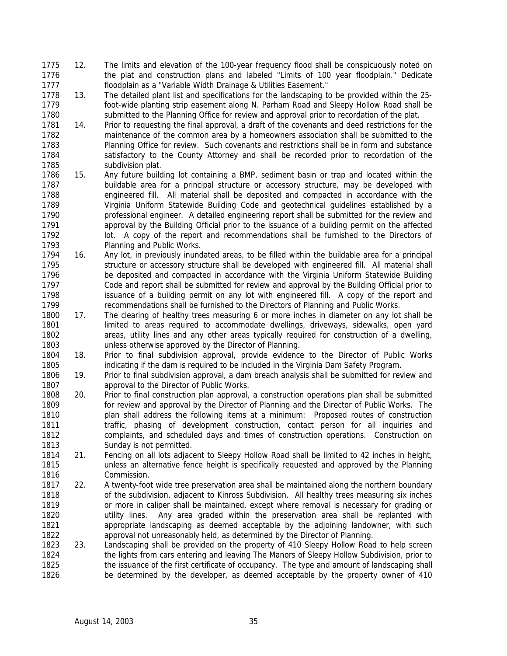- 12. The limits and elevation of the 100-year frequency flood shall be conspicuously noted on the plat and construction plans and labeled "Limits of 100 year floodplain." Dedicate floodplain as a "Variable Width Drainage & Utilities Easement."
- 13. The detailed plant list and specifications for the landscaping to be provided within the 25- foot-wide planting strip easement along N. Parham Road and Sleepy Hollow Road shall be submitted to the Planning Office for review and approval prior to recordation of the plat.
- 14. Prior to requesting the final approval, a draft of the covenants and deed restrictions for the maintenance of the common area by a homeowners association shall be submitted to the Planning Office for review. Such covenants and restrictions shall be in form and substance satisfactory to the County Attorney and shall be recorded prior to recordation of the subdivision plat.
- 15. Any future building lot containing a BMP, sediment basin or trap and located within the buildable area for a principal structure or accessory structure, may be developed with engineered fill. All material shall be deposited and compacted in accordance with the Virginia Uniform Statewide Building Code and geotechnical guidelines established by a professional engineer. A detailed engineering report shall be submitted for the review and approval by the Building Official prior to the issuance of a building permit on the affected lot. A copy of the report and recommendations shall be furnished to the Directors of Planning and Public Works.
- 16. Any lot, in previously inundated areas, to be filled within the buildable area for a principal structure or accessory structure shall be developed with engineered fill. All material shall be deposited and compacted in accordance with the Virginia Uniform Statewide Building Code and report shall be submitted for review and approval by the Building Official prior to issuance of a building permit on any lot with engineered fill. A copy of the report and recommendations shall be furnished to the Directors of Planning and Public Works.
- 17. The clearing of healthy trees measuring 6 or more inches in diameter on any lot shall be limited to areas required to accommodate dwellings, driveways, sidewalks, open yard areas, utility lines and any other areas typically required for construction of a dwelling, unless otherwise approved by the Director of Planning.
- 18. Prior to final subdivision approval, provide evidence to the Director of Public Works indicating if the dam is required to be included in the Virginia Dam Safety Program.
- 19. Prior to final subdivision approval, a dam breach analysis shall be submitted for review and approval to the Director of Public Works.
- 20. Prior to final construction plan approval, a construction operations plan shall be submitted for review and approval by the Director of Planning and the Director of Public Works. The plan shall address the following items at a minimum: Proposed routes of construction traffic, phasing of development construction, contact person for all inquiries and complaints, and scheduled days and times of construction operations. Construction on Sunday is not permitted.
- 21. Fencing on all lots adjacent to Sleepy Hollow Road shall be limited to 42 inches in height, unless an alternative fence height is specifically requested and approved by the Planning Commission.
- 22. A twenty-foot wide tree preservation area shall be maintained along the northern boundary of the subdivision, adjacent to Kinross Subdivision. All healthy trees measuring six inches **or more in caliper shall be maintained, except where removal is necessary for grading or**  utility lines. Any area graded within the preservation area shall be replanted with appropriate landscaping as deemed acceptable by the adjoining landowner, with such approval not unreasonably held, as determined by the Director of Planning.
- 23. Landscaping shall be provided on the property of 410 Sleepy Hollow Road to help screen the lights from cars entering and leaving The Manors of Sleepy Hollow Subdivision, prior to 1825 the issuance of the first certificate of occupancy. The type and amount of landscaping shall be determined by the developer, as deemed acceptable by the property owner of 410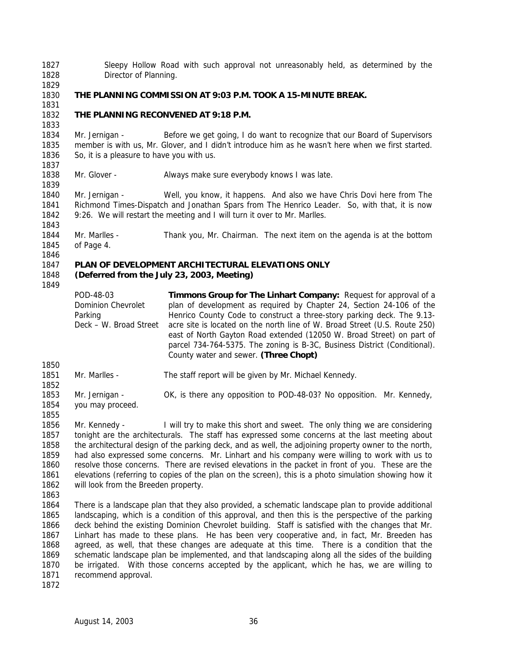Sleepy Hollow Road with such approval not unreasonably held, as determined by the Director of Planning.

## **THE PLANNING COMMISSION AT 9:03 P.M. TOOK A 15-MINUTE BREAK.**

 

## **THE PLANNING RECONVENED AT 9:18 P.M.**

 Mr. Jernigan - Before we get going, I do want to recognize that our Board of Supervisors member is with us, Mr. Glover, and I didn't introduce him as he wasn't here when we first started. So, it is a pleasure to have you with us. 

Mr. Glover - Always make sure everybody knows I was late.

 Mr. Jernigan - Well, you know, it happens. And also we have Chris Dovi here from *The Richmond Times-Dispatch* and Jonathan Spars from *The Henrico Leader*. So, with that, it is now 9:26. We will restart the meeting and I will turn it over to Mr. Marlles.

 Mr. Marlles - Thank you, Mr. Chairman. The next item on the agenda is at the bottom of Page 4.

### **PLAN OF DEVELOPMENT ARCHITECTURAL ELEVATIONS ONLY**

#### **(Deferred from the July 23, 2003, Meeting)**

POD-48-03 Dominion Chevrolet Parking Deck – W. Broad Street **Timmons Group for The Linhart Company:** Request for approval of a plan of development as required by Chapter 24, Section 24-106 of the Henrico County Code to construct a three-story parking deck. The 9.13 acre site is located on the north line of W. Broad Street (U.S. Route 250) east of North Gayton Road extended (12050 W. Broad Street) on part of parcel 734-764-5375. The zoning is B-3C, Business District (Conditional). County water and sewer. **(Three Chopt)**

- Mr. Marlles - The staff report will be given by Mr. Michael Kennedy. Mr. Jernigan - OK, is there any opposition to POD-48-03? No opposition. Mr. Kennedy, you may proceed.
- 

1856 Mr. Kennedy - I will try to make this short and sweet. The only thing we are considering tonight are the architecturals. The staff has expressed some concerns at the last meeting about the architectural design of the parking deck, and as well, the adjoining property owner to the north, had also expressed some concerns. Mr. Linhart and his company were willing to work with us to resolve those concerns. There are revised elevations in the packet in front of you. These are the elevations (referring to copies of the plan on the screen), this is a photo simulation showing how it will look from the Breeden property.

 There is a landscape plan that they also provided, a schematic landscape plan to provide additional landscaping, which is a condition of this approval, and then this is the perspective of the parking deck behind the existing Dominion Chevrolet building. Staff is satisfied with the changes that Mr. Linhart has made to these plans. He has been very cooperative and, in fact, Mr. Breeden has agreed, as well, that these changes are adequate at this time. There is a condition that the schematic landscape plan be implemented, and that landscaping along all the sides of the building be irrigated. With those concerns accepted by the applicant, which he has, we are willing to recommend approval.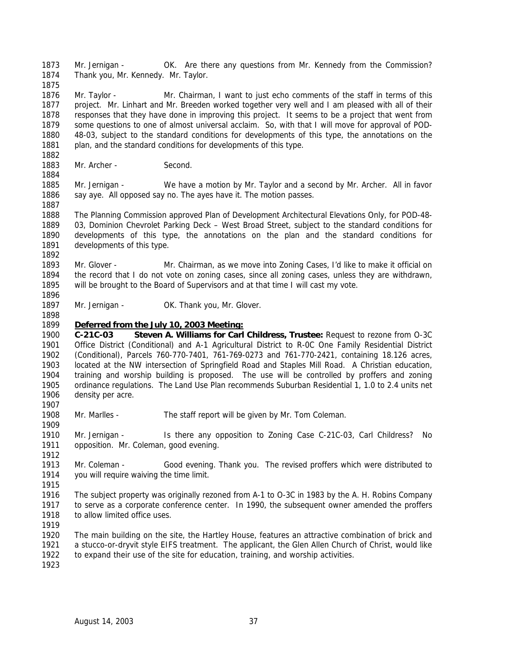Mr. Jernigan - OK. Are there any questions from Mr. Kennedy from the Commission? Thank you, Mr. Kennedy. Mr. Taylor.

 Mr. Taylor - Mr. Chairman, I want to just echo comments of the staff in terms of this project. Mr. Linhart and Mr. Breeden worked together very well and I am pleased with all of their responses that they have done in improving this project. It seems to be a project that went from some questions to one of almost universal acclaim. So, with that I will move for approval of POD- 48-03, subject to the standard conditions for developments of this type, the annotations on the 1881 plan, and the standard conditions for developments of this type.

1883 Mr. Archer - Second.

 Mr. Jernigan - We have a motion by Mr. Taylor and a second by Mr. Archer. All in favor 1886 say aye. All opposed say no. The ayes have it. The motion passes. 

 The Planning Commission approved Plan of Development Architectural Elevations Only, for POD-48- 03, Dominion Chevrolet Parking Deck – West Broad Street, subject to the standard conditions for developments of this type, the annotations on the plan and the standard conditions for developments of this type. 

 Mr. Glover - Mr. Chairman, as we move into Zoning Cases, I'd like to make it official on the record that I do not vote on zoning cases, since all zoning cases, unless they are withdrawn, will be brought to the Board of Supervisors and at that time I will cast my vote.

1897 Mr. Jernigan - OK. Thank you, Mr. Glover.

## *Deferred from the July 10, 2003 Meeting:*

 **C-21C-03 Steven A. Williams for Carl Childress, Trustee:** Request to rezone from O-3C Office District (Conditional) and A-1 Agricultural District to R-0C One Family Residential District (Conditional), Parcels 760-770-7401, 761-769-0273 and 761-770-2421, containing 18.126 acres, located at the NW intersection of Springfield Road and Staples Mill Road. A Christian education, training and worship building is proposed. The use will be controlled by proffers and zoning ordinance regulations. The Land Use Plan recommends Suburban Residential 1, 1.0 to 2.4 units net density per acre.

Mr. Marlles - The staff report will be given by Mr. Tom Coleman.

 Mr. Jernigan - Is there any opposition to Zoning Case C-21C-03, Carl Childress? No opposition. Mr. Coleman, good evening.

- Mr. Coleman Good evening. Thank you. The revised proffers which were distributed to you will require waiving the time limit.
- 

 The subject property was originally rezoned from A-1 to O-3C in 1983 by the A. H. Robins Company to serve as a corporate conference center. In 1990, the subsequent owner amended the proffers 1918 to allow limited office uses.

 The main building on the site, the Hartley House, features an attractive combination of brick and a stucco-or-dryvit style EIFS treatment. The applicant, the Glen Allen Church of Christ, would like to expand their use of the site for education, training, and worship activities.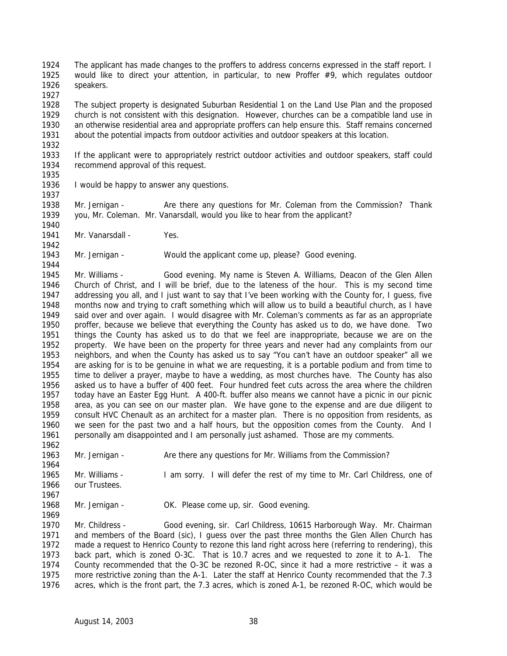The applicant has made changes to the proffers to address concerns expressed in the staff report. I would like to direct your attention, in particular, to new Proffer #9, which regulates outdoor speakers.

 The subject property is designated Suburban Residential 1 on the Land Use Plan and the proposed church is not consistent with this designation. However, churches can be a compatible land use in an otherwise residential area and appropriate proffers can help ensure this. Staff remains concerned about the potential impacts from outdoor activities and outdoor speakers at this location.

 If the applicant were to appropriately restrict outdoor activities and outdoor speakers, staff could recommend approval of this request.

 I would be happy to answer any questions. 

 Mr. Jernigan - Are there any questions for Mr. Coleman from the Commission? Thank you, Mr. Coleman. Mr. Vanarsdall, would you like to hear from the applicant? 

1941 Mr. Vanarsdall - Yes.

Mr. Jernigan - Would the applicant come up, please? Good evening.

 Mr. Williams - Good evening. My name is Steven A. Williams, Deacon of the Glen Allen Church of Christ, and I will be brief, due to the lateness of the hour. This is my second time addressing you all, and I just want to say that I've been working with the County for, I guess, five months now and trying to craft something which will allow us to build a beautiful church, as I have said over and over again. I would disagree with Mr. Coleman's comments as far as an appropriate proffer, because we believe that everything the County has asked us to do, we have done. Two things the County has asked us to do that we feel are inappropriate, because we are on the property. We have been on the property for three years and never had any complaints from our neighbors, and when the County has asked us to say "You can't have an outdoor speaker" all we are asking for is to be genuine in what we are requesting, it is a portable podium and from time to time to deliver a prayer, maybe to have a wedding, as most churches have. The County has also asked us to have a buffer of 400 feet. Four hundred feet cuts across the area where the children today have an Easter Egg Hunt. A 400-ft. buffer also means we cannot have a picnic in our picnic area, as you can see on our master plan. We have gone to the expense and are due diligent to consult HVC Chenault as an architect for a master plan. There is no opposition from residents, as we seen for the past two and a half hours, but the opposition comes from the County. And I personally am disappointed and I am personally just ashamed. Those are my comments.

1963 Mr. Jernigan - Are there any questions for Mr. Williams from the Commission?

 Mr. Williams - I am sorry. I will defer the rest of my time to Mr. Carl Childress, one of our Trustees.

Mr. Jernigan - OK. Please come up, sir. Good evening.

 Mr. Childress - Good evening, sir. Carl Childress, 10615 Harborough Way. Mr. Chairman and members of the Board (sic), I guess over the past three months the Glen Allen Church has made a request to Henrico County to rezone this land right across here (referring to rendering), this back part, which is zoned O-3C. That is 10.7 acres and we requested to zone it to A-1. The County recommended that the O-3C be rezoned R-OC, since it had a more restrictive – it was a more restrictive zoning than the A-1. Later the staff at Henrico County recommended that the 7.3 acres, which is the front part, the 7.3 acres, which is zoned A-1, be rezoned R-OC, which would be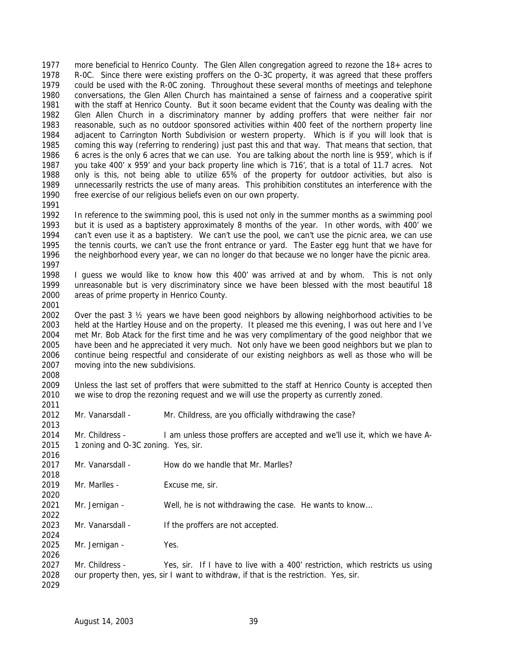more beneficial to Henrico County. The Glen Allen congregation agreed to rezone the 18+ acres to R-0C. Since there were existing proffers on the O-3C property, it was agreed that these proffers could be used with the R-0C zoning. Throughout these several months of meetings and telephone conversations, the Glen Allen Church has maintained a sense of fairness and a cooperative spirit with the staff at Henrico County. But it soon became evident that the County was dealing with the Glen Allen Church in a discriminatory manner by adding proffers that were neither fair nor reasonable, such as no outdoor sponsored activities within 400 feet of the northern property line adjacent to Carrington North Subdivision or western property. Which is if you will look that is coming this way (referring to rendering) just past this and that way. That means that section, that 6 acres is the only 6 acres that we can use. You are talking about the north line is 959', which is if you take 400' x 959' and your back property line which is 716', that is a total of 11.7 acres. Not only is this, not being able to utilize 65% of the property for outdoor activities, but also is unnecessarily restricts the use of many areas. This prohibition constitutes an interference with the free exercise of our religious beliefs even on our own property. 

 In reference to the swimming pool, this is used not only in the summer months as a swimming pool but it is used as a baptistery approximately 8 months of the year. In other words, with 400' we can't even use it as a baptistery. We can't use the pool, we can't use the picnic area, we can use the tennis courts, we can't use the front entrance or yard. The Easter egg hunt that we have for the neighborhood every year, we can no longer do that because we no longer have the picnic area. 

 I guess we would like to know how this 400' was arrived at and by whom. This is not only unreasonable but is very discriminatory since we have been blessed with the most beautiful 18 areas of prime property in Henrico County. 

 Over the past 3 ½ years we have been good neighbors by allowing neighborhood activities to be held at the Hartley House and on the property. It pleased me this evening, I was out here and I've met Mr. Bob Atack for the first time and he was very complimentary of the good neighbor that we have been and he appreciated it very much. Not only have we been good neighbors but we plan to continue being respectful and considerate of our existing neighbors as well as those who will be moving into the new subdivisions. 

 Unless the last set of proffers that were submitted to the staff at Henrico County is accepted then we wise to drop the rezoning request and we will use the property as currently zoned.

Mr. Vanarsdall - Mr. Childress, are you officially withdrawing the case?

 Mr. Childress - I am unless those proffers are accepted and we'll use it, which we have A-1 zoning and O-3C zoning. Yes, sir.

- 2017 Mr. Vanarsdall How do we handle that Mr. Marlles?
- Mr. Marlles Excuse me, sir.
- Mr. Jernigan Well, he is not withdrawing the case. He wants to know…
- 2023 Mr. Vanarsdall If the proffers are not accepted.
- Mr. Jernigan Yes.
- 2027 Mr. Childress Yes, sir. If I have to live with a 400' restriction, which restricts us using our property then, yes, sir I want to withdraw, if that is the restriction. Yes, sir.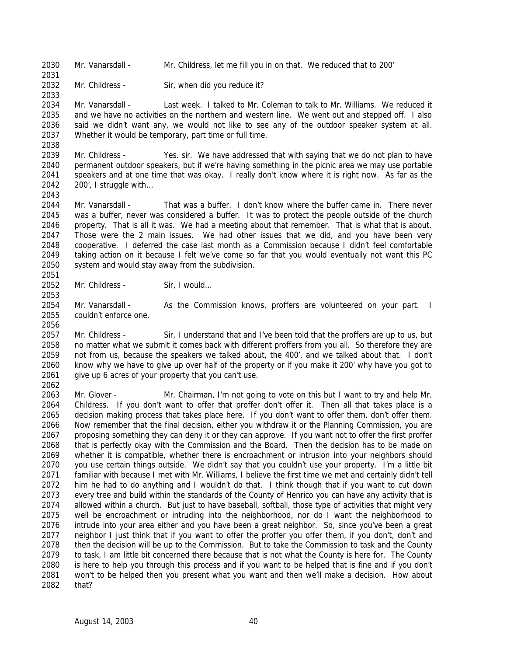Mr. Vanarsdall - Mr. Childress, let me fill you in on that. We reduced that to 200'

Mr. Childress - Sir, when did you reduce it?

 Mr. Vanarsdall - Last week. I talked to Mr. Coleman to talk to Mr. Williams. We reduced it and we have no activities on the northern and western line. We went out and stepped off. I also said we didn't want any, we would not like to see any of the outdoor speaker system at all. Whether it would be temporary, part time or full time. 

 Mr. Childress - Yes. sir. We have addressed that with saying that we do not plan to have permanent outdoor speakers, but if we're having something in the picnic area we may use portable speakers and at one time that was okay. I really don't know where it is right now. As far as the 200', I struggle with…

 Mr. Vanarsdall - That was a buffer. I don't know where the buffer came in. There never was a buffer, never was considered a buffer. It was to protect the people outside of the church property. That is all it was. We had a meeting about that remember. That is what that is about. Those were the 2 main issues. We had other issues that we did, and you have been very cooperative. I deferred the case last month as a Commission because I didn't feel comfortable taking action on it because I felt we've come so far that you would eventually not want this PC system and would stay away from the subdivision. 

2052 Mr. Childress - Sir, I would...

2054 Mr. Vanarsdall - As the Commission knows, proffers are volunteered on your part. I couldn't enforce one.

 Mr. Childress - Sir, I understand that and I've been told that the proffers are up to us, but no matter what we submit it comes back with different proffers from you all. So therefore they are not from us, because the speakers we talked about, the 400', and we talked about that. I don't know why we have to give up over half of the property or if you make it 200' why have you got to 2061 give up 6 acres of your property that you can't use. 

 Mr. Glover - Mr. Chairman, I'm not going to vote on this but I want to try and help Mr. Childress. If you don't want to offer that proffer don't offer it. Then all that takes place is a decision making process that takes place here. If you don't want to offer them, don't offer them. Now remember that the final decision, either you withdraw it or the Planning Commission, you are proposing something they can deny it or they can approve. If you want not to offer the first proffer that is perfectly okay with the Commission and the Board. Then the decision has to be made on whether it is compatible, whether there is encroachment or intrusion into your neighbors should you use certain things outside. We didn't say that you couldn't use your property. I'm a little bit familiar with because I met with Mr. Williams, I believe the first time we met and certainly didn't tell him he had to do anything and I wouldn't do that. I think though that if you want to cut down every tree and build within the standards of the County of Henrico you can have any activity that is allowed within a church. But just to have baseball, softball, those type of activities that might very 2075 well be encroachment or intruding into the neighborhood, nor do I want the neighborhood to intrude into your area either and you have been a great neighbor. So, since you've been a great neighbor I just think that if you want to offer the proffer you offer them, if you don't, don't and then the decision will be up to the Commission. But to take the Commission to task and the County to task, I am little bit concerned there because that is not what the County is here for. The County is here to help you through this process and if you want to be helped that is fine and if you don't won't to be helped then you present what you want and then we'll make a decision. How about that?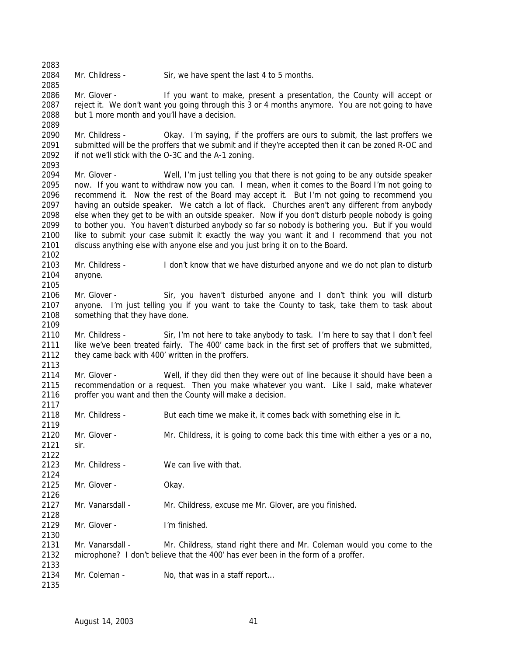2084 Mr. Childress - Sir, we have spent the last 4 to 5 months.

2086 Mr. Glover - If you want to make, present a presentation, the County will accept or reject it. We don't want you going through this 3 or 4 months anymore. You are not going to have but 1 more month and you'll have a decision. 

 Mr. Childress - Okay. I'm saying, if the proffers are ours to submit, the last proffers we submitted will be the proffers that we submit and if they're accepted then it can be zoned R-OC and if not we'll stick with the O-3C and the A-1 zoning. 

 Mr. Glover - Well, I'm just telling you that there is not going to be any outside speaker now. If you want to withdraw now you can. I mean, when it comes to the Board I'm not going to recommend it. Now the rest of the Board may accept it. But I'm not going to recommend you having an outside speaker. We catch a lot of flack. Churches aren't any different from anybody else when they get to be with an outside speaker. Now if you don't disturb people nobody is going to bother you. You haven't disturbed anybody so far so nobody is bothering you. But if you would like to submit your case submit it exactly the way you want it and I recommend that you not discuss anything else with anyone else and you just bring it on to the Board. 

 Mr. Childress - I don't know that we have disturbed anyone and we do not plan to disturb anyone.

 Mr. Glover - Sir, you haven't disturbed anyone and I don't think you will disturb anyone. I'm just telling you if you want to take the County to task, take them to task about something that they have done.

 Mr. Childress - Sir, I'm not here to take anybody to task. I'm here to say that I don't feel like we've been treated fairly. The 400' came back in the first set of proffers that we submitted, 2112 they came back with 400' written in the proffers.

 Mr. Glover - Well, if they did then they were out of line because it should have been a recommendation or a request. Then you make whatever you want. Like I said, make whatever 2116 proffer you want and then the County will make a decision.

 Mr. Childress - But each time we make it, it comes back with something else in it. Mr. Glover - Mr. Childress, it is going to come back this time with either a yes or a no, sir. Mr. Childress - We can live with that. Mr. Glover - Okay. Mr. Vanarsdall - Mr. Childress, excuse me Mr. Glover, are you finished. Mr. Glover - I'm finished. Mr. Vanarsdall - Mr. Childress, stand right there and Mr. Coleman would you come to the microphone? I don't believe that the 400' has ever been in the form of a proffer. 2134 Mr. Coleman - No, that was in a staff report...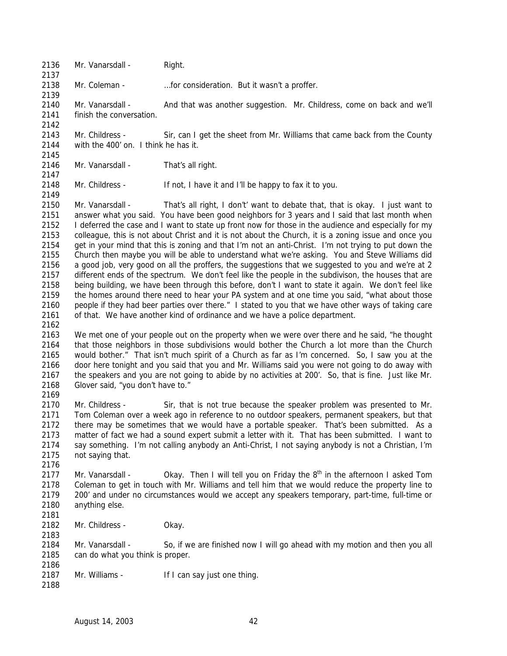2136 Mr. Vanarsdall - Right.

Mr. Coleman - …for consideration. But it wasn't a proffer.

 Mr. Vanarsdall - And that was another suggestion. Mr. Childress, come on back and we'll finish the conversation.

 Mr. Childress - Sir, can I get the sheet from Mr. Williams that came back from the County with the 400' on. I think he has it. 

2146 Mr. Vanarsdall - That's all right.

Mr. Childress - If not, I have it and I'll be happy to fax it to you.

 Mr. Vanarsdall - That's all right, I don't' want to debate that, that is okay. I just want to answer what you said. You have been good neighbors for 3 years and I said that last month when I deferred the case and I want to state up front now for those in the audience and especially for my colleague, this is not about Christ and it is not about the Church, it is a zoning issue and once you get in your mind that this is zoning and that I'm not an anti-Christ. I'm not trying to put down the Church then maybe you will be able to understand what we're asking. You and Steve Williams did a good job, very good on all the proffers, the suggestions that we suggested to you and we're at 2 different ends of the spectrum. We don't feel like the people in the subdivison, the houses that are being building, we have been through this before, don't I want to state it again. We don't feel like the homes around there need to hear your PA system and at one time you said, "what about those people if they had beer parties over there." I stated to you that we have other ways of taking care of that. We have another kind of ordinance and we have a police department. 

 We met one of your people out on the property when we were over there and he said, "he thought that those neighbors in those subdivisions would bother the Church a lot more than the Church would bother." That isn't much spirit of a Church as far as I'm concerned. So, I saw you at the door here tonight and you said that you and Mr. Williams said you were not going to do away with the speakers and you are not going to abide by no activities at 200'. So, that is fine. Just like Mr. Glover said, "you don't have to."

2170 Mr. Childress - Sir, that is not true because the speaker problem was presented to Mr. Tom Coleman over a week ago in reference to no outdoor speakers, permanent speakers, but that 2172 there may be sometimes that we would have a portable speaker. That's been submitted. As a matter of fact we had a sound expert submit a letter with it. That has been submitted. I want to say something. I'm not calling anybody an Anti-Christ, I not saying anybody is not a Christian, I'm not saying that.

2177 Mr. Vanarsdall - Ckay. Then I will tell you on Friday the  $8<sup>th</sup>$  in the afternoon I asked Tom Coleman to get in touch with Mr. Williams and tell him that we would reduce the property line to 200' and under no circumstances would we accept any speakers temporary, part-time, full-time or anything else.

Mr. Childress - Okay.

 Mr. Vanarsdall - So, if we are finished now I will go ahead with my motion and then you all can do what you think is proper. 

- 2187 Mr. Williams If I can say just one thing.
-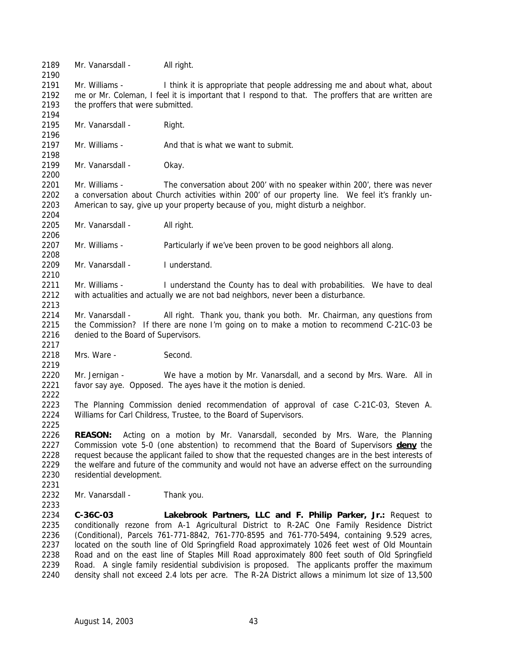2189 Mr. Vanarsdall - All right.

 Mr. Williams - I think it is appropriate that people addressing me and about what, about me or Mr. Coleman, I feel it is important that I respond to that. The proffers that are written are the proffers that were submitted.

2195 Mr. Vanarsdall - Right.

2197 Mr. Williams - And that is what we want to submit. 

2199 Mr. Vanarsdall - Okay.

 Mr. Williams - The conversation about 200' with no speaker within 200', there was never a conversation about Church activities within 200' of our property line. We feel it's frankly un-American to say, give up your property because of you, might disturb a neighbor.

2205 Mr. Vanarsdall - All right.

Mr. Williams - Particularly if we've been proven to be good neighbors all along.

2209 Mr. Vanarsdall - I understand.

 Mr. Williams - I understand the County has to deal with probabilities. We have to deal with actualities and actually we are not bad neighbors, never been a disturbance. 

 Mr. Vanarsdall - All right. Thank you, thank you both. Mr. Chairman, any questions from the Commission? If there are none I'm going on to make a motion to recommend C-21C-03 be denied to the Board of Supervisors.

2218 Mrs. Ware - Second.

 Mr. Jernigan - We have a motion by Mr. Vanarsdall, and a second by Mrs. Ware. All in favor say aye. Opposed. The ayes have it the motion is denied.

 The Planning Commission denied recommendation of approval of case C-21C-03, Steven A. Williams for Carl Childress, Trustee, to the Board of Supervisors.

 **REASON:** Acting on a motion by Mr. Vanarsdall, seconded by Mrs. Ware, the Planning Commission vote 5-0 (one abstention) to recommend that the Board of Supervisors **deny** the 2228 request because the applicant failed to show that the requested changes are in the best interests of 2229 the welfare and future of the community and would not have an adverse effect on the surrounding residential development.

Mr. Vanarsdall - Thank you.

 **C-36C-03 Lakebrook Partners, LLC and F. Philip Parker, Jr.:** Request to conditionally rezone from A-1 Agricultural District to R-2AC One Family Residence District (Conditional), Parcels 761-771-8842, 761-770-8595 and 761-770-5494, containing 9.529 acres, located on the south line of Old Springfield Road approximately 1026 feet west of Old Mountain Road and on the east line of Staples Mill Road approximately 800 feet south of Old Springfield Road. A single family residential subdivision is proposed. The applicants proffer the maximum density shall not exceed 2.4 lots per acre. The R-2A District allows a minimum lot size of 13,500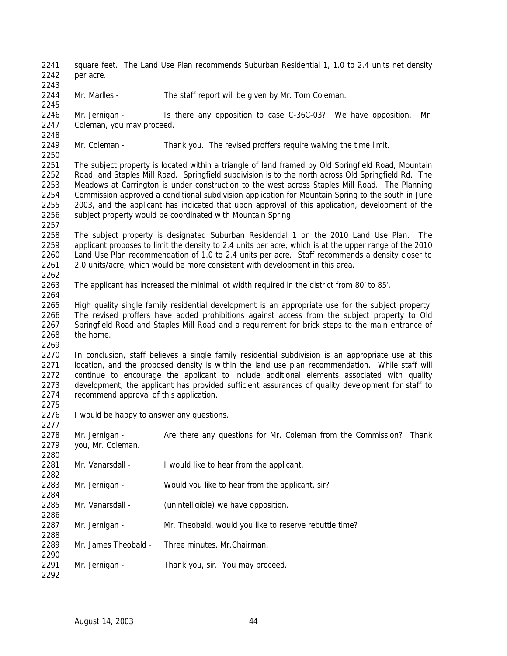- 2241 square feet. The Land Use Plan recommends Suburban Residential 1, 1.0 to 2.4 units net density per acre.
- Mr. Marlles The staff report will be given by Mr. Tom Coleman.

- Mr. Jernigan Is there any opposition to case C-36C-03? We have opposition. Mr. Coleman, you may proceed.
- Mr. Coleman Thank you. The revised proffers require waiving the time limit.
- The subject property is located within a triangle of land framed by Old Springfield Road, Mountain Road, and Staples Mill Road. Springfield subdivision is to the north across Old Springfield Rd. The Meadows at Carrington is under construction to the west across Staples Mill Road. The Planning Commission approved a conditional subdivision application for Mountain Spring to the south in June 2003, and the applicant has indicated that upon approval of this application, development of the 2256 subject property would be coordinated with Mountain Spring.
- The subject property is designated Suburban Residential 1 on the 2010 Land Use Plan. The applicant proposes to limit the density to 2.4 units per acre, which is at the upper range of the 2010 Land Use Plan recommendation of 1.0 to 2.4 units per acre. Staff recommends a density closer to 2.0 units/acre, which would be more consistent with development in this area.
- The applicant has increased the minimal lot width required in the district from 80' to 85'.
- High quality single family residential development is an appropriate use for the subject property. The revised proffers have added prohibitions against access from the subject property to Old Springfield Road and Staples Mill Road and a requirement for brick steps to the main entrance of the home.
- In conclusion, staff believes a single family residential subdivision is an appropriate use at this 2271 location, and the proposed density is within the land use plan recommendation. While staff will continue to encourage the applicant to include additional elements associated with quality development, the applicant has provided sufficient assurances of quality development for staff to recommend approval of this application.
- I would be happy to answer any questions.

| ZZ I I |                      |                                                              |       |
|--------|----------------------|--------------------------------------------------------------|-------|
| 2278   | Mr. Jernigan -       | Are there any questions for Mr. Coleman from the Commission? | Thank |
| 2279   | you, Mr. Coleman.    |                                                              |       |
| 2280   |                      |                                                              |       |
| 2281   | Mr. Vanarsdall -     | I would like to hear from the applicant.                     |       |
| 2282   |                      |                                                              |       |
| 2283   | Mr. Jernigan -       | Would you like to hear from the applicant, sir?              |       |
| 2284   |                      |                                                              |       |
| 2285   | Mr. Vanarsdall -     | (unintelligible) we have opposition.                         |       |
| 2286   |                      |                                                              |       |
| 2287   | Mr. Jernigan -       | Mr. Theobald, would you like to reserve rebuttle time?       |       |
| 2288   |                      |                                                              |       |
| 2289   | Mr. James Theobald - | Three minutes, Mr. Chairman.                                 |       |
| 2290   |                      |                                                              |       |
| 2291   | Mr. Jernigan -       | Thank you, sir. You may proceed.                             |       |
| 2292   |                      |                                                              |       |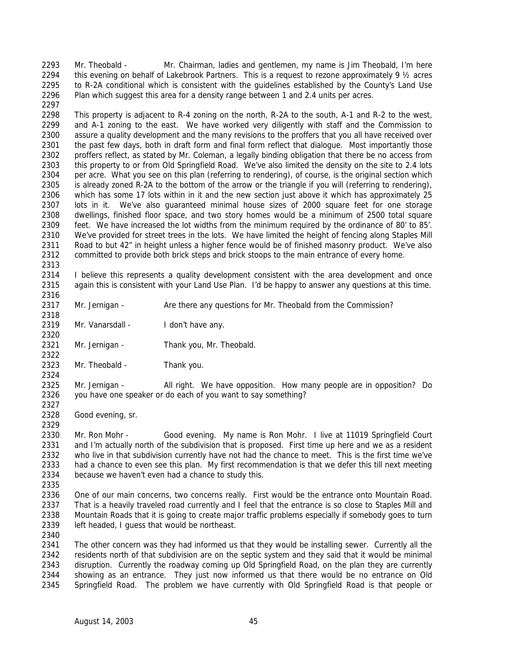Mr. Theobald - Mr. Chairman, ladies and gentlemen, my name is Jim Theobald, I'm here this evening on behalf of Lakebrook Partners. This is a request to rezone approximately 9 ½ acres 2295 to R-2A conditional which is consistent with the guidelines established by the County's Land Use Plan which suggest this area for a density range between 1 and 2.4 units per acres. 

 This property is adjacent to R-4 zoning on the north, R-2A to the south, A-1 and R-2 to the west, and A-1 zoning to the east. We have worked very diligently with staff and the Commission to assure a quality development and the many revisions to the proffers that you all have received over the past few days, both in draft form and final form reflect that dialogue. Most importantly those proffers reflect, as stated by Mr. Coleman, a legally binding obligation that there be no access from this property to or from Old Springfield Road. We've also limited the density on the site to 2.4 lots per acre. What you see on this plan (referring to rendering), of course, is the original section which 2305 is already zoned R-2A to the bottom of the arrow or the triangle if you will (referring to rendering), which has some 17 lots within in it and the new section just above it which has approximately 25 lots in it. We've also guaranteed minimal house sizes of 2000 square feet for one storage dwellings, finished floor space, and two story homes would be a minimum of 2500 total square feet. We have increased the lot widths from the minimum required by the ordinance of 80' to 85'. We've provided for street trees in the lots. We have limited the height of fencing along Staples Mill Road to but 42" in height unless a higher fence would be of finished masonry product. We've also committed to provide both brick steps and brick stoops to the main entrance of every home.

 I believe this represents a quality development consistent with the area development and once again this is consistent with your Land Use Plan. I'd be happy to answer any questions at this time.

2317 Mr. Jernigan - Are there any questions for Mr. Theobald from the Commission?

 2319 Mr. Vanarsdall - I don't have any.

 Mr. Jernigan - Thank you, Mr. Theobald.

 Mr. Theobald - Thank you. 

 Mr. Jernigan - All right. We have opposition. How many people are in opposition? Do you have one speaker or do each of you want to say something? 

Good evening, sr.

 Mr. Ron Mohr - Good evening. My name is Ron Mohr. I live at 11019 Springfield Court and I'm actually north of the subdivision that is proposed. First time up here and we as a resident who live in that subdivision currently have not had the chance to meet. This is the first time we've had a chance to even see this plan. My first recommendation is that we defer this till next meeting because we haven't even had a chance to study this.

 One of our main concerns, two concerns really. First would be the entrance onto Mountain Road. That is a heavily traveled road currently and I feel that the entrance is so close to Staples Mill and Mountain Roads that it is going to create major traffic problems especially if somebody goes to turn left headed, I guess that would be northeast.

 The other concern was they had informed us that they would be installing sewer. Currently all the residents north of that subdivision are on the septic system and they said that it would be minimal disruption. Currently the roadway coming up Old Springfield Road, on the plan they are currently showing as an entrance. They just now informed us that there would be no entrance on Old Springfield Road. The problem we have currently with Old Springfield Road is that people or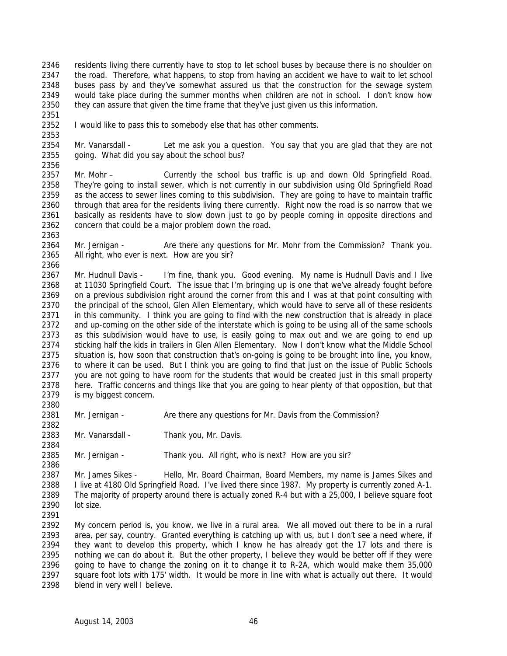2346 residents living there currently have to stop to let school buses by because there is no shoulder on 2347 the road. Therefore, what happens, to stop from having an accident we have to wait to let school buses pass by and they've somewhat assured us that the construction for the sewage system would take place during the summer months when children are not in school. I don't know how 2350 they can assure that given the time frame that they've just given us this information.

2352 I would like to pass this to somebody else that has other comments.

 Mr. Vanarsdall - Let me ask you a question. You say that you are glad that they are not going. What did you say about the school bus? 

- Mr. Mohr Currently the school bus traffic is up and down Old Springfield Road. They're going to install sewer, which is not currently in our subdivision using Old Springfield Road as the access to sewer lines coming to this subdivision. They are going to have to maintain traffic through that area for the residents living there currently. Right now the road is so narrow that we basically as residents have to slow down just to go by people coming in opposite directions and concern that could be a major problem down the road.
- 2364 Mr. Jernigan Are there any questions for Mr. Mohr from the Commission? Thank you. All right, who ever is next. How are you sir?

 Mr. Hudnull Davis - I'm fine, thank you. Good evening. My name is Hudnull Davis and I live at 11030 Springfield Court. The issue that I'm bringing up is one that we've already fought before on a previous subdivision right around the corner from this and I was at that point consulting with 2370 the principal of the school, Glen Allen Elementary, which would have to serve all of these residents in this community. I think you are going to find with the new construction that is already in place and up-coming on the other side of the interstate which is going to be using all of the same schools as this subdivision would have to use, is easily going to max out and we are going to end up sticking half the kids in trailers in Glen Allen Elementary. Now I don't know what the Middle School situation is, how soon that construction that's on-going is going to be brought into line, you know, to where it can be used. But I think you are going to find that just on the issue of Public Schools you are not going to have room for the students that would be created just in this small property here. Traffic concerns and things like that you are going to hear plenty of that opposition, but that is my biggest concern.

2381 Mr. Jernigan - Are there any questions for Mr. Davis from the Commission?

2383 Mr. Vanarsdall - Thank you, Mr. Davis.

Mr. Jernigan - Thank you. All right, who is next? How are you sir?

 Mr. James Sikes - Hello, Mr. Board Chairman, Board Members, my name is James Sikes and 2388 I live at 4180 Old Springfield Road. I've lived there since 1987. My property is currently zoned A-1. The majority of property around there is actually zoned R-4 but with a 25,000, I believe square foot lot size. 

 My concern period is, you know, we live in a rural area. We all moved out there to be in a rural area, per say, country. Granted everything is catching up with us, but I don't see a need where, if they want to develop this property, which I know he has already got the 17 lots and there is nothing we can do about it. But the other property, I believe they would be better off if they were going to have to change the zoning on it to change it to R-2A, which would make them 35,000 square foot lots with 175' width. It would be more in line with what is actually out there. It would blend in very well I believe.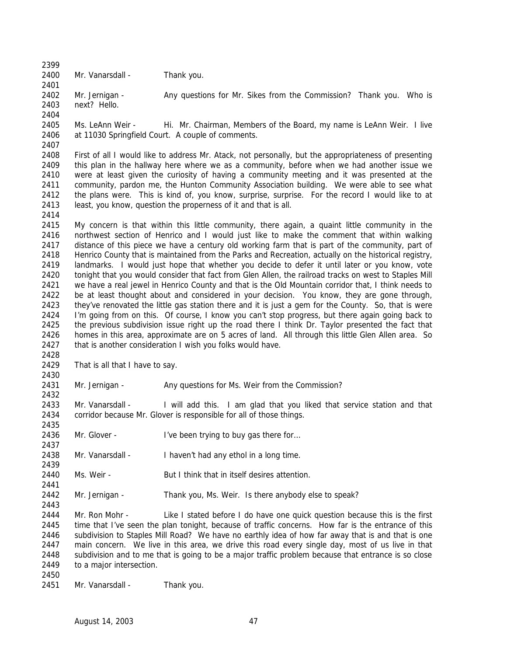2400 Mr. Vanarsdall - Thank you. 

2402 Mr. Jernigan - Any questions for Mr. Sikes from the Commission? Thank you. Who is next? Hello. 

 Ms. LeAnn Weir - Hi. Mr. Chairman, Members of the Board, my name is LeAnn Weir. I live at 11030 Springfield Court. A couple of comments. 

 First of all I would like to address Mr. Atack, not personally, but the appropriateness of presenting this plan in the hallway here where we as a community, before when we had another issue we were at least given the curiosity of having a community meeting and it was presented at the community, pardon me, the Hunton Community Association building. We were able to see what the plans were. This is kind of, you know, surprise, surprise. For the record I would like to at 2413 least, you know, question the properness of it and that is all.

 My concern is that within this little community, there again, a quaint little community in the northwest section of Henrico and I would just like to make the comment that within walking distance of this piece we have a century old working farm that is part of the community, part of 2418 Henrico County that is maintained from the Parks and Recreation, actually on the historical registry, landmarks. I would just hope that whether you decide to defer it until later or you know, vote tonight that you would consider that fact from Glen Allen, the railroad tracks on west to Staples Mill we have a real jewel in Henrico County and that is the Old Mountain corridor that, I think needs to be at least thought about and considered in your decision. You know, they are gone through, 2423 they've renovated the little gas station there and it is just a gem for the County. So, that is were I'm going from on this. Of course, I know you can't stop progress, but there again going back to the previous subdivision issue right up the road there I think Dr. Taylor presented the fact that homes in this area, approximate are on 5 acres of land. All through this little Glen Allen area. So 2427 that is another consideration I wish you folks would have.

That is all that I have to say.

Mr. Jernigan - Any questions for Ms. Weir from the Commission?

2433 Mr. Vanarsdall - I will add this. I am glad that you liked that service station and that corridor because Mr. Glover is responsible for all of those things.

2436 Mr. Glover - I've been trying to buy gas there for...

Mr. Vanarsdall - I haven't had any ethol in a long time.

Ms. Weir - But I think that in itself desires attention.

Mr. Jernigan - Thank you, Ms. Weir. Is there anybody else to speak?

2444 Mr. Ron Mohr - Like I stated before I do have one quick question because this is the first time that I've seen the plan tonight, because of traffic concerns. How far is the entrance of this subdivision to Staples Mill Road? We have no earthly idea of how far away that is and that is one main concern. We live in this area, we drive this road every single day, most of us live in that subdivision and to me that is going to be a major traffic problem because that entrance is so close to a major intersection.

2451 Mr. Vanarsdall - Thank you.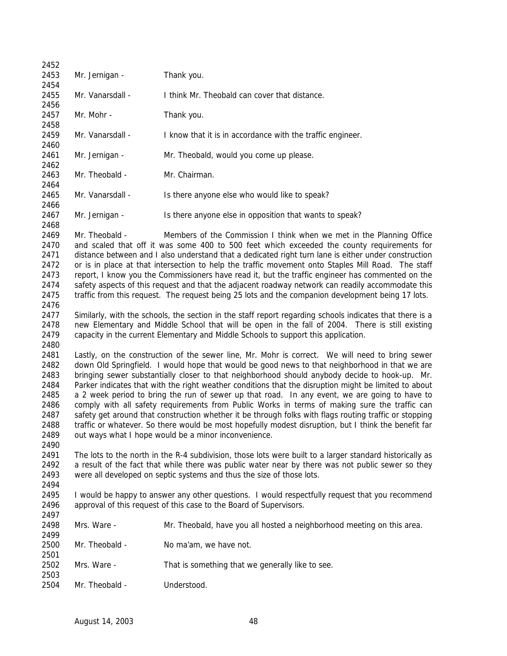| 2452                                                                         |                                                                                                                                                                       |                                                                                                                                                                                                                                                                                                                                                                                                                                                                                                                                                                                                                                                                                                                                                                                                                                                                                          |
|------------------------------------------------------------------------------|-----------------------------------------------------------------------------------------------------------------------------------------------------------------------|------------------------------------------------------------------------------------------------------------------------------------------------------------------------------------------------------------------------------------------------------------------------------------------------------------------------------------------------------------------------------------------------------------------------------------------------------------------------------------------------------------------------------------------------------------------------------------------------------------------------------------------------------------------------------------------------------------------------------------------------------------------------------------------------------------------------------------------------------------------------------------------|
| 2453<br>2454                                                                 | Mr. Jernigan -                                                                                                                                                        | Thank you.                                                                                                                                                                                                                                                                                                                                                                                                                                                                                                                                                                                                                                                                                                                                                                                                                                                                               |
| 2455<br>2456                                                                 | Mr. Vanarsdall -                                                                                                                                                      | I think Mr. Theobald can cover that distance.                                                                                                                                                                                                                                                                                                                                                                                                                                                                                                                                                                                                                                                                                                                                                                                                                                            |
| 2457<br>2458                                                                 | Mr. Mohr -                                                                                                                                                            | Thank you.                                                                                                                                                                                                                                                                                                                                                                                                                                                                                                                                                                                                                                                                                                                                                                                                                                                                               |
| 2459<br>2460                                                                 | Mr. Vanarsdall -                                                                                                                                                      | I know that it is in accordance with the traffic engineer.                                                                                                                                                                                                                                                                                                                                                                                                                                                                                                                                                                                                                                                                                                                                                                                                                               |
| 2461<br>2462                                                                 | Mr. Jernigan -                                                                                                                                                        | Mr. Theobald, would you come up please.                                                                                                                                                                                                                                                                                                                                                                                                                                                                                                                                                                                                                                                                                                                                                                                                                                                  |
| 2463<br>2464                                                                 | Mr. Theobald -                                                                                                                                                        | Mr. Chairman.                                                                                                                                                                                                                                                                                                                                                                                                                                                                                                                                                                                                                                                                                                                                                                                                                                                                            |
| 2465<br>2466                                                                 | Mr. Vanarsdall -                                                                                                                                                      | Is there anyone else who would like to speak?                                                                                                                                                                                                                                                                                                                                                                                                                                                                                                                                                                                                                                                                                                                                                                                                                                            |
| 2467<br>2468                                                                 | Mr. Jernigan -                                                                                                                                                        | Is there anyone else in opposition that wants to speak?                                                                                                                                                                                                                                                                                                                                                                                                                                                                                                                                                                                                                                                                                                                                                                                                                                  |
| 2469<br>2470<br>2471<br>2472<br>2473<br>2474<br>2475                         | Mr. Theobald -                                                                                                                                                        | Members of the Commission I think when we met in the Planning Office<br>and scaled that off it was some 400 to 500 feet which exceeded the county requirements for<br>distance between and I also understand that a dedicated right turn lane is either under construction<br>or is in place at that intersection to help the traffic movement onto Staples Mill Road. The staff<br>report, I know you the Commissioners have read it, but the traffic engineer has commented on the<br>safety aspects of this request and that the adjacent roadway network can readily accommodate this<br>traffic from this request. The request being 25 lots and the companion development being 17 lots.                                                                                                                                                                                           |
| 2476<br>2477<br>2478<br>2479<br>2480                                         |                                                                                                                                                                       | Similarly, with the schools, the section in the staff report regarding schools indicates that there is a<br>new Elementary and Middle School that will be open in the fall of 2004. There is still existing<br>capacity in the current Elementary and Middle Schools to support this application.                                                                                                                                                                                                                                                                                                                                                                                                                                                                                                                                                                                        |
| 2481<br>2482<br>2483<br>2484<br>2485<br>2486<br>2487<br>2488<br>2489<br>2490 |                                                                                                                                                                       | Lastly, on the construction of the sewer line, Mr. Mohr is correct. We will need to bring sewer<br>down Old Springfield. I would hope that would be good news to that neighborhood in that we are<br>bringing sewer substantially closer to that neighborhood should anybody decide to hook-up. Mr.<br>Parker indicates that with the right weather conditions that the disruption might be limited to about<br>a 2 week period to bring the run of sewer up that road. In any event, we are going to have to<br>comply with all safety requirements from Public Works in terms of making sure the traffic can<br>safety get around that construction whether it be through folks with flags routing traffic or stopping<br>traffic or whatever. So there would be most hopefully modest disruption, but I think the benefit far<br>out ways what I hope would be a minor inconvenience. |
| 2491<br>2492<br>2493<br>2494                                                 |                                                                                                                                                                       | The lots to the north in the R-4 subdivision, those lots were built to a larger standard historically as<br>a result of the fact that while there was public water near by there was not public sewer so they<br>were all developed on septic systems and thus the size of those lots.                                                                                                                                                                                                                                                                                                                                                                                                                                                                                                                                                                                                   |
| 2495<br>2496<br>2497                                                         | I would be happy to answer any other questions. I would respectfully request that you recommend<br>approval of this request of this case to the Board of Supervisors. |                                                                                                                                                                                                                                                                                                                                                                                                                                                                                                                                                                                                                                                                                                                                                                                                                                                                                          |
| 2498<br>2499                                                                 | Mrs. Ware -                                                                                                                                                           | Mr. Theobald, have you all hosted a neighborhood meeting on this area.                                                                                                                                                                                                                                                                                                                                                                                                                                                                                                                                                                                                                                                                                                                                                                                                                   |
| 2500<br>2501                                                                 | Mr. Theobald -                                                                                                                                                        | No ma'am, we have not.                                                                                                                                                                                                                                                                                                                                                                                                                                                                                                                                                                                                                                                                                                                                                                                                                                                                   |
| 2502<br>2503                                                                 | Mrs. Ware -                                                                                                                                                           | That is something that we generally like to see.                                                                                                                                                                                                                                                                                                                                                                                                                                                                                                                                                                                                                                                                                                                                                                                                                                         |
| 2504                                                                         | Mr. Theobald -                                                                                                                                                        | Understood.                                                                                                                                                                                                                                                                                                                                                                                                                                                                                                                                                                                                                                                                                                                                                                                                                                                                              |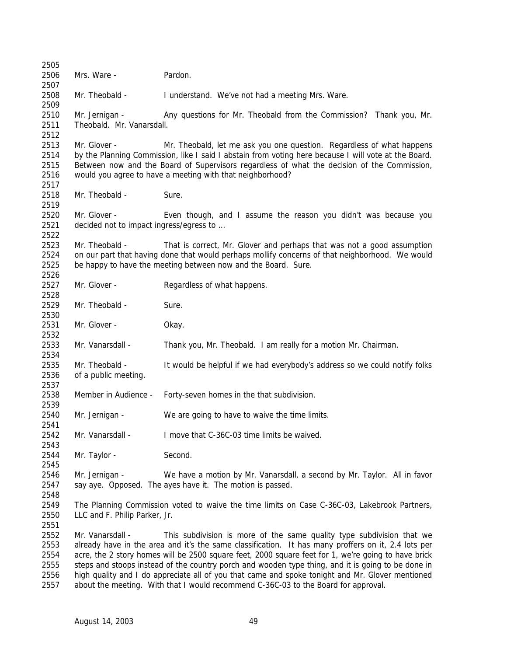Mrs. Ware - Pardon. 2508 Mr. Theobald - I understand. We've not had a meeting Mrs. Ware. 2510 Mr. Jernigan - Any questions for Mr. Theobald from the Commission? Thank you, Mr. Theobald. Mr. Vanarsdall. Mr. Glover - Mr. Theobald, let me ask you one question. Regardless of what happens by the Planning Commission, like I said I abstain from voting here because I will vote at the Board. Between now and the Board of Supervisors regardless of what the decision of the Commission, would you agree to have a meeting with that neighborhood? 2518 Mr. Theobald - Sure. Mr. Glover - Even though, and I assume the reason you didn't was because you decided not to impact ingress/egress to … Mr. Theobald - That is correct, Mr. Glover and perhaps that was not a good assumption on our part that having done that would perhaps mollify concerns of that neighborhood. We would be happy to have the meeting between now and the Board. Sure. Mr. Glover - Regardless of what happens. 2529 Mr. Theobald - Sure. Mr. Glover - Okay. Mr. Vanarsdall - Thank you, Mr. Theobald. I am really for a motion Mr. Chairman. Mr. Theobald - It would be helpful if we had everybody's address so we could notify folks of a public meeting. Member in Audience - Forty-seven homes in the that subdivision. Mr. Jernigan - We are going to have to waive the time limits. Mr. Vanarsdall - I move that C-36C-03 time limits be waived. 2544 Mr. Taylor - Second. Mr. Jernigan - We have a motion by Mr. Vanarsdall, a second by Mr. Taylor. All in favor say aye. Opposed. The ayes have it. The motion is passed. The Planning Commission voted to waive the time limits on Case C-36C-03, Lakebrook Partners, LLC and F. Philip Parker, Jr. Mr. Vanarsdall - This subdivision is more of the same quality type subdivision that we already have in the area and it's the same classification. It has many proffers on it, 2.4 lots per acre, the 2 story homes will be 2500 square feet, 2000 square feet for 1, we're going to have brick 2555 steps and stoops instead of the country porch and wooden type thing, and it is going to be done in high quality and I do appreciate all of you that came and spoke tonight and Mr. Glover mentioned about the meeting. With that I would recommend C-36C-03 to the Board for approval.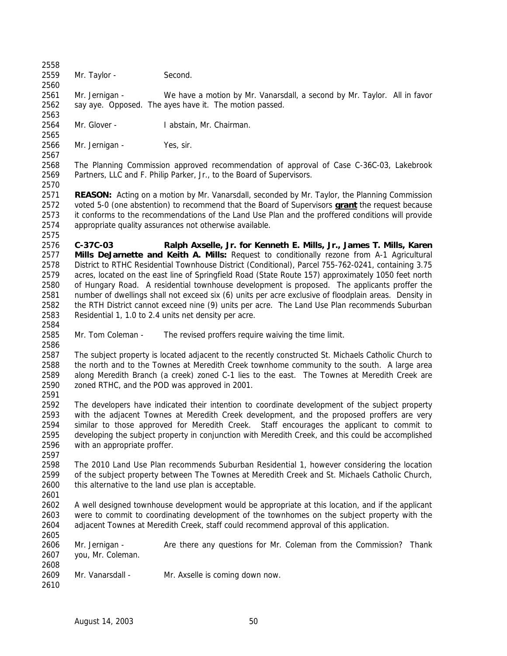Mr. Taylor - Second.

 Mr. Jernigan - We have a motion by Mr. Vanarsdall, a second by Mr. Taylor. All in favor say aye. Opposed. The ayes have it. The motion passed. 

Mr. Glover - I abstain, Mr. Chairman.

 Mr. Jernigan - Yes, sir. 

 The Planning Commission approved recommendation of approval of Case C-36C-03, Lakebrook Partners, LLC and F. Philip Parker, Jr., to the Board of Supervisors.

 **REASON:** Acting on a motion by Mr. Vanarsdall, seconded by Mr. Taylor, the Planning Commission voted 5-0 (one abstention) to recommend that the Board of Supervisors **grant** the request because it conforms to the recommendations of the Land Use Plan and the proffered conditions will provide appropriate quality assurances not otherwise available.

 **C-37C-03 Ralph Axselle, Jr. for Kenneth E. Mills, Jr., James T. Mills, Karen Mills DeJarnette and Keith A. Mills:** Request to conditionally rezone from A-1 Agricultural District to RTHC Residential Townhouse District (Conditional), Parcel 755-762-0241, containing 3.75 acres, located on the east line of Springfield Road (State Route 157) approximately 1050 feet north of Hungary Road. A residential townhouse development is proposed. The applicants proffer the number of dwellings shall not exceed six (6) units per acre exclusive of floodplain areas. Density in the RTH District cannot exceed nine (9) units per acre. The Land Use Plan recommends Suburban Residential 1, 1.0 to 2.4 units net density per acre.

Mr. Tom Coleman - The revised proffers require waiving the time limit.

 2587 The subject property is located adjacent to the recently constructed St. Michaels Catholic Church to the north and to the Townes at Meredith Creek townhome community to the south. A large area along Meredith Branch (a creek) zoned C-1 lies to the east. The Townes at Meredith Creek are zoned RTHC, and the POD was approved in 2001.

 The developers have indicated their intention to coordinate development of the subject property with the adjacent Townes at Meredith Creek development, and the proposed proffers are very similar to those approved for Meredith Creek. Staff encourages the applicant to commit to developing the subject property in conjunction with Meredith Creek, and this could be accomplished with an appropriate proffer.

 The 2010 Land Use Plan recommends Suburban Residential 1, however considering the location of the subject property between The Townes at Meredith Creek and St. Michaels Catholic Church, this alternative to the land use plan is acceptable.

 A well designed townhouse development would be appropriate at this location, and if the applicant were to commit to coordinating development of the townhomes on the subject property with the adjacent Townes at Meredith Creek, staff could recommend approval of this application.

 Mr. Jernigan - Are there any questions for Mr. Coleman from the Commission? Thank you, Mr. Coleman. 

 Mr. Vanarsdall - Mr. Axselle is coming down now.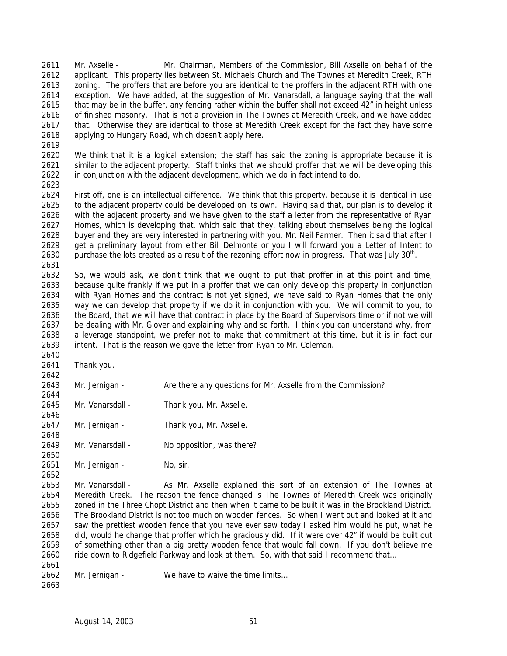Mr. Axselle - Mr. Chairman, Members of the Commission, Bill Axselle on behalf of the applicant. This property lies between St. Michaels Church and The Townes at Meredith Creek, RTH zoning. The proffers that are before you are identical to the proffers in the adjacent RTH with one exception. We have added, at the suggestion of Mr. Vanarsdall, a language saying that the wall 2615 that may be in the buffer, any fencing rather within the buffer shall not exceed 42" in height unless of finished masonry. That is not a provision in The Townes at Meredith Creek, and we have added that. Otherwise they are identical to those at Meredith Creek except for the fact they have some applying to Hungary Road, which doesn't apply here.

 We think that it is a logical extension; the staff has said the zoning is appropriate because it is similar to the adjacent property. Staff thinks that we should proffer that we will be developing this in conjunction with the adjacent development, which we do in fact intend to do.

 First off, one is an intellectual difference. We think that this property, because it is identical in use to the adjacent property could be developed on its own. Having said that, our plan is to develop it with the adjacent property and we have given to the staff a letter from the representative of Ryan Homes, which is developing that, which said that they, talking about themselves being the logical buyer and they are very interested in partnering with you, Mr. Neil Farmer. Then it said that after I get a preliminary layout from either Bill Delmonte or you I will forward you a Letter of Intent to 2630 purchase the lots created as a result of the rezoning effort now in progress. That was July  $30<sup>th</sup>$ . 

 So, we would ask, we don't think that we ought to put that proffer in at this point and time, because quite frankly if we put in a proffer that we can only develop this property in conjunction with Ryan Homes and the contract is not yet signed, we have said to Ryan Homes that the only way we can develop that property if we do it in conjunction with you. We will commit to you, to 2636 the Board, that we will have that contract in place by the Board of Supervisors time or if not we will be dealing with Mr. Glover and explaining why and so forth. I think you can understand why, from a leverage standpoint, we prefer not to make that commitment at this time, but it is in fact our intent. That is the reason we gave the letter from Ryan to Mr. Coleman. 

 Thank you. 

Mr. Jernigan - Are there any questions for Mr. Axselle from the Commission?

2645 Mr. Vanarsdall - Thank you, Mr. Axselle.

 2647 Mr. Jernigan - Thank you, Mr. Axselle.

Mr. Vanarsdall - No opposition, was there?

2651 Mr. Jernigan - No, sir.

 Mr. Vanarsdall - As Mr. Axselle explained this sort of an extension of The Townes at Meredith Creek. The reason the fence changed is The Townes of Meredith Creek was originally zoned in the Three Chopt District and then when it came to be built it was in the Brookland District. The Brookland District is not too much on wooden fences. So when I went out and looked at it and saw the prettiest wooden fence that you have ever saw today I asked him would he put, what he did, would he change that proffer which he graciously did. If it were over 42" if would be built out of something other than a big pretty wooden fence that would fall down. If you don't believe me 2660 ride down to Ridgefield Parkway and look at them. So, with that said I recommend that... 

2662 Mr. Jernigan - We have to waive the time limits...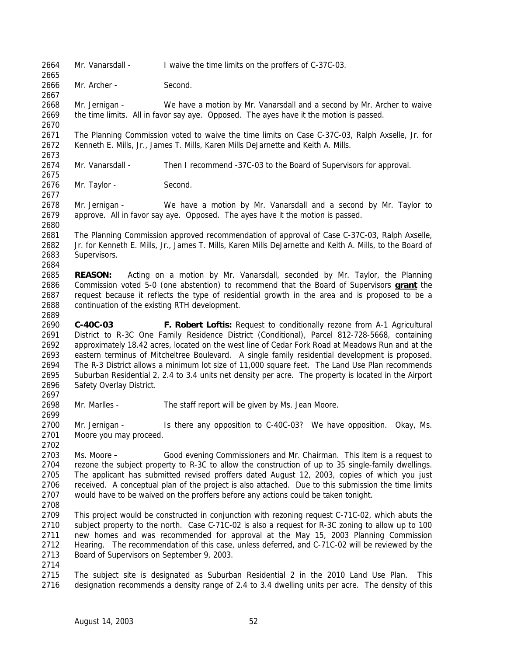- 2664 Mr. Vanarsdall I waive the time limits on the proffers of C-37C-03.
- Mr. Archer Second.

 Mr. Jernigan - We have a motion by Mr. Vanarsdall and a second by Mr. Archer to waive the time limits. All in favor say aye. Opposed. The ayes have it the motion is passed.

 The Planning Commission voted to waive the time limits on Case C-37C-03, Ralph Axselle, Jr. for Kenneth E. Mills, Jr., James T. Mills, Karen Mills DeJarnette and Keith A. Mills. 

Mr. Vanarsdall - Then I recommend -37C-03 to the Board of Supervisors for approval.

Mr. Taylor - Second.

 Mr. Jernigan - We have a motion by Mr. Vanarsdall and a second by Mr. Taylor to approve. All in favor say aye. Opposed. The ayes have it the motion is passed.

 The Planning Commission approved recommendation of approval of Case C-37C-03, Ralph Axselle, Jr. for Kenneth E. Mills, Jr., James T. Mills, Karen Mills DeJarnette and Keith A. Mills, to the Board of Supervisors.

 **REASON:** Acting on a motion by Mr. Vanarsdall, seconded by Mr. Taylor, the Planning Commission voted 5-0 (one abstention) to recommend that the Board of Supervisors **grant** the request because it reflects the type of residential growth in the area and is proposed to be a continuation of the existing RTH development.

 **C-40C-03 F. Robert Loftis:** Request to conditionally rezone from A-1 Agricultural District to R-3C One Family Residence District (Conditional), Parcel 812-728-5668, containing approximately 18.42 acres, located on the west line of Cedar Fork Road at Meadows Run and at the eastern terminus of Mitcheltree Boulevard. A single family residential development is proposed. The R-3 District allows a minimum lot size of 11,000 square feet. The Land Use Plan recommends Suburban Residential 2, 2.4 to 3.4 units net density per acre. The property is located in the Airport Safety Overlay District.

Mr. Marlles - The staff report will be given by Ms. Jean Moore.

 Mr. Jernigan - Is there any opposition to C-40C-03? We have opposition. Okay, Ms. Moore you may proceed.

 Ms. Moore **-** Good evening Commissioners and Mr. Chairman. This item is a request to rezone the subject property to R-3C to allow the construction of up to 35 single-family dwellings. The applicant has submitted revised proffers dated August 12, 2003, copies of which you just received. A conceptual plan of the project is also attached. Due to this submission the time limits would have to be waived on the proffers before any actions could be taken tonight.

 This project would be constructed in conjunction with rezoning request C-71C-02, which abuts the subject property to the north. Case C-71C-02 is also a request for R-3C zoning to allow up to 100 new homes and was recommended for approval at the May 15, 2003 Planning Commission Hearing. The recommendation of this case, unless deferred, and C-71C-02 will be reviewed by the Board of Supervisors on September 9, 2003.

 The subject site is designated as Suburban Residential 2 in the 2010 Land Use Plan. This designation recommends a density range of 2.4 to 3.4 dwelling units per acre. The density of this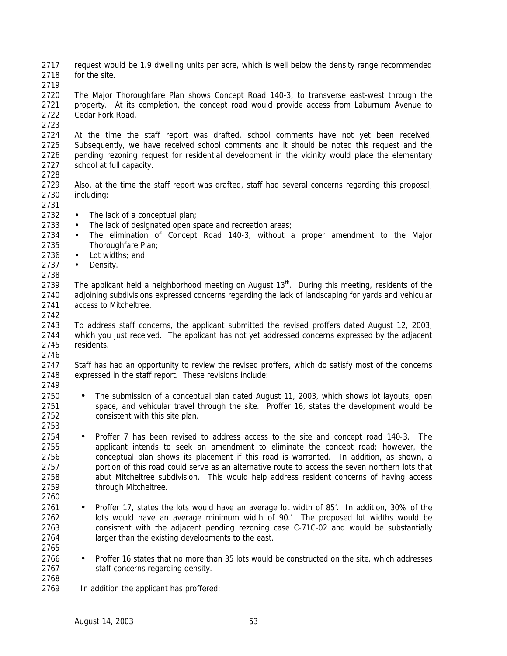request would be 1.9 dwelling units per acre, which is well below the density range recommended for the site.

 The Major Thoroughfare Plan shows Concept Road 140-3, to transverse east-west through the 2721 property. At its completion, the concept road would provide access from Laburnum Avenue to Cedar Fork Road.

 At the time the staff report was drafted, school comments have not yet been received. Subsequently, we have received school comments and it should be noted this request and the pending rezoning request for residential development in the vicinity would place the elementary school at full capacity. 

 Also, at the time the staff report was drafted, staff had several concerns regarding this proposal, including:

- 
- 2732 The lack of a conceptual plan;
- 2733 The lack of designated open space and recreation areas;
- The elimination of Concept Road 140-3, without a proper amendment to the Major Thoroughfare Plan;
- Lot widths; and
- Density.

2739 The applicant held a neighborhood meeting on August  $13<sup>th</sup>$ . During this meeting, residents of the adjoining subdivisions expressed concerns regarding the lack of landscaping for yards and vehicular access to Mitcheltree.

 To address staff concerns, the applicant submitted the revised proffers dated August 12, 2003, which you just received. The applicant has not yet addressed concerns expressed by the adjacent residents. 

 Staff has had an opportunity to review the revised proffers, which do satisfy most of the concerns expressed in the staff report. These revisions include:

- 
- The submission of a conceptual plan dated August 11, 2003, which shows lot layouts, open 2751 space, and vehicular travel through the site. Proffer 16, states the development would be consistent with this site plan.
- 

- Proffer 7 has been revised to address access to the site and concept road 140-3. The applicant intends to seek an amendment to eliminate the concept road; however, the conceptual plan shows its placement if this road is warranted. In addition, as shown, a portion of this road could serve as an alternative route to access the seven northern lots that abut Mitcheltree subdivision. This would help address resident concerns of having access through Mitcheltree.
- Proffer 17, states the lots would have an average lot width of 85'. In addition, 30% of the lots would have an average minimum width of 90.' The proposed lot widths would be consistent with the adjacent pending rezoning case C-71C-02 and would be substantially 2764 larger than the existing developments to the east.
- Proffer 16 states that no more than 35 lots would be constructed on the site, which addresses 2767 staff concerns regarding density.
- 

In addition the applicant has proffered: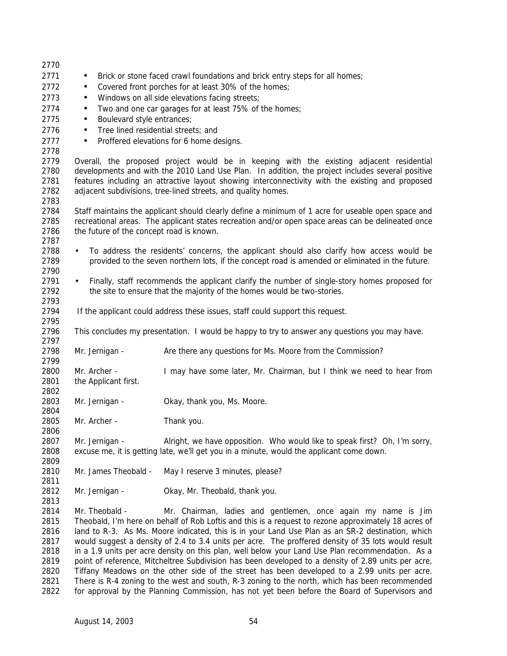| 2770         |                                                                                                  |                                                                                                      |  |
|--------------|--------------------------------------------------------------------------------------------------|------------------------------------------------------------------------------------------------------|--|
| 2771         | $\bullet$                                                                                        | Brick or stone faced crawl foundations and brick entry steps for all homes;                          |  |
| 2772         | Covered front porches for at least 30% of the homes;<br>$\bullet$                                |                                                                                                      |  |
| 2773         | Windows on all side elevations facing streets;<br>$\bullet$                                      |                                                                                                      |  |
| 2774         | Two and one car garages for at least 75% of the homes;<br>$\bullet$                              |                                                                                                      |  |
| 2775         | Boulevard style entrances;<br>$\bullet$                                                          |                                                                                                      |  |
| 2776         | Tree lined residential streets; and                                                              |                                                                                                      |  |
| 2777         | $\bullet$                                                                                        |                                                                                                      |  |
| 2778         | Proffered elevations for 6 home designs.<br>$\bullet$                                            |                                                                                                      |  |
| 2779         | Overall, the proposed project would be in keeping with the existing adjacent residential         |                                                                                                      |  |
| 2780         | developments and with the 2010 Land Use Plan. In addition, the project includes several positive |                                                                                                      |  |
| 2781         | features including an attractive layout showing interconnectivity with the existing and proposed |                                                                                                      |  |
| 2782         | adjacent subdivisions, tree-lined streets, and quality homes.                                    |                                                                                                      |  |
| 2783         |                                                                                                  |                                                                                                      |  |
| 2784         |                                                                                                  | Staff maintains the applicant should clearly define a minimum of 1 acre for useable open space and   |  |
| 2785         |                                                                                                  | recreational areas. The applicant states recreation and/or open space areas can be delineated once   |  |
| 2786         | the future of the concept road is known.                                                         |                                                                                                      |  |
| 2787         |                                                                                                  |                                                                                                      |  |
| 2788         | $\bullet$                                                                                        | To address the residents' concerns, the applicant should also clarify how access would be            |  |
| 2789         |                                                                                                  | provided to the seven northern lots, if the concept road is amended or eliminated in the future.     |  |
| 2790         |                                                                                                  |                                                                                                      |  |
| 2791         | $\bullet$                                                                                        | Finally, staff recommends the applicant clarify the number of single-story homes proposed for        |  |
| 2792         |                                                                                                  | the site to ensure that the majority of the homes would be two-stories.                              |  |
| 2793         |                                                                                                  |                                                                                                      |  |
| 2794         |                                                                                                  | If the applicant could address these issues, staff could support this request.                       |  |
| 2795         |                                                                                                  |                                                                                                      |  |
| 2796         |                                                                                                  | This concludes my presentation. I would be happy to try to answer any questions you may have.        |  |
| 2797         |                                                                                                  |                                                                                                      |  |
| 2798         | Mr. Jernigan -                                                                                   | Are there any questions for Ms. Moore from the Commission?                                           |  |
| 2799         |                                                                                                  |                                                                                                      |  |
| 2800         | Mr. Archer -                                                                                     | I may have some later, Mr. Chairman, but I think we need to hear from                                |  |
| 2801<br>2802 | the Applicant first.                                                                             |                                                                                                      |  |
| 2803         | Mr. Jernigan -                                                                                   | Okay, thank you, Ms. Moore.                                                                          |  |
| 2804         |                                                                                                  |                                                                                                      |  |
| 2805         | Mr. Archer -                                                                                     | Thank you.                                                                                           |  |
| 2806         |                                                                                                  |                                                                                                      |  |
| 2807         | Mr. Jernigan -                                                                                   | Alright, we have opposition. Who would like to speak first? Oh, I'm sorry,                           |  |
| 2808         |                                                                                                  | excuse me, it is getting late, we'll get you in a minute, would the applicant come down.             |  |
| 2809         |                                                                                                  |                                                                                                      |  |
| 2810         | Mr. James Theobald -                                                                             | May I reserve 3 minutes, please?                                                                     |  |
| 2811         |                                                                                                  |                                                                                                      |  |
| 2812         | Mr. Jernigan -                                                                                   | Okay, Mr. Theobald, thank you.                                                                       |  |
| 2813         |                                                                                                  |                                                                                                      |  |
| 2814         | Mr. Theobald -                                                                                   | Mr. Chairman, ladies and gentlemen, once again my name is Jim                                        |  |
| 2815         |                                                                                                  | Theobald, I'm here on behalf of Rob Loftis and this is a request to rezone approximately 18 acres of |  |
| 2816         |                                                                                                  | land to R-3. As Ms. Moore indicated, this is in your Land Use Plan as an SR-2 destination, which     |  |
| 2817         |                                                                                                  | would suggest a density of 2.4 to 3.4 units per acre. The proffered density of 35 lots would result  |  |
| 2818         |                                                                                                  | in a 1.9 units per acre density on this plan, well below your Land Use Plan recommendation. As a     |  |
| 2819         |                                                                                                  | point of reference, Mitcheltree Subdivision has been developed to a density of 2.89 units per acre,  |  |
| 2820         |                                                                                                  | Tiffany Meadows on the other side of the street has been developed to a 2.99 units per acre.         |  |
| 2821         |                                                                                                  | There is R-4 zoning to the west and south, R-3 zoning to the north, which has been recommended       |  |

for approval by the Planning Commission, has not yet been before the Board of Supervisors and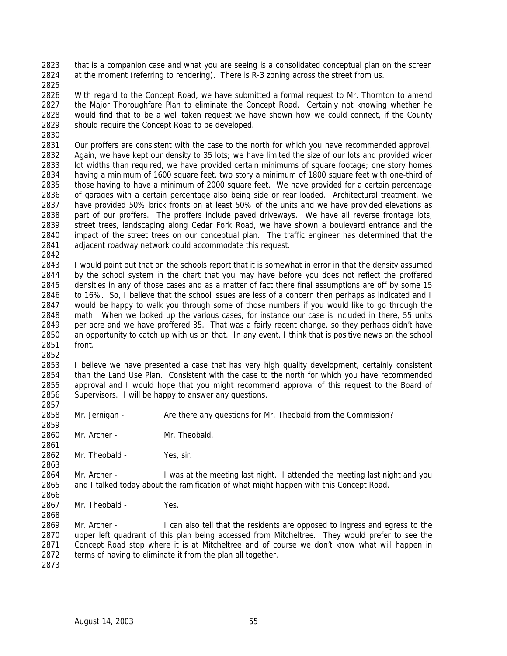that is a companion case and what you are seeing is a consolidated conceptual plan on the screen at the moment (referring to rendering). There is R-3 zoning across the street from us.

 With regard to the Concept Road, we have submitted a formal request to Mr. Thornton to amend the Major Thoroughfare Plan to eliminate the Concept Road. Certainly not knowing whether he would find that to be a well taken request we have shown how we could connect, if the County should require the Concept Road to be developed.

 Our proffers are consistent with the case to the north for which you have recommended approval. Again, we have kept our density to 35 lots; we have limited the size of our lots and provided wider 2833 lot widths than required, we have provided certain minimums of square footage; one story homes having a minimum of 1600 square feet, two story a minimum of 1800 square feet with one-third of those having to have a minimum of 2000 square feet. We have provided for a certain percentage of garages with a certain percentage also being side or rear loaded. Architectural treatment, we have provided 50% brick fronts on at least 50% of the units and we have provided elevations as part of our proffers. The proffers include paved driveways. We have all reverse frontage lots, street trees, landscaping along Cedar Fork Road, we have shown a boulevard entrance and the impact of the street trees on our conceptual plan. The traffic engineer has determined that the adjacent roadway network could accommodate this request.

 I would point out that on the schools report that it is somewhat in error in that the density assumed by the school system in the chart that you may have before you does not reflect the proffered densities in any of those cases and as a matter of fact there final assumptions are off by some 15 to 16%. So, I believe that the school issues are less of a concern then perhaps as indicated and I would be happy to walk you through some of those numbers if you would like to go through the math. When we looked up the various cases, for instance our case is included in there, 55 units per acre and we have proffered 35. That was a fairly recent change, so they perhaps didn't have an opportunity to catch up with us on that. In any event, I think that is positive news on the school front.

 I believe we have presented a case that has very high quality development, certainly consistent than the Land Use Plan. Consistent with the case to the north for which you have recommended approval and I would hope that you might recommend approval of this request to the Board of Supervisors. I will be happy to answer any questions.

Mr. Jernigan - Are there any questions for Mr. Theobald from the Commission?

Mr. Archer - Mr. Theobald.

Mr. Theobald - Yes, sir.

 Mr. Archer - I was at the meeting last night. I attended the meeting last night and you and I talked today about the ramification of what might happen with this Concept Road.

2867 Mr. Theobald - Yes.

 Mr. Archer - I can also tell that the residents are opposed to ingress and egress to the upper left quadrant of this plan being accessed from Mitcheltree. They would prefer to see the Concept Road stop where it is at Mitcheltree and of course we don't know what will happen in terms of having to eliminate it from the plan all together.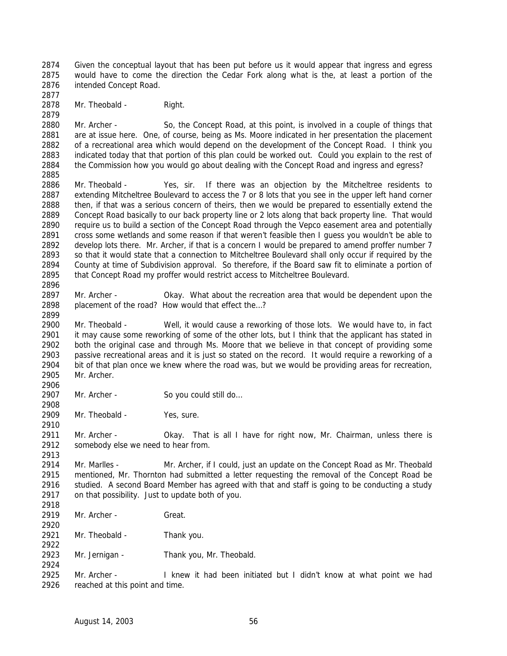Given the conceptual layout that has been put before us it would appear that ingress and egress would have to come the direction the Cedar Fork along what is the, at least a portion of the intended Concept Road. 

2878 Mr. Theobald - Right.

 Mr. Archer - So, the Concept Road, at this point, is involved in a couple of things that 2881 are at issue here. One, of course, being as Ms. Moore indicated in her presentation the placement of a recreational area which would depend on the development of the Concept Road. I think you indicated today that that portion of this plan could be worked out. Could you explain to the rest of the Commission how you would go about dealing with the Concept Road and ingress and egress? 

- Mr. Theobald Yes, sir. If there was an objection by the Mitcheltree residents to extending Mitcheltree Boulevard to access the 7 or 8 lots that you see in the upper left hand corner then, if that was a serious concern of theirs, then we would be prepared to essentially extend the Concept Road basically to our back property line or 2 lots along that back property line. That would require us to build a section of the Concept Road through the Vepco easement area and potentially cross some wetlands and some reason if that weren't feasible then I guess you wouldn't be able to develop lots there. Mr. Archer, if that is a concern I would be prepared to amend proffer number 7 so that it would state that a connection to Mitcheltree Boulevard shall only occur if required by the County at time of Subdivision approval. So therefore, if the Board saw fit to eliminate a portion of that Concept Road my proffer would restrict access to Mitcheltree Boulevard.
- Mr. Archer Okay. What about the recreation area that would be dependent upon the 2898 placement of the road? How would that effect the...?

 Mr. Theobald - Well, it would cause a reworking of those lots. We would have to, in fact it may cause some reworking of some of the other lots, but I think that the applicant has stated in both the original case and through Ms. Moore that we believe in that concept of providing some passive recreational areas and it is just so stated on the record. It would require a reworking of a bit of that plan once we knew where the road was, but we would be providing areas for recreation, Mr. Archer.

- 2907 Mr. Archer So you could still do...
- 2909 Mr. Theobald Yes, sure.

2911 Mr. Archer - Okay. That is all I have for right now, Mr. Chairman, unless there is somebody else we need to hear from.

 Mr. Marlles - Mr. Archer, if I could, just an update on the Concept Road as Mr. Theobald mentioned, Mr. Thornton had submitted a letter requesting the removal of the Concept Road be 2916 studied. A second Board Member has agreed with that and staff is going to be conducting a study on that possibility. Just to update both of you.

- 2919 Mr. Archer Great.
- Mr. Theobald Thank you.
- Mr. Jernigan Thank you, Mr. Theobald.

 Mr. Archer - I knew it had been initiated but I didn't know at what point we had reached at this point and time.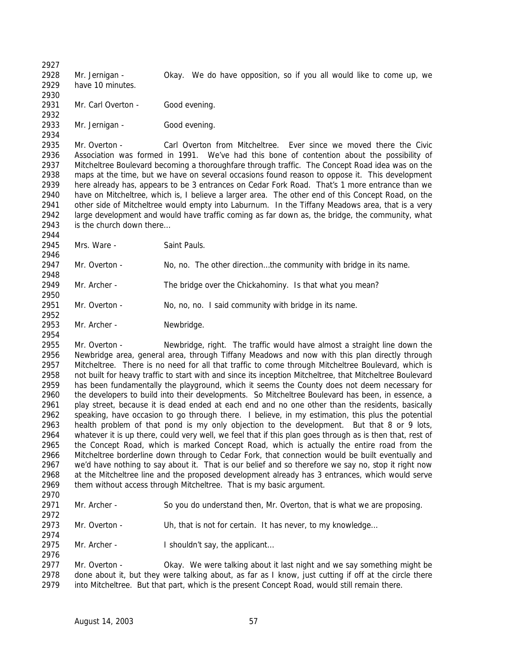Mr. Jernigan - Okay. We do have opposition, so if you all would like to come up, we have 10 minutes. 

2931 Mr. Carl Overton - Good evening. 

 Mr. Jernigan - Good evening. 

 Mr. Overton - Carl Overton from Mitcheltree. Ever since we moved there the Civic Association was formed in 1991. We've had this bone of contention about the possibility of Mitcheltree Boulevard becoming a thoroughfare through traffic. The Concept Road idea was on the maps at the time, but we have on several occasions found reason to oppose it. This development here already has, appears to be 3 entrances on Cedar Fork Road. That's 1 more entrance than we have on Mitcheltree, which is, I believe a larger area. The other end of this Concept Road, on the other side of Mitcheltree would empty into Laburnum. In the Tiffany Meadows area, that is a very large development and would have traffic coming as far down as, the bridge, the community, what is the church down there… 

2945 Mrs. Ware - Saint Pauls.

2947 Mr. Overton - No, no. The other direction...the community with bridge in its name. 

Mr. Archer - The bridge over the Chickahominy. Is that what you mean?

2951 Mr. Overton - No, no, no. I said community with bridge in its name.

Mr. Archer - Newbridge.

 Mr. Overton - Newbridge, right. The traffic would have almost a straight line down the Newbridge area, general area, through Tiffany Meadows and now with this plan directly through Mitcheltree. There is no need for all that traffic to come through Mitcheltree Boulevard, which is not built for heavy traffic to start with and since its inception Mitcheltree, that Mitcheltree Boulevard has been fundamentally the playground, which it seems the County does not deem necessary for the developers to build into their developments. So Mitcheltree Boulevard has been, in essence, a play street, because it is dead ended at each end and no one other than the residents, basically speaking, have occasion to go through there. I believe, in my estimation, this plus the potential health problem of that pond is my only objection to the development. But that 8 or 9 lots, whatever it is up there, could very well, we feel that if this plan goes through as is then that, rest of the Concept Road, which is marked Concept Road, which is actually the entire road from the Mitcheltree borderline down through to Cedar Fork, that connection would be built eventually and we'd have nothing to say about it. That is our belief and so therefore we say no, stop it right now at the Mitcheltree line and the proposed development already has 3 entrances, which would serve them without access through Mitcheltree. That is my basic argument.

 Mr. Archer - So you do understand then, Mr. Overton, that is what we are proposing. 

 Mr. Overton - Uh, that is not for certain. It has never, to my knowledge… 

2975 Mr. Archer - I shouldn't say, the applicant...

 Mr. Overton - Okay. We were talking about it last night and we say something might be done about it, but they were talking about, as far as I know, just cutting if off at the circle there into Mitcheltree. But that part, which is the present Concept Road, would still remain there.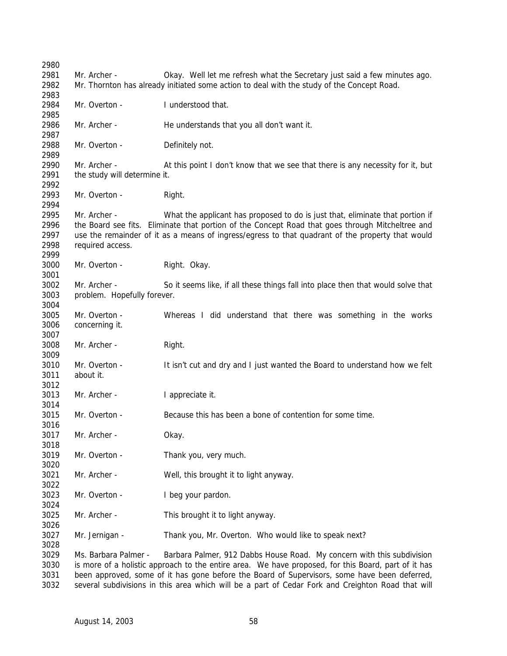| 2980 |                                                                                                     |                                                                                                                                                                                                   |  |  |
|------|-----------------------------------------------------------------------------------------------------|---------------------------------------------------------------------------------------------------------------------------------------------------------------------------------------------------|--|--|
| 2981 | Mr. Archer -                                                                                        | Okay. Well let me refresh what the Secretary just said a few minutes ago.                                                                                                                         |  |  |
| 2982 |                                                                                                     | Mr. Thornton has already initiated some action to deal with the study of the Concept Road.                                                                                                        |  |  |
| 2983 |                                                                                                     |                                                                                                                                                                                                   |  |  |
| 2984 | Mr. Overton -                                                                                       | I understood that.                                                                                                                                                                                |  |  |
| 2985 |                                                                                                     |                                                                                                                                                                                                   |  |  |
| 2986 | Mr. Archer -                                                                                        | He understands that you all don't want it.                                                                                                                                                        |  |  |
| 2987 |                                                                                                     |                                                                                                                                                                                                   |  |  |
| 2988 | Mr. Overton -                                                                                       | Definitely not.                                                                                                                                                                                   |  |  |
| 2989 |                                                                                                     |                                                                                                                                                                                                   |  |  |
| 2990 | Mr. Archer -                                                                                        | At this point I don't know that we see that there is any necessity for it, but                                                                                                                    |  |  |
| 2991 | the study will determine it.                                                                        |                                                                                                                                                                                                   |  |  |
| 2992 |                                                                                                     |                                                                                                                                                                                                   |  |  |
| 2993 | Mr. Overton -                                                                                       | Right.                                                                                                                                                                                            |  |  |
| 2994 |                                                                                                     |                                                                                                                                                                                                   |  |  |
| 2995 | Mr. Archer -                                                                                        | What the applicant has proposed to do is just that, eliminate that portion if                                                                                                                     |  |  |
| 2996 |                                                                                                     | the Board see fits. Eliminate that portion of the Concept Road that goes through Mitcheltree and                                                                                                  |  |  |
| 2997 |                                                                                                     | use the remainder of it as a means of ingress/egress to that quadrant of the property that would                                                                                                  |  |  |
| 2998 | required access.                                                                                    |                                                                                                                                                                                                   |  |  |
| 2999 |                                                                                                     |                                                                                                                                                                                                   |  |  |
| 3000 | Mr. Overton -                                                                                       | Right. Okay.                                                                                                                                                                                      |  |  |
| 3001 |                                                                                                     |                                                                                                                                                                                                   |  |  |
| 3002 | Mr. Archer -                                                                                        | So it seems like, if all these things fall into place then that would solve that                                                                                                                  |  |  |
| 3003 | problem. Hopefully forever.                                                                         |                                                                                                                                                                                                   |  |  |
| 3004 |                                                                                                     |                                                                                                                                                                                                   |  |  |
| 3005 | Mr. Overton -                                                                                       | Whereas I did understand that there was something in the works                                                                                                                                    |  |  |
| 3006 | concerning it.                                                                                      |                                                                                                                                                                                                   |  |  |
| 3007 |                                                                                                     |                                                                                                                                                                                                   |  |  |
| 3008 | Mr. Archer -                                                                                        | Right.                                                                                                                                                                                            |  |  |
| 3009 |                                                                                                     |                                                                                                                                                                                                   |  |  |
| 3010 | Mr. Overton -                                                                                       | It isn't cut and dry and I just wanted the Board to understand how we felt                                                                                                                        |  |  |
| 3011 | about it.                                                                                           |                                                                                                                                                                                                   |  |  |
| 3012 |                                                                                                     |                                                                                                                                                                                                   |  |  |
| 3013 | Mr. Archer -                                                                                        | I appreciate it.                                                                                                                                                                                  |  |  |
| 3014 |                                                                                                     |                                                                                                                                                                                                   |  |  |
| 3015 | Mr. Overton -                                                                                       | Because this has been a bone of contention for some time.                                                                                                                                         |  |  |
| 3016 |                                                                                                     |                                                                                                                                                                                                   |  |  |
| 3017 | Mr. Archer -                                                                                        | Okay.                                                                                                                                                                                             |  |  |
| 3018 |                                                                                                     |                                                                                                                                                                                                   |  |  |
| 3019 | Mr. Overton -                                                                                       | Thank you, very much.                                                                                                                                                                             |  |  |
| 3020 |                                                                                                     |                                                                                                                                                                                                   |  |  |
| 3021 | Mr. Archer -                                                                                        | Well, this brought it to light anyway.                                                                                                                                                            |  |  |
| 3022 |                                                                                                     |                                                                                                                                                                                                   |  |  |
| 3023 | Mr. Overton -                                                                                       | I beg your pardon.                                                                                                                                                                                |  |  |
| 3024 |                                                                                                     |                                                                                                                                                                                                   |  |  |
| 3025 | Mr. Archer -                                                                                        | This brought it to light anyway.                                                                                                                                                                  |  |  |
| 3026 |                                                                                                     |                                                                                                                                                                                                   |  |  |
| 3027 | Mr. Jernigan -                                                                                      | Thank you, Mr. Overton. Who would like to speak next?                                                                                                                                             |  |  |
| 3028 |                                                                                                     |                                                                                                                                                                                                   |  |  |
| 3029 |                                                                                                     | Ms. Barbara Palmer -<br>Barbara Palmer, 912 Dabbs House Road. My concern with this subdivision                                                                                                    |  |  |
| 3030 | is more of a holistic approach to the entire area. We have proposed, for this Board, part of it has |                                                                                                                                                                                                   |  |  |
| 3031 |                                                                                                     | been approved, some of it has gone before the Board of Supervisors, some have been deferred,<br>several subdivisions in this area which will be a part of Cedar Fork and Creighton Road that will |  |  |
| 3032 |                                                                                                     |                                                                                                                                                                                                   |  |  |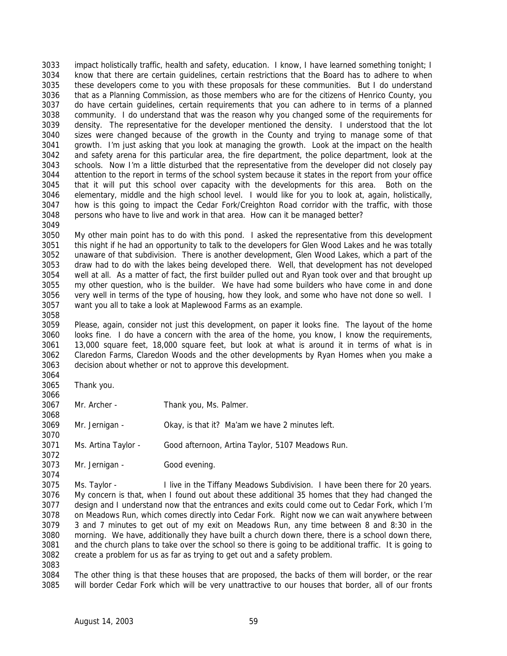impact holistically traffic, health and safety, education. I know, I have learned something tonight; I know that there are certain guidelines, certain restrictions that the Board has to adhere to when these developers come to you with these proposals for these communities. But I do understand that as a Planning Commission, as those members who are for the citizens of Henrico County, you do have certain guidelines, certain requirements that you can adhere to in terms of a planned community. I do understand that was the reason why you changed some of the requirements for density. The representative for the developer mentioned the density. I understood that the lot sizes were changed because of the growth in the County and trying to manage some of that growth. I'm just asking that you look at managing the growth. Look at the impact on the health and safety arena for this particular area, the fire department, the police department, look at the schools. Now I'm a little disturbed that the representative from the developer did not closely pay attention to the report in terms of the school system because it states in the report from your office that it will put this school over capacity with the developments for this area. Both on the elementary, middle and the high school level. I would like for you to look at, again, holistically, how is this going to impact the Cedar Fork/Creighton Road corridor with the traffic, with those persons who have to live and work in that area. How can it be managed better?

 My other main point has to do with this pond. I asked the representative from this development this night if he had an opportunity to talk to the developers for Glen Wood Lakes and he was totally unaware of that subdivision. There is another development, Glen Wood Lakes, which a part of the draw had to do with the lakes being developed there. Well, that development has not developed well at all. As a matter of fact, the first builder pulled out and Ryan took over and that brought up my other question, who is the builder. We have had some builders who have come in and done very well in terms of the type of housing, how they look, and some who have not done so well. I want you all to take a look at Maplewood Farms as an example.

 Please, again, consider not just this development, on paper it looks fine. The layout of the home looks fine. I do have a concern with the area of the home, you know, I know the requirements, 13,000 square feet, 18,000 square feet, but look at what is around it in terms of what is in Claredon Farms, Claredon Woods and the other developments by Ryan Homes when you make a decision about whether or not to approve this development. 

Thank you.

Mr. Archer - Thank you, Ms. Palmer.

Mr. Jernigan - Okay, is that it? Ma'am we have 2 minutes left.

Ms. Artina Taylor - Good afternoon, Artina Taylor, 5107 Meadows Run.

Mr. Jernigan - Good evening.

 Ms. Taylor - I live in the Tiffany Meadows Subdivision. I have been there for 20 years. My concern is that, when I found out about these additional 35 homes that they had changed the design and I understand now that the entrances and exits could come out to Cedar Fork, which I'm on Meadows Run, which comes directly into Cedar Fork. Right now we can wait anywhere between 3 and 7 minutes to get out of my exit on Meadows Run, any time between 8 and 8:30 in the morning. We have, additionally they have built a church down there, there is a school down there, and the church plans to take over the school so there is going to be additional traffic. It is going to create a problem for us as far as trying to get out and a safety problem.

 The other thing is that these houses that are proposed, the backs of them will border, or the rear will border Cedar Fork which will be very unattractive to our houses that border, all of our fronts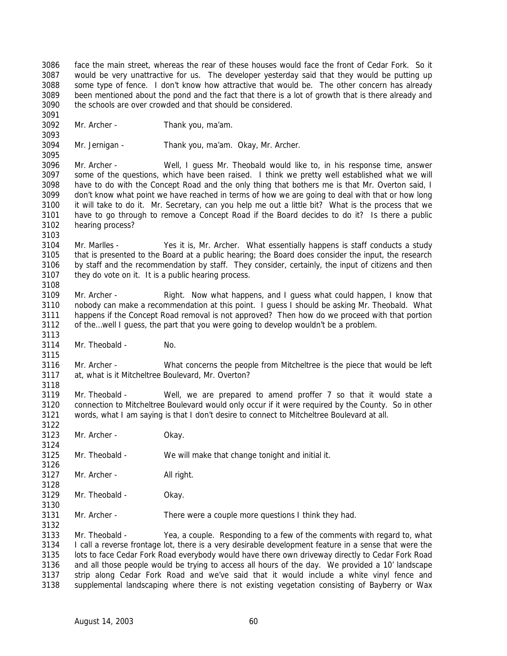face the main street, whereas the rear of these houses would face the front of Cedar Fork. So it would be very unattractive for us. The developer yesterday said that they would be putting up some type of fence. I don't know how attractive that would be. The other concern has already been mentioned about the pond and the fact that there is a lot of growth that is there already and the schools are over crowded and that should be considered.

 

Mr. Archer - Thank you, ma'am.

 Mr. Jernigan - Thank you, ma'am. Okay, Mr. Archer. 

 Mr. Archer - Well, I guess Mr. Theobald would like to, in his response time, answer some of the questions, which have been raised. I think we pretty well established what we will have to do with the Concept Road and the only thing that bothers me is that Mr. Overton said, I don't know what point we have reached in terms of how we are going to deal with that or how long it will take to do it. Mr. Secretary, can you help me out a little bit? What is the process that we have to go through to remove a Concept Road if the Board decides to do it? Is there a public hearing process?

 Mr. Marlles - Yes it is, Mr. Archer. What essentially happens is staff conducts a study that is presented to the Board at a public hearing; the Board does consider the input, the research by staff and the recommendation by staff. They consider, certainly, the input of citizens and then

they do vote on it. It is a public hearing process.

 Mr. Archer - Right. Now what happens, and I guess what could happen, I know that nobody can make a recommendation at this point. I guess I should be asking Mr. Theobald. What happens if the Concept Road removal is not approved? Then how do we proceed with that portion of the…well I guess, the part that you were going to develop wouldn't be a problem.

3114 Mr. Theobald - No.

 Mr. Archer - What concerns the people from Mitcheltree is the piece that would be left at, what is it Mitcheltree Boulevard, Mr. Overton?

 Mr. Theobald - Well, we are prepared to amend proffer 7 so that it would state a connection to Mitcheltree Boulevard would only occur if it were required by the County. So in other words, what I am saying is that I don't desire to connect to Mitcheltree Boulevard at all.

Mr. Archer - Okay.

Mr. Theobald - We will make that change tonight and initial it.

 Mr. Archer - All right. 

Mr. Theobald - Okay.

Mr. Archer - There were a couple more questions I think they had.

 Mr. Theobald - Yea, a couple. Responding to a few of the comments with regard to, what I call a reverse frontage lot, there is a very desirable development feature in a sense that were the lots to face Cedar Fork Road everybody would have there own driveway directly to Cedar Fork Road and all those people would be trying to access all hours of the day. We provided a 10' landscape strip along Cedar Fork Road and we've said that it would include a white vinyl fence and supplemental landscaping where there is not existing vegetation consisting of Bayberry or Wax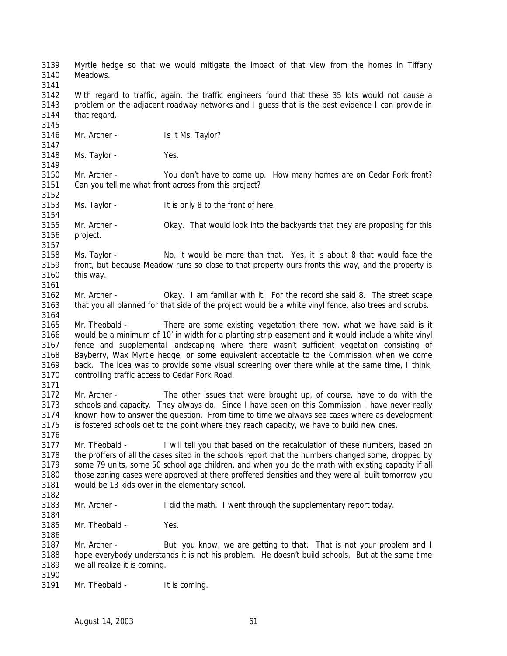Myrtle hedge so that we would mitigate the impact of that view from the homes in Tiffany Meadows. With regard to traffic, again, the traffic engineers found that these 35 lots would not cause a problem on the adjacent roadway networks and I guess that is the best evidence I can provide in that regard. 3146 Mr. Archer - Is it Ms. Taylor? Ms. Taylor - Yes. Mr. Archer - You don't have to come up. How many homes are on Cedar Fork front? Can you tell me what front across from this project? Ms. Taylor - It is only 8 to the front of here. Mr. Archer - Okay. That would look into the backyards that they are proposing for this project. Ms. Taylor - No, it would be more than that. Yes, it is about 8 that would face the front, but because Meadow runs so close to that property ours fronts this way, and the property is this way. Mr. Archer - Okay. I am familiar with it. For the record she said 8. The street scape 3163 that you all planned for that side of the project would be a white vinyl fence, also trees and scrubs. Mr. Theobald - There are some existing vegetation there now, what we have said is it would be a minimum of 10' in width for a planting strip easement and it would include a white vinyl fence and supplemental landscaping where there wasn't sufficient vegetation consisting of Bayberry, Wax Myrtle hedge, or some equivalent acceptable to the Commission when we come back. The idea was to provide some visual screening over there while at the same time, I think, controlling traffic access to Cedar Fork Road. Mr. Archer - The other issues that were brought up, of course, have to do with the schools and capacity. They always do. Since I have been on this Commission I have never really known how to answer the question. From time to time we always see cases where as development is fostered schools get to the point where they reach capacity, we have to build new ones. Mr. Theobald - I will tell you that based on the recalculation of these numbers, based on the proffers of all the cases sited in the schools report that the numbers changed some, dropped by some 79 units, some 50 school age children, and when you do the math with existing capacity if all those zoning cases were approved at there proffered densities and they were all built tomorrow you would be 13 kids over in the elementary school. Mr. Archer - I did the math. I went through the supplementary report today. Mr. Theobald - Yes. 3187 Mr. Archer - But, you know, we are getting to that. That is not your problem and I hope everybody understands it is not his problem. He doesn't build schools. But at the same time we all realize it is coming. Mr. Theobald - It is coming.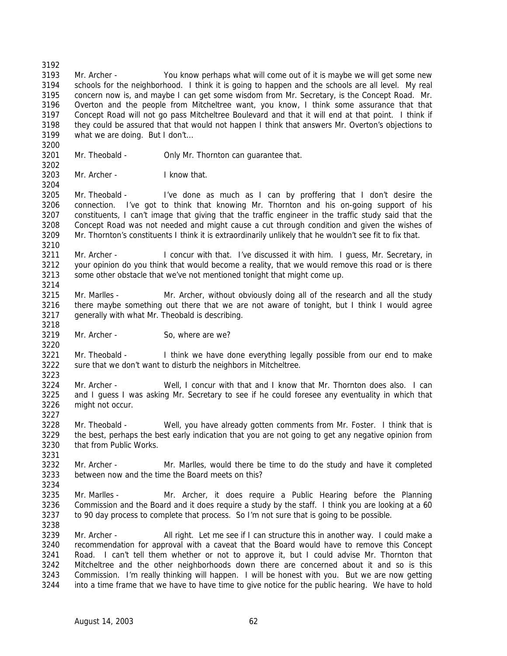Mr. Archer - You know perhaps what will come out of it is maybe we will get some new schools for the neighborhood. I think it is going to happen and the schools are all level. My real concern now is, and maybe I can get some wisdom from Mr. Secretary, is the Concept Road. Mr. Overton and the people from Mitcheltree want, you know, I think some assurance that that Concept Road will not go pass Mitcheltree Boulevard and that it will end at that point. I think if they could be assured that that would not happen I think that answers Mr. Overton's objections to what we are doing. But I don't…

- Mr. Theobald Only Mr. Thornton can guarantee that.
- Mr. Archer I know that.

 Mr. Theobald - I've done as much as I can by proffering that I don't desire the connection. I've got to think that knowing Mr. Thornton and his on-going support of his constituents, I can't image that giving that the traffic engineer in the traffic study said that the Concept Road was not needed and might cause a cut through condition and given the wishes of Mr. Thornton's constituents I think it is extraordinarily unlikely that he wouldn't see fit to fix that.

3211 Mr. Archer - I concur with that. I've discussed it with him. I guess, Mr. Secretary, in your opinion do you think that would become a reality, that we would remove this road or is there some other obstacle that we've not mentioned tonight that might come up.

- Mr. Marlles Mr. Archer, without obviously doing all of the research and all the study 3216 there maybe something out there that we are not aware of tonight, but I think I would agree generally with what Mr. Theobald is describing.
- Mr. Archer So, where are we?

3221 Mr. Theobald - I think we have done everything legally possible from our end to make sure that we don't want to disturb the neighbors in Mitcheltree. 

 Mr. Archer - Well, I concur with that and I know that Mr. Thornton does also. I can and I guess I was asking Mr. Secretary to see if he could foresee any eventuality in which that might not occur. 

 Mr. Theobald - Well, you have already gotten comments from Mr. Foster. I think that is the best, perhaps the best early indication that you are not going to get any negative opinion from that from Public Works.

 Mr. Archer - Mr. Marlles, would there be time to do the study and have it completed between now and the time the Board meets on this?

 Mr. Marlles - Mr. Archer, it does require a Public Hearing before the Planning Commission and the Board and it does require a study by the staff. I think you are looking at a 60 3237 to 90 day process to complete that process. So I'm not sure that is going to be possible.

 Mr. Archer - All right. Let me see if I can structure this in another way. I could make a recommendation for approval with a caveat that the Board would have to remove this Concept Road. I can't tell them whether or not to approve it, but I could advise Mr. Thornton that Mitcheltree and the other neighborhoods down there are concerned about it and so is this Commission. I'm really thinking will happen. I will be honest with you. But we are now getting into a time frame that we have to have time to give notice for the public hearing. We have to hold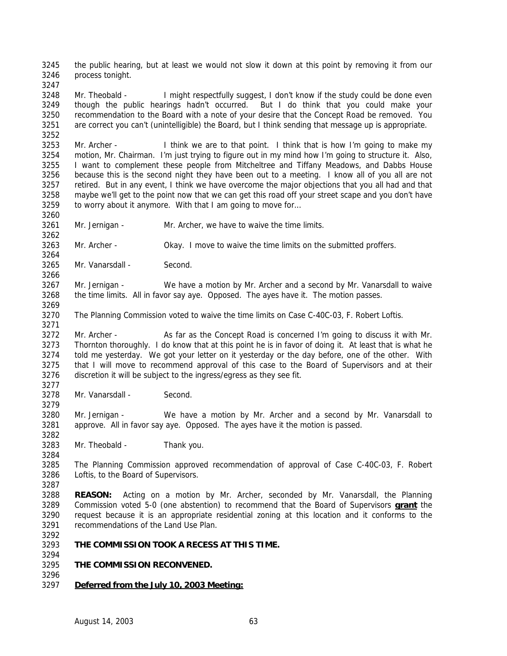the public hearing, but at least we would not slow it down at this point by removing it from our process tonight.

3248 Mr. Theobald - I might respectfully suggest, I don't know if the study could be done even though the public hearings hadn't occurred. But I do think that you could make your recommendation to the Board with a note of your desire that the Concept Road be removed. You are correct you can't (unintelligible) the Board, but I think sending that message up is appropriate.

 Mr. Archer - I think we are to that point. I think that is how I'm going to make my motion, Mr. Chairman. I'm just trying to figure out in my mind how I'm going to structure it. Also, I want to complement these people from Mitcheltree and Tiffany Meadows, and Dabbs House because this is the second night they have been out to a meeting. I know all of you all are not retired. But in any event, I think we have overcome the major objections that you all had and that maybe we'll get to the point now that we can get this road off your street scape and you don't have to worry about it anymore. With that I am going to move for… 

Mr. Jernigan - Mr. Archer, we have to waive the time limits.

Mr. Archer - Okay. I move to waive the time limits on the submitted proffers.

Mr. Vanarsdall - Second.

 Mr. Jernigan - We have a motion by Mr. Archer and a second by Mr. Vanarsdall to waive the time limits. All in favor say aye. Opposed. The ayes have it. The motion passes.

The Planning Commission voted to waive the time limits on Case C-40C-03, F. Robert Loftis.

 Mr. Archer - As far as the Concept Road is concerned I'm going to discuss it with Mr. Thornton thoroughly. I do know that at this point he is in favor of doing it. At least that is what he told me yesterday. We got your letter on it yesterday or the day before, one of the other. With that I will move to recommend approval of this case to the Board of Supervisors and at their discretion it will be subject to the ingress/egress as they see fit. 

Mr. Vanarsdall - Second.

 Mr. Jernigan - We have a motion by Mr. Archer and a second by Mr. Vanarsdall to approve. All in favor say aye. Opposed. The ayes have it the motion is passed.

Mr. Theobald - Thank you.

 The Planning Commission approved recommendation of approval of Case C-40C-03, F. Robert Loftis, to the Board of Supervisors. 

 **REASON:** Acting on a motion by Mr. Archer, seconded by Mr. Vanarsdall, the Planning Commission voted 5-0 (one abstention) to recommend that the Board of Supervisors **grant** the request because it is an appropriate residential zoning at this location and it conforms to the recommendations of the Land Use Plan.

**THE COMMISSION TOOK A RECESS AT THIS TIME.**

## **THE COMMISSION RECONVENED.**

*Deferred from the July 10, 2003 Meeting:*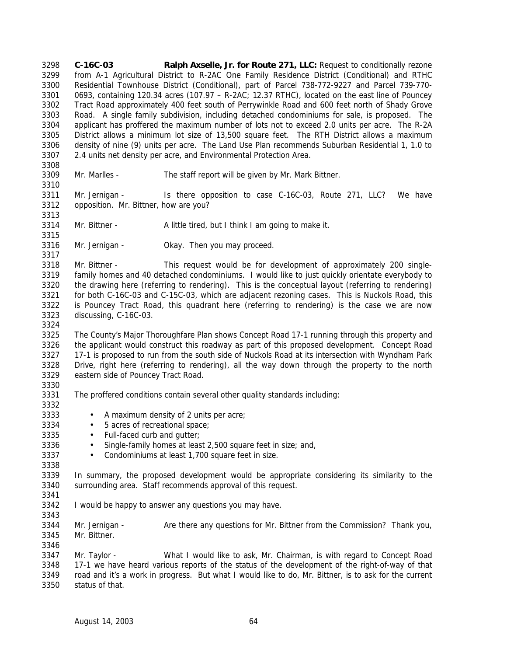**C-16C-03 Ralph Axselle, Jr. for Route 271, LLC:** Request to conditionally rezone from A-1 Agricultural District to R-2AC One Family Residence District (Conditional) and RTHC Residential Townhouse District (Conditional), part of Parcel 738-772-9227 and Parcel 739-770- 0693, containing 120.34 acres (107.97 – R-2AC; 12.37 RTHC), located on the east line of Pouncey Tract Road approximately 400 feet south of Perrywinkle Road and 600 feet north of Shady Grove Road. A single family subdivision, including detached condominiums for sale, is proposed. The applicant has proffered the maximum number of lots not to exceed 2.0 units per acre. The R-2A District allows a minimum lot size of 13,500 square feet. The RTH District allows a maximum density of nine (9) units per acre. The Land Use Plan recommends Suburban Residential 1, 1.0 to 2.4 units net density per acre, and Environmental Protection Area.

 

- Mr. Marlles The staff report will be given by Mr. Mark Bittner.
- Mr. Jernigan Is there opposition to case C-16C-03, Route 271, LLC? We have opposition. Mr. Bittner, how are you?
- 3314 Mr. Bittner A little tired, but I think I am going to make it.
- Mr. Jernigan Okay. Then you may proceed.
- Mr. Bittner This request would be for development of approximately 200 single- family homes and 40 detached condominiums. I would like to just quickly orientate everybody to the drawing here (referring to rendering). This is the conceptual layout (referring to rendering) for both C-16C-03 and C-15C-03, which are adjacent rezoning cases. This is Nuckols Road, this is Pouncey Tract Road, this quadrant here (referring to rendering) is the case we are now discussing, C-16C-03.
- The County's Major Thoroughfare Plan shows Concept Road 17-1 running through this property and the applicant would construct this roadway as part of this proposed development. Concept Road 17-1 is proposed to run from the south side of Nuckols Road at its intersection with Wyndham Park Drive, right here (referring to rendering), all the way down through the property to the north eastern side of Pouncey Tract Road.
- The proffered conditions contain several other quality standards including:
- 3333 A maximum density of 2 units per acre;
- 3334 5 acres of recreational space;
- Full-faced curb and gutter;
- 3336 Single-family homes at least 2,500 square feet in size; and,
- Condominiums at least 1,700 square feet in size.
- 

 In summary, the proposed development would be appropriate considering its similarity to the surrounding area. Staff recommends approval of this request.

 I would be happy to answer any questions you may have. 

 Mr. Jernigan - Are there any questions for Mr. Bittner from the Commission? Thank you, Mr. Bittner.

 Mr. Taylor - What I would like to ask, Mr. Chairman, is with regard to Concept Road 17-1 we have heard various reports of the status of the development of the right-of-way of that road and it's a work in progress. But what I would like to do, Mr. Bittner, is to ask for the current status of that.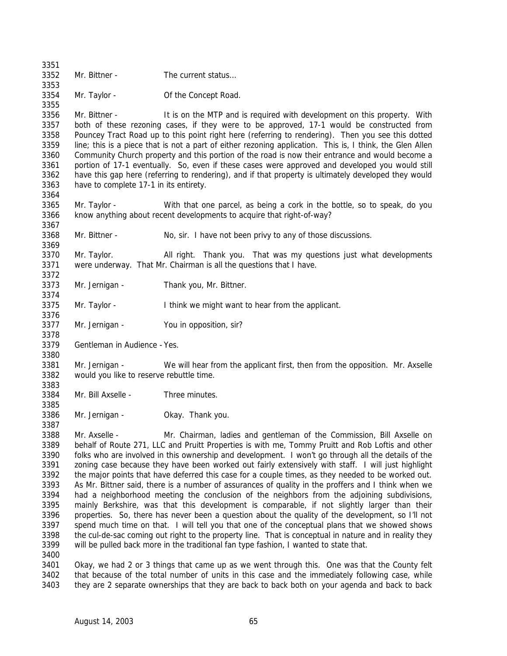| 3351 |                                                                                                                                                                                                              |                                                                                                     |  |
|------|--------------------------------------------------------------------------------------------------------------------------------------------------------------------------------------------------------------|-----------------------------------------------------------------------------------------------------|--|
| 3352 | Mr. Bittner -                                                                                                                                                                                                | The current status                                                                                  |  |
| 3353 |                                                                                                                                                                                                              |                                                                                                     |  |
| 3354 | Mr. Taylor -                                                                                                                                                                                                 | Of the Concept Road.                                                                                |  |
| 3355 |                                                                                                                                                                                                              |                                                                                                     |  |
| 3356 | Mr. Bittner -                                                                                                                                                                                                | It is on the MTP and is required with development on this property. With                            |  |
| 3357 |                                                                                                                                                                                                              | both of these rezoning cases, if they were to be approved, 17-1 would be constructed from           |  |
| 3358 |                                                                                                                                                                                                              |                                                                                                     |  |
| 3359 | Pouncey Tract Road up to this point right here (referring to rendering). Then you see this dotted                                                                                                            |                                                                                                     |  |
| 3360 | line; this is a piece that is not a part of either rezoning application. This is, I think, the Glen Allen<br>Community Church property and this portion of the road is now their entrance and would become a |                                                                                                     |  |
|      |                                                                                                                                                                                                              |                                                                                                     |  |
| 3361 | portion of 17-1 eventually. So, even if these cases were approved and developed you would still<br>have this gap here (referring to rendering), and if that property is ultimately developed they would      |                                                                                                     |  |
| 3362 |                                                                                                                                                                                                              |                                                                                                     |  |
| 3363 | have to complete 17-1 in its entirety.                                                                                                                                                                       |                                                                                                     |  |
| 3364 |                                                                                                                                                                                                              |                                                                                                     |  |
| 3365 | Mr. Taylor -                                                                                                                                                                                                 | With that one parcel, as being a cork in the bottle, so to speak, do you                            |  |
| 3366 |                                                                                                                                                                                                              | know anything about recent developments to acquire that right-of-way?                               |  |
| 3367 |                                                                                                                                                                                                              |                                                                                                     |  |
| 3368 | Mr. Bittner -                                                                                                                                                                                                | No, sir. I have not been privy to any of those discussions.                                         |  |
| 3369 |                                                                                                                                                                                                              |                                                                                                     |  |
| 3370 | Mr. Taylor.                                                                                                                                                                                                  | All right. Thank you. That was my questions just what developments                                  |  |
| 3371 |                                                                                                                                                                                                              | were underway. That Mr. Chairman is all the questions that I have.                                  |  |
| 3372 |                                                                                                                                                                                                              |                                                                                                     |  |
| 3373 | Mr. Jernigan -                                                                                                                                                                                               | Thank you, Mr. Bittner.                                                                             |  |
| 3374 |                                                                                                                                                                                                              |                                                                                                     |  |
| 3375 | Mr. Taylor -                                                                                                                                                                                                 | I think we might want to hear from the applicant.                                                   |  |
| 3376 |                                                                                                                                                                                                              |                                                                                                     |  |
| 3377 | Mr. Jernigan -                                                                                                                                                                                               | You in opposition, sir?                                                                             |  |
| 3378 |                                                                                                                                                                                                              |                                                                                                     |  |
| 3379 | Gentleman in Audience - Yes.                                                                                                                                                                                 |                                                                                                     |  |
| 3380 |                                                                                                                                                                                                              |                                                                                                     |  |
| 3381 | Mr. Jernigan -                                                                                                                                                                                               | We will hear from the applicant first, then from the opposition. Mr. Axselle                        |  |
| 3382 | would you like to reserve rebuttle time.                                                                                                                                                                     |                                                                                                     |  |
| 3383 |                                                                                                                                                                                                              |                                                                                                     |  |
| 3384 | Mr. Bill Axselle -                                                                                                                                                                                           | Three minutes.                                                                                      |  |
| 3385 |                                                                                                                                                                                                              |                                                                                                     |  |
| 3386 | Mr. Jernigan -                                                                                                                                                                                               | Okay. Thank you.                                                                                    |  |
| 3387 |                                                                                                                                                                                                              |                                                                                                     |  |
| 3388 | Mr. Axselle -                                                                                                                                                                                                | Mr. Chairman, ladies and gentleman of the Commission, Bill Axselle on                               |  |
| 3389 |                                                                                                                                                                                                              | behalf of Route 271, LLC and Pruitt Properties is with me, Tommy Pruitt and Rob Loftis and other    |  |
| 3390 |                                                                                                                                                                                                              | folks who are involved in this ownership and development. I won't go through all the details of the |  |
| 3391 |                                                                                                                                                                                                              |                                                                                                     |  |
|      | zoning case because they have been worked out fairly extensively with staff. I will just highlight                                                                                                           |                                                                                                     |  |
| 3392 | the major points that have deferred this case for a couple times, as they needed to be worked out.                                                                                                           |                                                                                                     |  |
| 3393 | As Mr. Bittner said, there is a number of assurances of quality in the proffers and I think when we                                                                                                          |                                                                                                     |  |
| 3394 | had a neighborhood meeting the conclusion of the neighbors from the adjoining subdivisions,                                                                                                                  |                                                                                                     |  |
| 3395 | mainly Berkshire, was that this development is comparable, if not slightly larger than their                                                                                                                 |                                                                                                     |  |
| 3396 | properties. So, there has never been a question about the quality of the development, so I'll not                                                                                                            |                                                                                                     |  |
| 3397 | spend much time on that. I will tell you that one of the conceptual plans that we showed shows                                                                                                               |                                                                                                     |  |
| 3398 | the cul-de-sac coming out right to the property line. That is conceptual in nature and in reality they                                                                                                       |                                                                                                     |  |
| 3399 |                                                                                                                                                                                                              | will be pulled back more in the traditional fan type fashion, I wanted to state that.               |  |
| 3400 |                                                                                                                                                                                                              |                                                                                                     |  |
| 3401 |                                                                                                                                                                                                              | Okay, we had 2 or 3 things that came up as we went through this. One was that the County felt       |  |
| 3402 | that because of the total number of units in this case and the immediately following case, while                                                                                                             |                                                                                                     |  |

they are 2 separate ownerships that they are back to back both on your agenda and back to back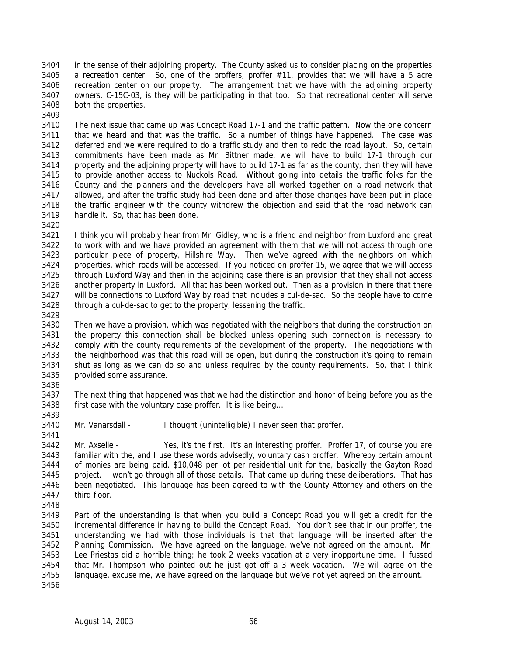in the sense of their adjoining property. The County asked us to consider placing on the properties a recreation center. So, one of the proffers, proffer #11, provides that we will have a 5 acre recreation center on our property. The arrangement that we have with the adjoining property owners, C-15C-03, is they will be participating in that too. So that recreational center will serve both the properties. 

 The next issue that came up was Concept Road 17-1 and the traffic pattern. Now the one concern that we heard and that was the traffic. So a number of things have happened. The case was deferred and we were required to do a traffic study and then to redo the road layout. So, certain 3413 commitments have been made as Mr. Bittner made, we will have to build 17-1 through our<br>3414 property and the adjoining property will have to build 17-1 as far as the county, then they will have property and the adjoining property will have to build 17-1 as far as the county, then they will have to provide another access to Nuckols Road. Without going into details the traffic folks for the County and the planners and the developers have all worked together on a road network that allowed, and after the traffic study had been done and after those changes have been put in place the traffic engineer with the county withdrew the objection and said that the road network can handle it. So, that has been done.

 I think you will probably hear from Mr. Gidley, who is a friend and neighbor from Luxford and great to work with and we have provided an agreement with them that we will not access through one particular piece of property, Hillshire Way. Then we've agreed with the neighbors on which properties, which roads will be accessed. If you noticed on proffer 15, we agree that we will access through Luxford Way and then in the adjoining case there is an provision that they shall not access another property in Luxford. All that has been worked out. Then as a provision in there that there will be connections to Luxford Way by road that includes a cul-de-sac. So the people have to come through a cul-de-sac to get to the property, lessening the traffic.

 Then we have a provision, which was negotiated with the neighbors that during the construction on the property this connection shall be blocked unless opening such connection is necessary to comply with the county requirements of the development of the property. The negotiations with the neighborhood was that this road will be open, but during the construction it's going to remain shut as long as we can do so and unless required by the county requirements. So, that I think provided some assurance.

 The next thing that happened was that we had the distinction and honor of being before you as the first case with the voluntary case proffer. It is like being… 

3440 Mr. Vanarsdall - I thought (unintelligible) I never seen that proffer.

 Mr. Axselle - Yes, it's the first. It's an interesting proffer. Proffer 17, of course you are familiar with the, and I use these words advisedly, voluntary cash proffer. Whereby certain amount of monies are being paid, \$10,048 per lot per residential unit for the, basically the Gayton Road project. I won't go through all of those details. That came up during these deliberations. That has been negotiated. This language has been agreed to with the County Attorney and others on the third floor.

 Part of the understanding is that when you build a Concept Road you will get a credit for the incremental difference in having to build the Concept Road. You don't see that in our proffer, the understanding we had with those individuals is that that language will be inserted after the Planning Commission. We have agreed on the language, we've not agreed on the amount. Mr. Lee Priestas did a horrible thing; he took 2 weeks vacation at a very inopportune time. I fussed that Mr. Thompson who pointed out he just got off a 3 week vacation. We will agree on the language, excuse me, we have agreed on the language but we've not yet agreed on the amount.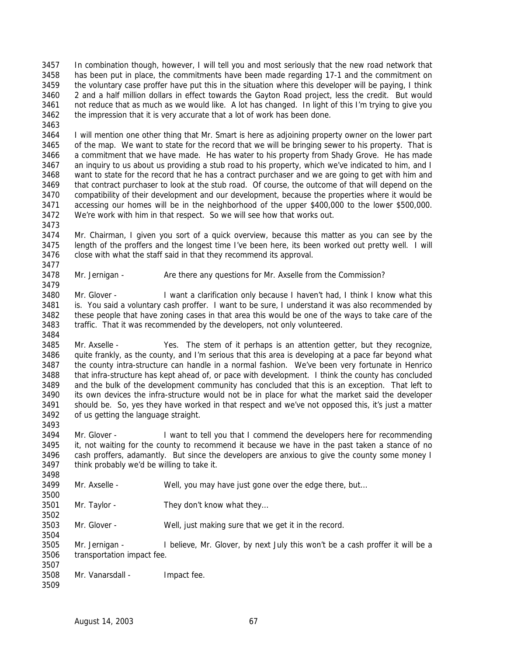In combination though, however, I will tell you and most seriously that the new road network that has been put in place, the commitments have been made regarding 17-1 and the commitment on the voluntary case proffer have put this in the situation where this developer will be paying, I think 2 and a half million dollars in effect towards the Gayton Road project, less the credit. But would 3461 not reduce that as much as we would like. A lot has changed. In light of this I'm trying to give you the impression that it is very accurate that a lot of work has been done.

 I will mention one other thing that Mr. Smart is here as adjoining property owner on the lower part of the map. We want to state for the record that we will be bringing sewer to his property. That is a commitment that we have made. He has water to his property from Shady Grove. He has made an inquiry to us about us providing a stub road to his property, which we've indicated to him, and I want to state for the record that he has a contract purchaser and we are going to get with him and that contract purchaser to look at the stub road. Of course, the outcome of that will depend on the compatibility of their development and our development, because the properties where it would be accessing our homes will be in the neighborhood of the upper \$400,000 to the lower \$500,000. We're work with him in that respect. So we will see how that works out.

 Mr. Chairman, I given you sort of a quick overview, because this matter as you can see by the length of the proffers and the longest time I've been here, its been worked out pretty well. I will close with what the staff said in that they recommend its approval.

Mr. Jernigan - Are there any questions for Mr. Axselle from the Commission?

 Mr. Glover - I want a clarification only because I haven't had, I think I know what this is. You said a voluntary cash proffer. I want to be sure, I understand it was also recommended by these people that have zoning cases in that area this would be one of the ways to take care of the traffic. That it was recommended by the developers, not only volunteered.

 Mr. Axselle - Yes. The stem of it perhaps is an attention getter, but they recognize, 3486 quite frankly, as the county, and I'm serious that this area is developing at a pace far beyond what the county intra-structure can handle in a normal fashion. We've been very fortunate in Henrico that infra-structure has kept ahead of, or pace with development. I think the county has concluded and the bulk of the development community has concluded that this is an exception. That left to its own devices the infra-structure would not be in place for what the market said the developer should be. So, yes they have worked in that respect and we've not opposed this, it's just a matter of us getting the language straight. 

 Mr. Glover - I want to tell you that I commend the developers here for recommending it, not waiting for the county to recommend it because we have in the past taken a stance of no cash proffers, adamantly. But since the developers are anxious to give the county some money I think probably we'd be willing to take it.

- Mr. Axselle Well, you may have just gone over the edge there, but…
- Mr. Taylor They don't know what they…
- Mr. Glover Well, just making sure that we get it in the record.

 Mr. Jernigan - I believe, Mr. Glover, by next July this won't be a cash proffer it will be a transportation impact fee. 

- Mr. Vanarsdall Impact fee.
	-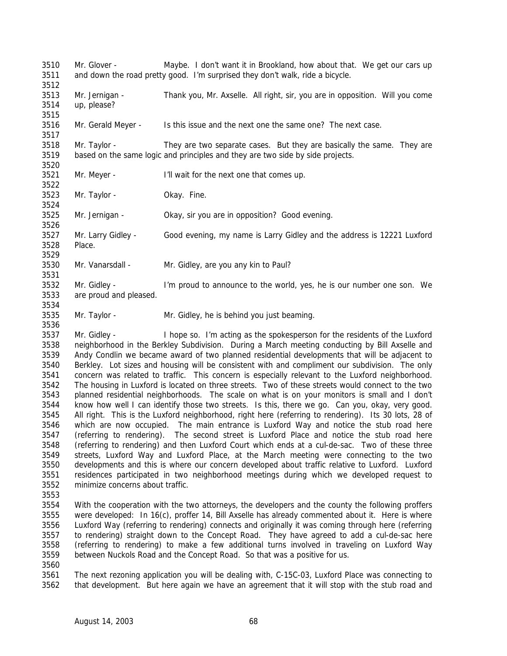Mr. Glover - Maybe. I don't want it in Brookland, how about that. We get our cars up and down the road pretty good. I'm surprised they don't walk, ride a bicycle. Mr. Jernigan - Thank you, Mr. Axselle. All right, sir, you are in opposition. Will you come up, please? Mr. Gerald Meyer - Is this issue and the next one the same one? The next case. Mr. Taylor - They are two separate cases. But they are basically the same. They are based on the same logic and principles and they are two side by side projects. Mr. Meyer - I'll wait for the next one that comes up. Mr. Taylor - Okay. Fine. Mr. Jernigan - Okay, sir you are in opposition? Good evening. Mr. Larry Gidley - Good evening, my name is Larry Gidley and the address is 12221 Luxford Place. Mr. Vanarsdall - Mr. Gidley, are you any kin to Paul? Mr. Gidley - I'm proud to announce to the world, yes, he is our number one son. We are proud and pleased. Mr. Taylor - Mr. Gidley, he is behind you just beaming. 

 Mr. Gidley - I hope so. I'm acting as the spokesperson for the residents of the Luxford neighborhood in the Berkley Subdivision. During a March meeting conducting by Bill Axselle and Andy Condlin we became award of two planned residential developments that will be adjacent to Berkley. Lot sizes and housing will be consistent with and compliment our subdivision. The only concern was related to traffic. This concern is especially relevant to the Luxford neighborhood. The housing in Luxford is located on three streets. Two of these streets would connect to the two planned residential neighborhoods. The scale on what is on your monitors is small and I don't know how well I can identify those two streets. Is this, there we go. Can you, okay, very good. All right. This is the Luxford neighborhood, right here (referring to rendering). Its 30 lots, 28 of which are now occupied. The main entrance is Luxford Way and notice the stub road here (referring to rendering). The second street is Luxford Place and notice the stub road here (referring to rendering) and then Luxford Court which ends at a cul-de-sac. Two of these three streets, Luxford Way and Luxford Place, at the March meeting were connecting to the two developments and this is where our concern developed about traffic relative to Luxford. Luxford residences participated in two neighborhood meetings during which we developed request to minimize concerns about traffic.

 With the cooperation with the two attorneys, the developers and the county the following proffers were developed: In 16(c), proffer 14, Bill Axselle has already commented about it. Here is where Luxford Way (referring to rendering) connects and originally it was coming through here (referring to rendering) straight down to the Concept Road. They have agreed to add a cul-de-sac here (referring to rendering) to make a few additional turns involved in traveling on Luxford Way between Nuckols Road and the Concept Road. So that was a positive for us.

 The next rezoning application you will be dealing with, C-15C-03, Luxford Place was connecting to that development. But here again we have an agreement that it will stop with the stub road and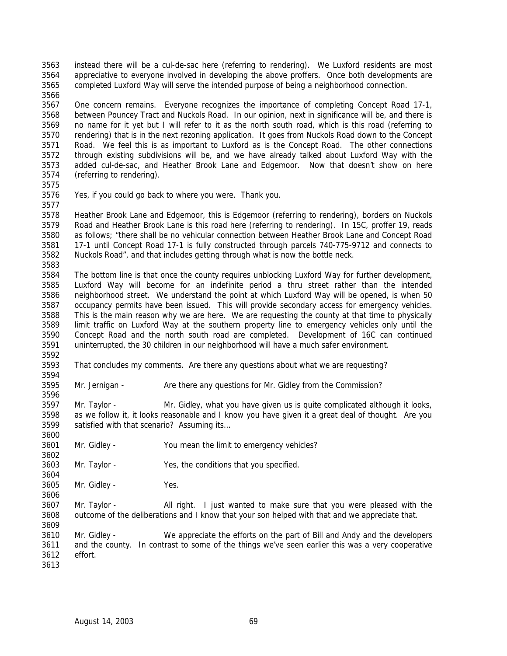instead there will be a cul-de-sac here (referring to rendering). We Luxford residents are most appreciative to everyone involved in developing the above proffers. Once both developments are completed Luxford Way will serve the intended purpose of being a neighborhood connection. 

 One concern remains. Everyone recognizes the importance of completing Concept Road 17-1, between Pouncey Tract and Nuckols Road. In our opinion, next in significance will be, and there is no name for it yet but I will refer to it as the north south road, which is this road (referring to rendering) that is in the next rezoning application. It goes from Nuckols Road down to the Concept Road. We feel this is as important to Luxford as is the Concept Road. The other connections through existing subdivisions will be, and we have already talked about Luxford Way with the added cul-de-sac, and Heather Brook Lane and Edgemoor. Now that doesn't show on here (referring to rendering).

 Yes, if you could go back to where you were. Thank you. 

 Heather Brook Lane and Edgemoor, this is Edgemoor (referring to rendering), borders on Nuckols Road and Heather Brook Lane is this road here (referring to rendering). In 15C, proffer 19, reads as follows; "there shall be no vehicular connection between Heather Brook Lane and Concept Road 17-1 until Concept Road 17-1 is fully constructed through parcels 740-775-9712 and connects to Nuckols Road", and that includes getting through what is now the bottle neck. 

 The bottom line is that once the county requires unblocking Luxford Way for further development, Luxford Way will become for an indefinite period a thru street rather than the intended neighborhood street. We understand the point at which Luxford Way will be opened, is when 50 occupancy permits have been issued. This will provide secondary access for emergency vehicles. This is the main reason why we are here. We are requesting the county at that time to physically limit traffic on Luxford Way at the southern property line to emergency vehicles only until the Concept Road and the north south road are completed. Development of 16C can continued uninterrupted, the 30 children in our neighborhood will have a much safer environment.

 That concludes my comments. Are there any questions about what we are requesting? 

3595 Mr. Jernigan - Are there any questions for Mr. Gidley from the Commission?

 Mr. Taylor - Mr. Gidley, what you have given us is quite complicated although it looks, as we follow it, it looks reasonable and I know you have given it a great deal of thought. Are you satisfied with that scenario? Assuming its…

Mr. Gidley - You mean the limit to emergency vehicles?

Mr. Taylor - Yes, the conditions that you specified.

Mr. Gidley - Yes.

 Mr. Taylor - All right. I just wanted to make sure that you were pleased with the outcome of the deliberations and I know that your son helped with that and we appreciate that.

 Mr. Gidley - We appreciate the efforts on the part of Bill and Andy and the developers and the county. In contrast to some of the things we've seen earlier this was a very cooperative effort.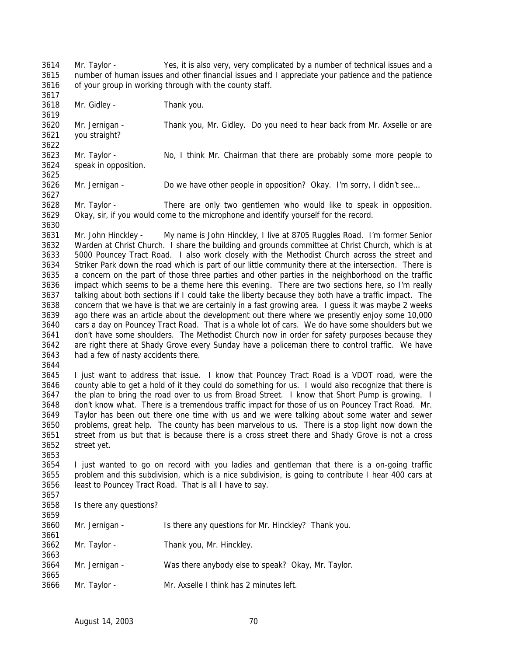Mr. Taylor - Yes, it is also very, very complicated by a number of technical issues and a number of human issues and other financial issues and I appreciate your patience and the patience of your group in working through with the county staff. 

Mr. Gidley - Thank you.

 Mr. Jernigan - Thank you, Mr. Gidley. Do you need to hear back from Mr. Axselle or are you straight? 

 Mr. Taylor - No, I think Mr. Chairman that there are probably some more people to speak in opposition. 

Mr. Jernigan - Do we have other people in opposition? Okay. I'm sorry, I didn't see…

 Mr. Taylor - There are only two gentlemen who would like to speak in opposition. Okay, sir, if you would come to the microphone and identify yourself for the record.

 Mr. John Hinckley - My name is John Hinckley, I live at 8705 Ruggles Road. I'm former Senior Warden at Christ Church. I share the building and grounds committee at Christ Church, which is at 5000 Pouncey Tract Road. I also work closely with the Methodist Church across the street and Striker Park down the road which is part of our little community there at the intersection. There is a concern on the part of those three parties and other parties in the neighborhood on the traffic impact which seems to be a theme here this evening. There are two sections here, so I'm really talking about both sections if I could take the liberty because they both have a traffic impact. The concern that we have is that we are certainly in a fast growing area. I guess it was maybe 2 weeks ago there was an article about the development out there where we presently enjoy some 10,000 cars a day on Pouncey Tract Road. That is a whole lot of cars. We do have some shoulders but we don't have some shoulders. The Methodist Church now in order for safety purposes because they are right there at Shady Grove every Sunday have a policeman there to control traffic. We have had a few of nasty accidents there.

 I just want to address that issue. I know that Pouncey Tract Road is a VDOT road, were the county able to get a hold of it they could do something for us. I would also recognize that there is 3647 the plan to bring the road over to us from Broad Street. I know that Short Pump is growing. I don't know what. There is a tremendous traffic impact for those of us on Pouncey Tract Road. Mr. Taylor has been out there one time with us and we were talking about some water and sewer problems, great help. The county has been marvelous to us. There is a stop light now down the street from us but that is because there is a cross street there and Shady Grove is not a cross street yet.

 I just wanted to go on record with you ladies and gentleman that there is a on-going traffic problem and this subdivision, which is a nice subdivision, is going to contribute I hear 400 cars at least to Pouncey Tract Road. That is all I have to say. 

Is there any questions?

| <u>JUJ 7</u> |                |                                                     |
|--------------|----------------|-----------------------------------------------------|
| 3660         | Mr. Jernigan - | Is there any questions for Mr. Hinckley? Thank you. |
| 3661         |                |                                                     |
| 3662         | Mr. Taylor -   | Thank you, Mr. Hinckley.                            |
| 3663         |                |                                                     |
| 3664         | Mr. Jernigan - | Was there anybody else to speak? Okay, Mr. Taylor.  |
| 3665         |                |                                                     |
| 3666         | Mr. Taylor -   | Mr. Axselle I think has 2 minutes left.             |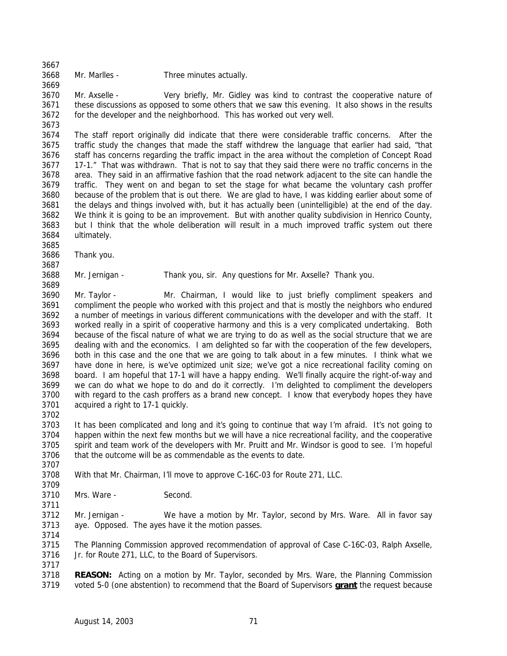Mr. Marlles - Three minutes actually.

 Mr. Axselle - Very briefly, Mr. Gidley was kind to contrast the cooperative nature of these discussions as opposed to some others that we saw this evening. It also shows in the results for the developer and the neighborhood. This has worked out very well.

 The staff report originally did indicate that there were considerable traffic concerns. After the traffic study the changes that made the staff withdrew the language that earlier had said, "that staff has concerns regarding the traffic impact in the area without the completion of Concept Road 17-1." That was withdrawn. That is not to say that they said there were no traffic concerns in the area. They said in an affirmative fashion that the road network adjacent to the site can handle the traffic. They went on and began to set the stage for what became the voluntary cash proffer because of the problem that is out there. We are glad to have, I was kidding earlier about some of the delays and things involved with, but it has actually been (unintelligible) at the end of the day. We think it is going to be an improvement. But with another quality subdivision in Henrico County, but I think that the whole deliberation will result in a much improved traffic system out there ultimately.

Thank you.

Mr. Jernigan - Thank you, sir. Any questions for Mr. Axselle? Thank you.

 Mr. Taylor - Mr. Chairman, I would like to just briefly compliment speakers and compliment the people who worked with this project and that is mostly the neighbors who endured a number of meetings in various different communications with the developer and with the staff. It worked really in a spirit of cooperative harmony and this is a very complicated undertaking. Both because of the fiscal nature of what we are trying to do as well as the social structure that we are dealing with and the economics. I am delighted so far with the cooperation of the few developers, both in this case and the one that we are going to talk about in a few minutes. I think what we have done in here, is we've optimized unit size; we've got a nice recreational facility coming on board. I am hopeful that 17-1 will have a happy ending. We'll finally acquire the right-of-way and we can do what we hope to do and do it correctly. I'm delighted to compliment the developers with regard to the cash proffers as a brand new concept. I know that everybody hopes they have acquired a right to 17-1 quickly. 

 It has been complicated and long and it's going to continue that way I'm afraid. It's not going to happen within the next few months but we will have a nice recreational facility, and the cooperative spirit and team work of the developers with Mr. Pruitt and Mr. Windsor is good to see. I'm hopeful that the outcome will be as commendable as the events to date.

- With that Mr. Chairman, I'll move to approve C-16C-03 for Route 271, LLC.
- 

Mrs. Ware - Second.

 Mr. Jernigan - We have a motion by Mr. Taylor, second by Mrs. Ware. All in favor say aye. Opposed. The ayes have it the motion passes. 

 The Planning Commission approved recommendation of approval of Case C-16C-03, Ralph Axselle, Jr. for Route 271, LLC, to the Board of Supervisors.

 **REASON:** Acting on a motion by Mr. Taylor, seconded by Mrs. Ware, the Planning Commission voted 5-0 (one abstention) to recommend that the Board of Supervisors **grant** the request because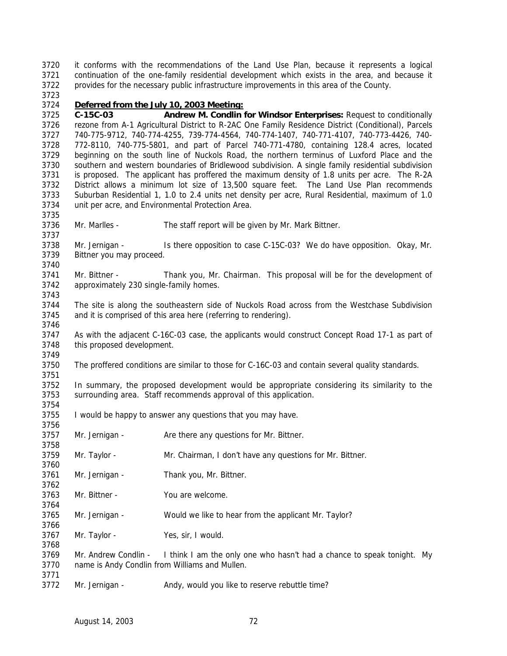it conforms with the recommendations of the Land Use Plan, because it represents a logical continuation of the one-family residential development which exists in the area, and because it provides for the necessary public infrastructure improvements in this area of the County. 

## *Deferred from the July 10, 2003 Meeting:*

 **C-15C-03 Andrew M. Condlin for Windsor Enterprises:** Request to conditionally rezone from A-1 Agricultural District to R-2AC One Family Residence District (Conditional), Parcels 740-775-9712, 740-774-4255, 739-774-4564, 740-774-1407, 740-771-4107, 740-773-4426, 740- 772-8110, 740-775-5801, and part of Parcel 740-771-4780, containing 128.4 acres, located beginning on the south line of Nuckols Road, the northern terminus of Luxford Place and the southern and western boundaries of Bridlewood subdivision. A single family residential subdivision is proposed. The applicant has proffered the maximum density of 1.8 units per acre. The R-2A District allows a minimum lot size of 13,500 square feet. The Land Use Plan recommends Suburban Residential 1, 1.0 to 2.4 units net density per acre, Rural Residential, maximum of 1.0 unit per acre, and Environmental Protection Area.

Mr. Marlles - The staff report will be given by Mr. Mark Bittner.

 Mr. Jernigan - Is there opposition to case C-15C-03? We do have opposition. Okay, Mr. Bittner you may proceed.

 Mr. Bittner - Thank you, Mr. Chairman. This proposal will be for the development of approximately 230 single-family homes.

 The site is along the southeastern side of Nuckols Road across from the Westchase Subdivision and it is comprised of this area here (referring to rendering).

 As with the adjacent C-16C-03 case, the applicants would construct Concept Road 17-1 as part of this proposed development. 

The proffered conditions are similar to those for C-16C-03 and contain several quality standards.

 In summary, the proposed development would be appropriate considering its similarity to the surrounding area. Staff recommends approval of this application.

I would be happy to answer any questions that you may have.

3757 Mr. Jernigan - Are there any questions for Mr. Bittner.

- Mr. Taylor Mr. Chairman, I don't have any questions for Mr. Bittner.
- Mr. Jernigan Thank you, Mr. Bittner.
- Mr. Bittner You are welcome.

Mr. Jernigan - Would we like to hear from the applicant Mr. Taylor?

Mr. Taylor - Yes, sir, I would.

 Mr. Andrew Condlin - I think I am the only one who hasn't had a chance to speak tonight. My name is Andy Condlin from Williams and Mullen.

3772 Mr. Jernigan - Andy, would you like to reserve rebuttle time?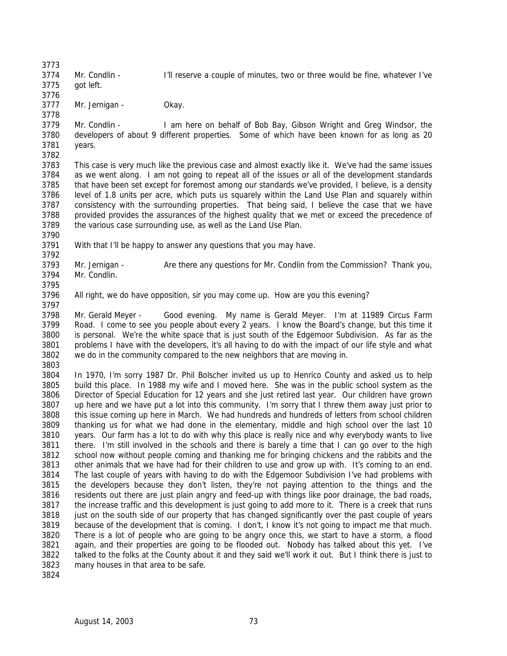Mr. Condlin - I'll reserve a couple of minutes, two or three would be fine, whatever I've got left.

 Mr. Jernigan - Okay. 

 Mr. Condlin - I am here on behalf of Bob Bay, Gibson Wright and Greg Windsor, the developers of about 9 different properties. Some of which have been known for as long as 20 years. 

 This case is very much like the previous case and almost exactly like it. We've had the same issues as we went along. I am not going to repeat all of the issues or all of the development standards that have been set except for foremost among our standards we've provided, I believe, is a density level of 1.8 units per acre, which puts us squarely within the Land Use Plan and squarely within consistency with the surrounding properties. That being said, I believe the case that we have provided provides the assurances of the highest quality that we met or exceed the precedence of the various case surrounding use, as well as the Land Use Plan.

With that I'll be happy to answer any questions that you may have.

 Mr. Jernigan - Are there any questions for Mr. Condlin from the Commission? Thank you, Mr. Condlin. 

 All right, we do have opposition, sir you may come up. How are you this evening? 

 Mr. Gerald Meyer - Good evening. My name is Gerald Meyer. I'm at 11989 Circus Farm Road. I come to see you people about every 2 years. I know the Board's change, but this time it is personal. We're the white space that is just south of the Edgemoor Subdivision. As far as the problems I have with the developers, it's all having to do with the impact of our life style and what we do in the community compared to the new neighbors that are moving in. 

 In 1970, I'm sorry 1987 Dr. Phil Bolscher invited us up to Henrico County and asked us to help build this place. In 1988 my wife and I moved here. She was in the public school system as the Director of Special Education for 12 years and she just retired last year. Our children have grown up here and we have put a lot into this community. I'm sorry that I threw them away just prior to this issue coming up here in March. We had hundreds and hundreds of letters from school children thanking us for what we had done in the elementary, middle and high school over the last 10 years. Our farm has a lot to do with why this place is really nice and why everybody wants to live there. I'm still involved in the schools and there is barely a time that I can go over to the high school now without people coming and thanking me for bringing chickens and the rabbits and the other animals that we have had for their children to use and grow up with. It's coming to an end. The last couple of years with having to do with the Edgemoor Subdivision I've had problems with the developers because they don't listen, they're not paying attention to the things and the residents out there are just plain angry and feed-up with things like poor drainage, the bad roads, the increase traffic and this development is just going to add more to it. There is a creek that runs 3818 just on the south side of our property that has changed significantly over the past couple of years because of the development that is coming. I don't, I know it's not going to impact me that much. There is a lot of people who are going to be angry once this, we start to have a storm, a flood again, and their properties are going to be flooded out. Nobody has talked about this yet. I've talked to the folks at the County about it and they said we'll work it out. But I think there is just to many houses in that area to be safe.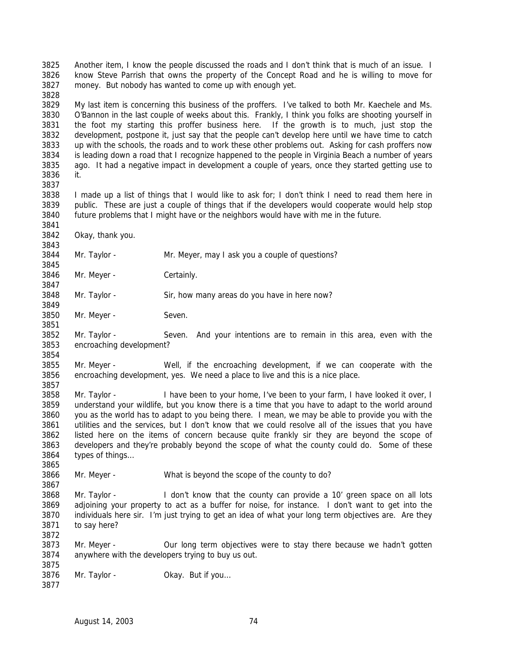Another item, I know the people discussed the roads and I don't think that is much of an issue. I know Steve Parrish that owns the property of the Concept Road and he is willing to move for money. But nobody has wanted to come up with enough yet. 

 My last item is concerning this business of the proffers. I've talked to both Mr. Kaechele and Ms. O'Bannon in the last couple of weeks about this. Frankly, I think you folks are shooting yourself in the foot my starting this proffer business here. If the growth is to much, just stop the development, postpone it, just say that the people can't develop here until we have time to catch up with the schools, the roads and to work these other problems out. Asking for cash proffers now is leading down a road that I recognize happened to the people in Virginia Beach a number of years ago. It had a negative impact in development a couple of years, once they started getting use to it.

 I made up a list of things that I would like to ask for; I don't think I need to read them here in public. These are just a couple of things that if the developers would cooperate would help stop future problems that I might have or the neighbors would have with me in the future.

Okay, thank you.

Mr. Taylor - Mr. Meyer, may I ask you a couple of questions?

Mr. Meyer - Certainly.

Mr. Taylor - Sir, how many areas do you have in here now?

Mr. Meyer - Seven.

 Mr. Taylor - Seven. And your intentions are to remain in this area, even with the encroaching development?

 Mr. Meyer - Well, if the encroaching development, if we can cooperate with the encroaching development, yes. We need a place to live and this is a nice place.

 Mr. Taylor - I have been to your home, I've been to your farm, I have looked it over, I understand your wildlife, but you know there is a time that you have to adapt to the world around you as the world has to adapt to you being there. I mean, we may be able to provide you with the utilities and the services, but I don't know that we could resolve all of the issues that you have listed here on the items of concern because quite frankly sir they are beyond the scope of developers and they're probably beyond the scope of what the county could do. Some of these types of things…

Mr. Meyer - What is beyond the scope of the county to do?

3868 Mr. Taylor - I don't know that the county can provide a 10' green space on all lots adjoining your property to act as a buffer for noise, for instance. I don't want to get into the individuals here sir. I'm just trying to get an idea of what your long term objectives are. Are they to say here? 

 Mr. Meyer - Our long term objectives were to stay there because we hadn't gotten anywhere with the developers trying to buy us out. 

3876 Mr. Taylor - Okay. But if you...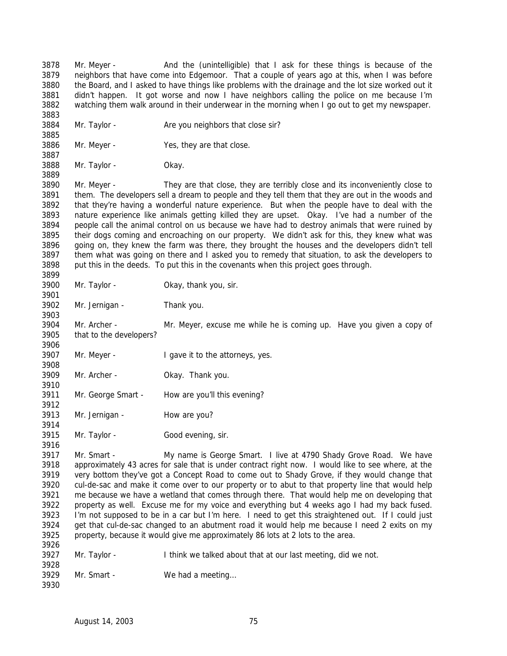Mr. Meyer - And the (unintelligible) that I ask for these things is because of the neighbors that have come into Edgemoor. That a couple of years ago at this, when I was before the Board, and I asked to have things like problems with the drainage and the lot size worked out it didn't happen. It got worse and now I have neighbors calling the police on me because I'm watching them walk around in their underwear in the morning when I go out to get my newspaper. 

- 3884 Mr. Taylor Are you neighbors that close sir?
- Mr. Meyer Yes, they are that close.
- Mr. Taylor Okay.

 Mr. Meyer - They are that close, they are terribly close and its inconveniently close to them. The developers sell a dream to people and they tell them that they are out in the woods and that they're having a wonderful nature experience. But when the people have to deal with the nature experience like animals getting killed they are upset. Okay. I've had a number of the people call the animal control on us because we have had to destroy animals that were ruined by their dogs coming and encroaching on our property. We didn't ask for this, they knew what was going on, they knew the farm was there, they brought the houses and the developers didn't tell them what was going on there and I asked you to remedy that situation, to ask the developers to put this in the deeds. To put this in the covenants when this project goes through. 

- Mr. Taylor Okay, thank you, sir.
- Mr. Jernigan Thank you.

 Mr. Archer - Mr. Meyer, excuse me while he is coming up. Have you given a copy of that to the developers?

- 3907 Mr. Meyer I gave it to the attorneys, yes.
- 3908<br>3909 Mr. Archer - Okay. Thank you.
- Mr. George Smart How are you'll this evening?
- 3913 Mr. Jernigan How are you?
- Mr. Taylor Good evening, sir.

 Mr. Smart - My name is George Smart. I live at 4790 Shady Grove Road. We have approximately 43 acres for sale that is under contract right now. I would like to see where, at the very bottom they've got a Concept Road to come out to Shady Grove, if they would change that cul-de-sac and make it come over to our property or to abut to that property line that would help me because we have a wetland that comes through there. That would help me on developing that property as well. Excuse me for my voice and everything but 4 weeks ago I had my back fused. I'm not supposed to be in a car but I'm here. I need to get this straightened out. If I could just get that cul-de-sac changed to an abutment road it would help me because I need 2 exits on my property, because it would give me approximately 86 lots at 2 lots to the area. 

- Mr. Taylor I think we talked about that at our last meeting, did we not.
- Mr. Smart We had a meeting…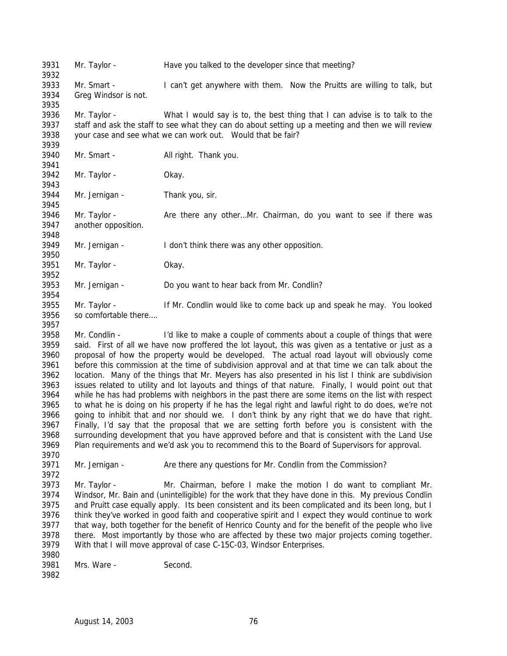Mr. Smart - I can't get anywhere with them. Now the Pruitts are willing to talk, but Greg Windsor is not. Mr. Taylor - What I would say is to, the best thing that I can advise is to talk to the staff and ask the staff to see what they can do about setting up a meeting and then we will review your case and see what we can work out. Would that be fair? Mr. Smart - All right. Thank you. Mr. Taylor - Okay. Mr. Jernigan - Thank you, sir. Mr. Taylor - Are there any other…Mr. Chairman, do you want to see if there was another opposition.

 Mr. Jernigan - I don't think there was any other opposition. 

Mr. Taylor - Have you talked to the developer since that meeting?

 Mr. Taylor - Okay. 

Mr. Jernigan - Do you want to hear back from Mr. Condlin?

3955 Mr. Taylor - If Mr. Condlin would like to come back up and speak he may. You looked so comfortable there…. 

 Mr. Condlin - I'd like to make a couple of comments about a couple of things that were said. First of all we have now proffered the lot layout, this was given as a tentative or just as a proposal of how the property would be developed. The actual road layout will obviously come before this commission at the time of subdivision approval and at that time we can talk about the location. Many of the things that Mr. Meyers has also presented in his list I think are subdivision issues related to utility and lot layouts and things of that nature. Finally, I would point out that while he has had problems with neighbors in the past there are some items on the list with respect to what he is doing on his property if he has the legal right and lawful right to do does, we're not going to inhibit that and nor should we. I don't think by any right that we do have that right. Finally, I'd say that the proposal that we are setting forth before you is consistent with the surrounding development that you have approved before and that is consistent with the Land Use Plan requirements and we'd ask you to recommend this to the Board of Supervisors for approval.

3971 Mr. Jernigan - Are there any questions for Mr. Condlin from the Commission?

 Mr. Taylor - Mr. Chairman, before I make the motion I do want to compliant Mr. Windsor, Mr. Bain and (unintelligible) for the work that they have done in this. My previous Condlin and Pruitt case equally apply. Its been consistent and its been complicated and its been long, but I think they've worked in good faith and cooperative spirit and I expect they would continue to work that way, both together for the benefit of Henrico County and for the benefit of the people who live there. Most importantly by those who are affected by these two major projects coming together. With that I will move approval of case C-15C-03, Windsor Enterprises.

 Mrs. Ware - Second.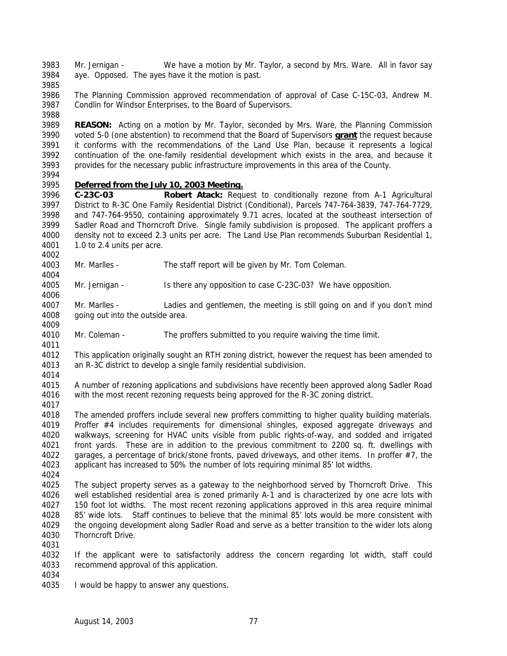Mr. Jernigan - We have a motion by Mr. Taylor, a second by Mrs. Ware. All in favor say aye. Opposed. The ayes have it the motion is past.

 The Planning Commission approved recommendation of approval of Case C-15C-03, Andrew M. Condlin for Windsor Enterprises, to the Board of Supervisors. 

 **REASON:** Acting on a motion by Mr. Taylor, seconded by Mrs. Ware, the Planning Commission voted 5-0 (one abstention) to recommend that the Board of Supervisors **grant** the request because it conforms with the recommendations of the Land Use Plan, because it represents a logical continuation of the one-family residential development which exists in the area, and because it provides for the necessary public infrastructure improvements in this area of the County.

## *Deferred from the July 10, 2003 Meeting.*

 **C-23C-03 Robert Atack:** Request to conditionally rezone from A-1 Agricultural District to R-3C One Family Residential District (Conditional), Parcels 747-764-3839, 747-764-7729, and 747-764-9550, containing approximately 9.71 acres, located at the southeast intersection of Sadler Road and Thorncroft Drive. Single family subdivision is proposed. The applicant proffers a density not to exceed 2.3 units per acre. The Land Use Plan recommends Suburban Residential 1, 1.0 to 2.4 units per acre. 

- Mr. Marlles The staff report will be given by Mr. Tom Coleman.
- Mr. Jernigan Is there any opposition to case C-23C-03? We have opposition.
- Mr. Marlles Ladies and gentlemen, the meeting is still going on and if you don't mind 4008 going out into the outside area.
- Mr. Coleman The proffers submitted to you require waiving the time limit.

4012 This application originally sought an RTH zoning district, however the request has been amended to 4013 an R-3C district to develop a single family residential subdivision. an R-3C district to develop a single family residential subdivision.

 A number of rezoning applications and subdivisions have recently been approved along Sadler Road with the most recent rezoning requests being approved for the R-3C zoning district.

 The amended proffers include several new proffers committing to higher quality building materials. Proffer #4 includes requirements for dimensional shingles, exposed aggregate driveways and walkways, screening for HVAC units visible from public rights-of-way, and sodded and irrigated front yards. These are in addition to the previous commitment to 2200 sq. ft. dwellings with 4022 garages, a percentage of brick/stone fronts, paved driveways, and other items. In proffer #7, the applicant has increased to 50% the number of lots requiring minimal 85' lot widths.

 The subject property serves as a gateway to the neighborhood served by Thorncroft Drive. This well established residential area is zoned primarily A-1 and is characterized by one acre lots with 150 foot lot widths. The most recent rezoning applications approved in this area require minimal 85' wide lots. Staff continues to believe that the minimal 85' lots would be more consistent with the ongoing development along Sadler Road and serve as a better transition to the wider lots along Thorncroft Drive.

 If the applicant were to satisfactorily address the concern regarding lot width, staff could recommend approval of this application.

I would be happy to answer any questions.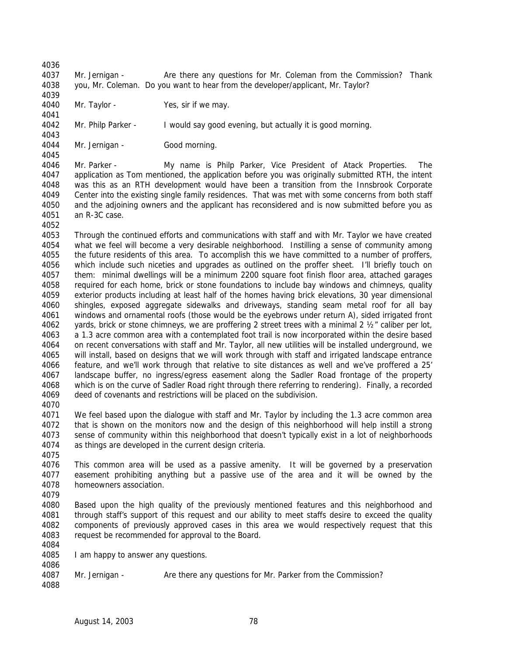Mr. Jernigan - Are there any questions for Mr. Coleman from the Commission? Thank you, Mr. Coleman. Do you want to hear from the developer/applicant, Mr. Taylor?

4040 Mr. Taylor - Yes, sir if we may.

 Mr. Philp Parker - I would say good evening, but actually it is good morning. 

 Mr. Jernigan - Good morning. 

 Mr. Parker - My name is Philp Parker, Vice President of Atack Properties. The application as Tom mentioned, the application before you was originally submitted RTH, the intent was this as an RTH development would have been a transition from the Innsbrook Corporate Center into the existing single family residences. That was met with some concerns from both staff and the adjoining owners and the applicant has reconsidered and is now submitted before you as an R-3C case.

 Through the continued efforts and communications with staff and with Mr. Taylor we have created what we feel will become a very desirable neighborhood. Instilling a sense of community among the future residents of this area. To accomplish this we have committed to a number of proffers, which include such niceties and upgrades as outlined on the proffer sheet. I'll briefly touch on them: minimal dwellings will be a minimum 2200 square foot finish floor area, attached garages required for each home, brick or stone foundations to include bay windows and chimneys, quality exterior products including at least half of the homes having brick elevations, 30 year dimensional shingles, exposed aggregate sidewalks and driveways, standing seam metal roof for all bay windows and ornamental roofs (those would be the eyebrows under return A), sided irrigated front yards, brick or stone chimneys, we are proffering 2 street trees with a minimal 2 ½" caliber per lot, a 1.3 acre common area with a contemplated foot trail is now incorporated within the desire based on recent conversations with staff and Mr. Taylor, all new utilities will be installed underground, we will install, based on designs that we will work through with staff and irrigated landscape entrance feature, and we'll work through that relative to site distances as well and we've proffered a 25' landscape buffer, no ingress/egress easement along the Sadler Road frontage of the property which is on the curve of Sadler Road right through there referring to rendering). Finally, a recorded deed of covenants and restrictions will be placed on the subdivision.

 We feel based upon the dialogue with staff and Mr. Taylor by including the 1.3 acre common area that is shown on the monitors now and the design of this neighborhood will help instill a strong sense of community within this neighborhood that doesn't typically exist in a lot of neighborhoods as things are developed in the current design criteria.

 This common area will be used as a passive amenity. It will be governed by a preservation easement prohibiting anything but a passive use of the area and it will be owned by the homeowners association.

- 
- Based upon the high quality of the previously mentioned features and this neighborhood and through staff's support of this request and our ability to meet staffs desire to exceed the quality components of previously approved cases in this area we would respectively request that this request be recommended for approval to the Board.
- I am happy to answer any questions.
- Mr. Jernigan - Are there any questions for Mr. Parker from the Commission?
-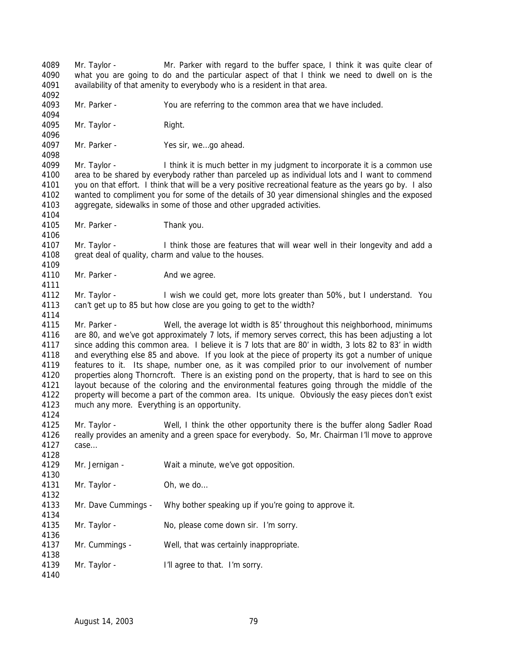Mr. Taylor - Mr. Parker with regard to the buffer space, I think it was quite clear of what you are going to do and the particular aspect of that I think we need to dwell on is the availability of that amenity to everybody who is a resident in that area. Mr. Parker - You are referring to the common area that we have included. 4095 Mr. Taylor - Right. Mr. Parker - Yes sir, we…go ahead. Mr. Taylor - I think it is much better in my judgment to incorporate it is a common use area to be shared by everybody rather than parceled up as individual lots and I want to commend you on that effort. I think that will be a very positive recreational feature as the years go by. I also wanted to compliment you for some of the details of 30 year dimensional shingles and the exposed aggregate, sidewalks in some of those and other upgraded activities. Mr. Parker - Thank you. Mr. Taylor - I think those are features that will wear well in their longevity and add a great deal of quality, charm and value to the houses. 4110 Mr. Parker - And we agree. Mr. Taylor - I wish we could get, more lots greater than 50%, but I understand. You can't get up to 85 but how close are you going to get to the width? Mr. Parker - Well, the average lot width is 85' throughout this neighborhood, minimums are 80, and we've got approximately 7 lots, if memory serves correct, this has been adjusting a lot since adding this common area. I believe it is 7 lots that are 80' in width, 3 lots 82 to 83' in width and everything else 85 and above. If you look at the piece of property its got a number of unique 4119 features to it. Its shape, number one, as it was compiled prior to our involvement of number<br>4120 properties along Thorncroft. There is an existing pond on the property, that is hard to see on this properties along Thorncroft. There is an existing pond on the property, that is hard to see on this layout because of the coloring and the environmental features going through the middle of the property will become a part of the common area. Its unique. Obviously the easy pieces don't exist much any more. Everything is an opportunity. Mr. Taylor - Well, I think the other opportunity there is the buffer along Sadler Road really provides an amenity and a green space for everybody. So, Mr. Chairman I'll move to approve case… Mr. Jernigan - Wait a minute, we've got opposition. 4131 Mr. Taylor - Oh, we do... Mr. Dave Cummings - Why bother speaking up if you're going to approve it. Mr. Taylor - No, please come down sir. I'm sorry. Mr. Cummings - Well, that was certainly inappropriate. 4139 Mr. Taylor - I'll agree to that. I'm sorry.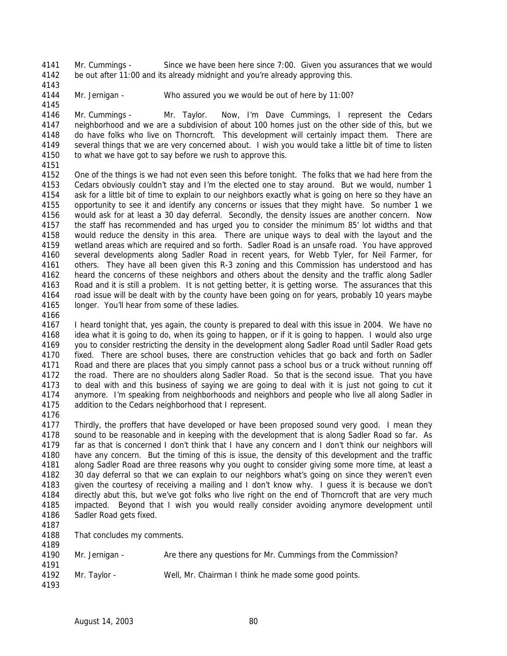Mr. Cummings - Since we have been here since 7:00. Given you assurances that we would be out after 11:00 and its already midnight and you're already approving this.

Mr. Jernigan - Who assured you we would be out of here by 11:00?

 Mr. Cummings - Mr. Taylor. Now, I'm Dave Cummings, I represent the Cedars neighborhood and we are a subdivision of about 100 homes just on the other side of this, but we do have folks who live on Thorncroft. This development will certainly impact them. There are several things that we are very concerned about. I wish you would take a little bit of time to listen 4150 to what we have got to say before we rush to approve this.

 One of the things is we had not even seen this before tonight. The folks that we had here from the Cedars obviously couldn't stay and I'm the elected one to stay around. But we would, number 1 ask for a little bit of time to explain to our neighbors exactly what is going on here so they have an opportunity to see it and identify any concerns or issues that they might have. So number 1 we would ask for at least a 30 day deferral. Secondly, the density issues are another concern. Now the staff has recommended and has urged you to consider the minimum 85' lot widths and that would reduce the density in this area. There are unique ways to deal with the layout and the wetland areas which are required and so forth. Sadler Road is an unsafe road. You have approved several developments along Sadler Road in recent years, for Webb Tyler, for Neil Farmer, for others. They have all been given this R-3 zoning and this Commission has understood and has heard the concerns of these neighbors and others about the density and the traffic along Sadler Road and it is still a problem. It is not getting better, it is getting worse. The assurances that this road issue will be dealt with by the county have been going on for years, probably 10 years maybe 4165 longer. You'll hear from some of these ladies.

 I heard tonight that, yes again, the county is prepared to deal with this issue in 2004. We have no idea what it is going to do, when its going to happen, or if it is going to happen. I would also urge you to consider restricting the density in the development along Sadler Road until Sadler Road gets fixed. There are school buses, there are construction vehicles that go back and forth on Sadler Road and there are places that you simply cannot pass a school bus or a truck without running off the road. There are no shoulders along Sadler Road. So that is the second issue. That you have to deal with and this business of saying we are going to deal with it is just not going to cut it anymore. I'm speaking from neighborhoods and neighbors and people who live all along Sadler in addition to the Cedars neighborhood that I represent.

 Thirdly, the proffers that have developed or have been proposed sound very good. I mean they sound to be reasonable and in keeping with the development that is along Sadler Road so far. As far as that is concerned I don't think that I have any concern and I don't think our neighbors will have any concern. But the timing of this is issue, the density of this development and the traffic along Sadler Road are three reasons why you ought to consider giving some more time, at least a 30 day deferral so that we can explain to our neighbors what's going on since they weren't even given the courtesy of receiving a mailing and I don't know why. I guess it is because we don't directly abut this, but we've got folks who live right on the end of Thorncroft that are very much impacted. Beyond that I wish you would really consider avoiding anymore development until Sadler Road gets fixed.

That concludes my comments.

| 4189 |                |                                                               |
|------|----------------|---------------------------------------------------------------|
| 4190 | Mr. Jernigan - | Are there any questions for Mr. Cummings from the Commission? |
| 4191 |                |                                                               |
| 4192 | Mr. Tavlor -   | Well, Mr. Chairman I think he made some good points.          |
| 4193 |                |                                                               |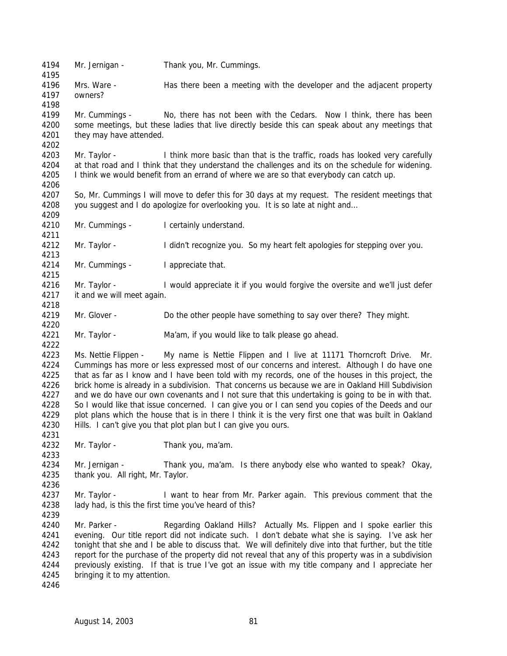Mr. Jernigan - Thank you, Mr. Cummings. Mrs. Ware - Has there been a meeting with the developer and the adjacent property owners? Mr. Cummings - No, there has not been with the Cedars. Now I think, there has been some meetings, but these ladies that live directly beside this can speak about any meetings that they may have attended. Mr. Taylor - I think more basic than that is the traffic, roads has looked very carefully at that road and I think that they understand the challenges and its on the schedule for widening. I think we would benefit from an errand of where we are so that everybody can catch up. So, Mr. Cummings I will move to defer this for 30 days at my request. The resident meetings that you suggest and I do apologize for overlooking you. It is so late at night and… 4210 Mr. Cummings - I certainly understand. Mr. Taylor - I didn't recognize you. So my heart felt apologies for stepping over you. Mr. Cummings - I appreciate that. Mr. Taylor - I would appreciate it if you would forgive the oversite and we'll just defer it and we will meet again. Mr. Glover - Do the other people have something to say over there? They might. Mr. Taylor - Ma'am, if you would like to talk please go ahead. 4223 Ms. Nettie Flippen - My name is Nettie Flippen and I live at 11171 Thorncroft Drive. Mr. Cummings has more or less expressed most of our concerns and interest. Although I do have one that as far as I know and I have been told with my records, one of the houses in this project, the brick home is already in a subdivision. That concerns us because we are in Oakland Hill Subdivision and we do have our own covenants and I not sure that this undertaking is going to be in with that. So I would like that issue concerned. I can give you or I can send you copies of the Deeds and our plot plans which the house that is in there I think it is the very first one that was built in Oakland Hills. I can't give you that plot plan but I can give you ours. Mr. Taylor - Thank you, ma'am. Mr. Jernigan - Thank you, ma'am. Is there anybody else who wanted to speak? Okay, thank you. All right, Mr. Taylor. Mr. Taylor - I want to hear from Mr. Parker again. This previous comment that the 4238 lady had, is this the first time you've heard of this? Mr. Parker - Regarding Oakland Hills? Actually Ms. Flippen and I spoke earlier this evening. Our title report did not indicate such. I don't debate what she is saying. I've ask her tonight that she and I be able to discuss that. We will definitely dive into that further, but the title report for the purchase of the property did not reveal that any of this property was in a subdivision previously existing. If that is true I've got an issue with my title company and I appreciate her bringing it to my attention.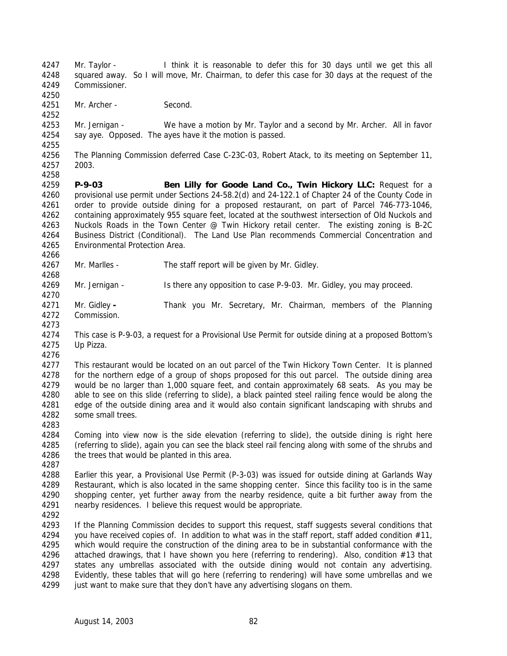Mr. Taylor - I think it is reasonable to defer this for 30 days until we get this all squared away. So I will move, Mr. Chairman, to defer this case for 30 days at the request of the Commissioner. 

Mr. Archer - Second.

 Mr. Jernigan - We have a motion by Mr. Taylor and a second by Mr. Archer. All in favor say aye. Opposed. The ayes have it the motion is passed.

 The Planning Commission deferred Case C-23C-03, Robert Atack, to its meeting on September 11, 2003.

 **P-9-03 Ben Lilly for Goode Land Co., Twin Hickory LLC:** Request for a provisional use permit under Sections 24-58.2(d) and 24-122.1 of Chapter 24 of the County Code in order to provide outside dining for a proposed restaurant, on part of Parcel 746-773-1046, containing approximately 955 square feet, located at the southwest intersection of Old Nuckols and Nuckols Roads in the Town Center @ Twin Hickory retail center. The existing zoning is B-2C Business District (Conditional). The Land Use Plan recommends Commercial Concentration and Environmental Protection Area.

Mr. Marlles - The staff report will be given by Mr. Gidley.

Mr. Jernigan - Is there any opposition to case P-9-03. Mr. Gidley, you may proceed.

- Mr. Gidley **-** Thank you Mr. Secretary, Mr. Chairman, members of the Planning Commission.
- This case is P-9-03, a request for a Provisional Use Permit for outside dining at a proposed Bottom's Up Pizza.
- 

 This restaurant would be located on an out parcel of the Twin Hickory Town Center. It is planned for the northern edge of a group of shops proposed for this out parcel. The outside dining area would be no larger than 1,000 square feet, and contain approximately 68 seats. As you may be able to see on this slide (referring to slide), a black painted steel railing fence would be along the edge of the outside dining area and it would also contain significant landscaping with shrubs and some small trees. 

- Coming into view now is the side elevation (referring to slide), the outside dining is right here (referring to slide), again you can see the black steel rail fencing along with some of the shrubs and 4286 the trees that would be planted in this area.
- Earlier this year, a Provisional Use Permit (P-3-03) was issued for outside dining at Garlands Way Restaurant, which is also located in the same shopping center. Since this facility too is in the same shopping center, yet further away from the nearby residence, quite a bit further away from the nearby residences. I believe this request would be appropriate.
- 

 If the Planning Commission decides to support this request, staff suggests several conditions that you have received copies of. In addition to what was in the staff report, staff added condition #11, which would require the construction of the dining area to be in substantial conformance with the attached drawings, that I have shown you here (referring to rendering). Also, condition #13 that states any umbrellas associated with the outside dining would not contain any advertising. Evidently, these tables that will go here (referring to rendering) will have some umbrellas and we just want to make sure that they don't have any advertising slogans on them.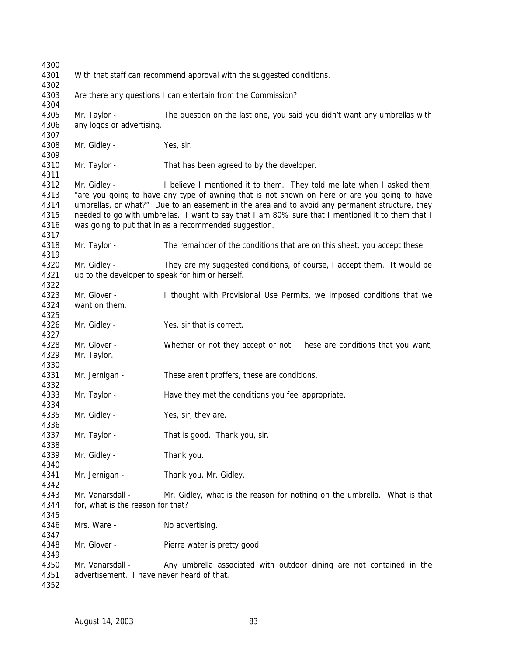With that staff can recommend approval with the suggested conditions. Are there any questions I can entertain from the Commission? Mr. Taylor - The question on the last one, you said you didn't want any umbrellas with any logos or advertising. Mr. Gidley - Yes, sir. Mr. Taylor - That has been agreed to by the developer. Mr. Gidley - I believe I mentioned it to them. They told me late when I asked them, "are you going to have any type of awning that is not shown on here or are you going to have umbrellas, or what?" Due to an easement in the area and to avoid any permanent structure, they needed to go with umbrellas. I want to say that I am 80% sure that I mentioned it to them that I was going to put that in as a recommended suggestion. Mr. Taylor - The remainder of the conditions that are on this sheet, you accept these. Mr. Gidley - They are my suggested conditions, of course, I accept them. It would be up to the developer to speak for him or herself. Mr. Glover - I thought with Provisional Use Permits, we imposed conditions that we want on them. Mr. Gidley - Yes, sir that is correct. Mr. Glover - Whether or not they accept or not. These are conditions that you want, Mr. Taylor. Mr. Jernigan - These aren't proffers, these are conditions. 4333 Mr. Taylor - Have they met the conditions you feel appropriate. 4335 Mr. Gidley - Yes, sir, they are. Mr. Taylor - That is good. Thank you, sir. Mr. Gidley - Thank you. 4341 Mr. Jernigan - Thank you, Mr. Gidley. Mr. Vanarsdall - Mr. Gidley, what is the reason for nothing on the umbrella. What is that for, what is the reason for that? 4346 Mrs. Ware - No advertising. 4348 Mr. Glover - Pierre water is pretty good. 4350 Mr. Vanarsdall - Any umbrella associated with outdoor dining are not contained in the advertisement. I have never heard of that.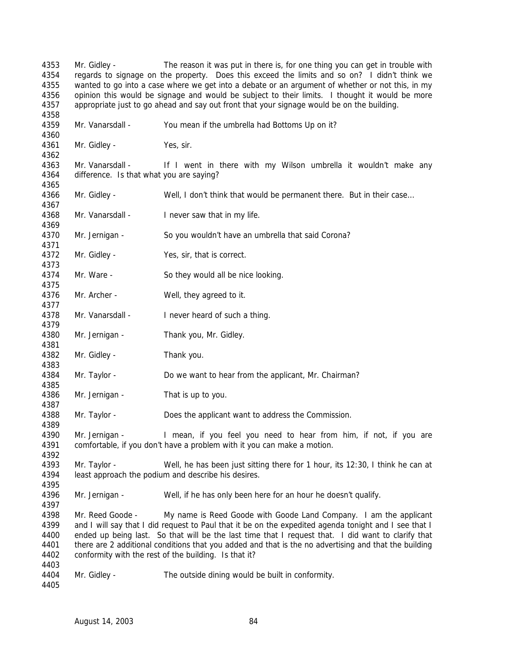Mr. Gidley - The reason it was put in there is, for one thing you can get in trouble with regards to signage on the property. Does this exceed the limits and so on? I didn't think we wanted to go into a case where we get into a debate or an argument of whether or not this, in my 4356 opinion this would be signage and would be subject to their limits. I thought it would be more appropriate just to go ahead and say out front that your signage would be on the building. Mr. Vanarsdall - You mean if the umbrella had Bottoms Up on it? Mr. Gidley - Yes, sir. 4363 Mr. Vanarsdall - If I went in there with my Wilson umbrella it wouldn't make any difference. Is that what you are saying? Mr. Gidley - Well, I don't think that would be permanent there. But in their case… 4368 Mr. Vanarsdall - I never saw that in my life. Mr. Jernigan - So you wouldn't have an umbrella that said Corona? 4372 Mr. Gidley - Yes, sir, that is correct. Mr. Ware - So they would all be nice looking. Mr. Archer - Well, they agreed to it. Mr. Vanarsdall - I never heard of such a thing. Mr. Jernigan - Thank you, Mr. Gidley. Mr. Gidley - Thank you. Mr. Taylor - Do we want to hear from the applicant, Mr. Chairman? Mr. Jernigan - That is up to you. Mr. Taylor - Does the applicant want to address the Commission. Mr. Jernigan - I mean, if you feel you need to hear from him, if not, if you are comfortable, if you don't have a problem with it you can make a motion. Mr. Taylor - Well, he has been just sitting there for 1 hour, its 12:30, I think he can at least approach the podium and describe his desires. Mr. Jernigan - Well, if he has only been here for an hour he doesn't qualify. 4398 Mr. Reed Goode - My name is Reed Goode with Goode Land Company. I am the applicant and I will say that I did request to Paul that it be on the expedited agenda tonight and I see that I ended up being last. So that will be the last time that I request that. I did want to clarify that there are 2 additional conditions that you added and that is the no advertising and that the building conformity with the rest of the building. Is that it? Mr. Gidley - The outside dining would be built in conformity.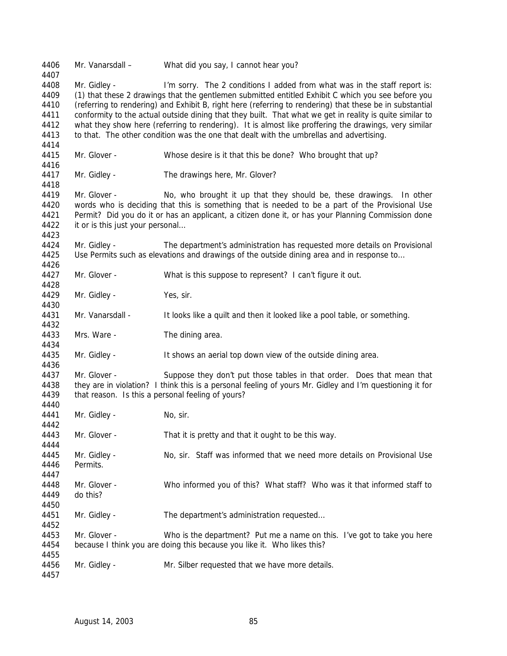Mr. Vanarsdall – What did you say, I cannot hear you? Mr. Gidley - I'm sorry. The 2 conditions I added from what was in the staff report is: (1) that these 2 drawings that the gentlemen submitted entitled Exhibit C which you see before you (referring to rendering) and Exhibit B, right here (referring to rendering) that these be in substantial conformity to the actual outside dining that they built. That what we get in reality is quite similar to what they show here (referring to rendering). It is almost like proffering the drawings, very similar 4413 to that. The other condition was the one that dealt with the umbrellas and advertising. Mr. Glover - Whose desire is it that this be done? Who brought that up? Mr. Gidley - The drawings here, Mr. Glover? Mr. Glover - No, who brought it up that they should be, these drawings. In other words who is deciding that this is something that is needed to be a part of the Provisional Use Permit? Did you do it or has an applicant, a citizen done it, or has your Planning Commission done 4422 it or is this just your personal... Mr. Gidley - The department's administration has requested more details on Provisional 4425 Use Permits such as elevations and drawings of the outside dining area and in response to... Mr. Glover - What is this suppose to represent? I can't figure it out. Mr. Gidley - Yes, sir. Mr. Vanarsdall - It looks like a quilt and then it looked like a pool table, or something. Mrs. Ware - The dining area. Mr. Gidley - It shows an aerial top down view of the outside dining area. Mr. Glover - Suppose they don't put those tables in that order. Does that mean that they are in violation? I think this is a personal feeling of yours Mr. Gidley and I'm questioning it for 4439 that reason. Is this a personal feeling of yours? 4441 Mr. Gidley - No, sir. Mr. Glover - That it is pretty and that it ought to be this way. Mr. Gidley - No, sir. Staff was informed that we need more details on Provisional Use Permits. Mr. Glover - Who informed you of this? What staff? Who was it that informed staff to do this? 4451 Mr. Gidley - The department's administration requested... Mr. Glover - Who is the department? Put me a name on this. I've got to take you here because I think you are doing this because you like it. Who likes this? Mr. Gidley - Mr. Silber requested that we have more details.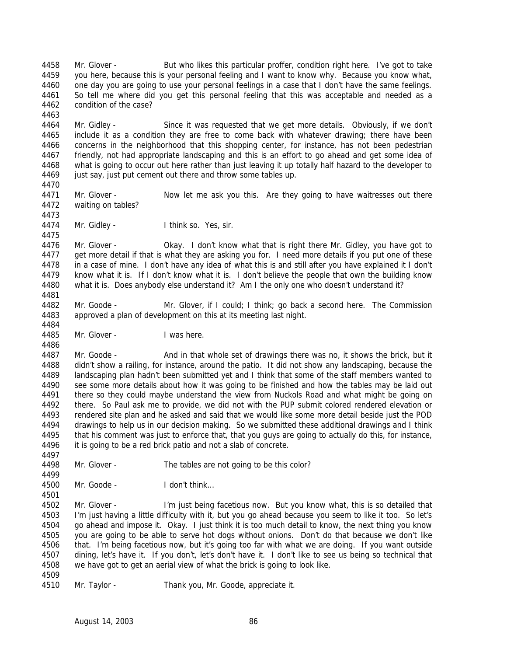Mr. Glover - But who likes this particular proffer, condition right here. I've got to take you here, because this is your personal feeling and I want to know why. Because you know what, one day you are going to use your personal feelings in a case that I don't have the same feelings. So tell me where did you get this personal feeling that this was acceptable and needed as a condition of the case? 

 Mr. Gidley - Since it was requested that we get more details. Obviously, if we don't include it as a condition they are free to come back with whatever drawing; there have been concerns in the neighborhood that this shopping center, for instance, has not been pedestrian friendly, not had appropriate landscaping and this is an effort to go ahead and get some idea of what is going to occur out here rather than just leaving it up totally half hazard to the developer to 4469 just say, just put cement out there and throw some tables up.

4471 Mr. Glover - Now let me ask you this. Are they going to have waitresses out there waiting on tables? 

4474 Mr. Gidley - I think so. Yes, sir.

 Mr. Glover - Okay. I don't know what that is right there Mr. Gidley, you have got to get more detail if that is what they are asking you for. I need more details if you put one of these in a case of mine. I don't have any idea of what this is and still after you have explained it I don't know what it is. If I don't know what it is. I don't believe the people that own the building know what it is. Does anybody else understand it? Am I the only one who doesn't understand it? 

 Mr. Goode - Mr. Glover, if I could; I think; go back a second here. The Commission approved a plan of development on this at its meeting last night. 

Mr. Glover - I was here.

4487 Mr. Goode - And in that whole set of drawings there was no, it shows the brick, but it didn't show a railing, for instance, around the patio. It did not show any landscaping, because the landscaping plan hadn't been submitted yet and I think that some of the staff members wanted to see some more details about how it was going to be finished and how the tables may be laid out there so they could maybe understand the view from Nuckols Road and what might be going on there. So Paul ask me to provide, we did not with the PUP submit colored rendered elevation or rendered site plan and he asked and said that we would like some more detail beside just the POD drawings to help us in our decision making. So we submitted these additional drawings and I think that his comment was just to enforce that, that you guys are going to actually do this, for instance, 4496 it is going to be a red brick patio and not a slab of concrete.

Mr. Glover - The tables are not going to be this color?

Mr. Goode - I don't think…

 Mr. Glover - I'm just being facetious now. But you know what, this is so detailed that I'm just having a little difficulty with it, but you go ahead because you seem to like it too. So let's go ahead and impose it. Okay. I just think it is too much detail to know, the next thing you know you are going to be able to serve hot dogs without onions. Don't do that because we don't like that. I'm being facetious now, but it's going too far with what we are doing. If you want outside dining, let's have it. If you don't, let's don't have it. I don't like to see us being so technical that we have got to get an aerial view of what the brick is going to look like. 

Mr. Taylor - Thank you, Mr. Goode, appreciate it.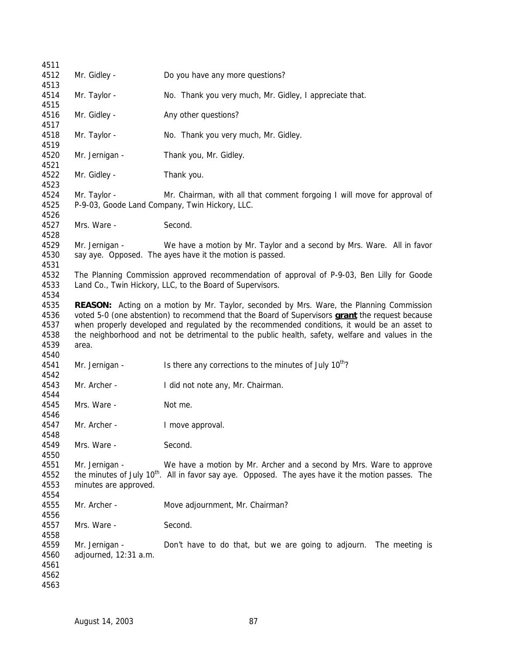| 4511         |                                         |                                                                                                               |  |  |
|--------------|-----------------------------------------|---------------------------------------------------------------------------------------------------------------|--|--|
| 4512         | Mr. Gidley -                            | Do you have any more questions?                                                                               |  |  |
| 4513<br>4514 |                                         |                                                                                                               |  |  |
| 4515         | Mr. Taylor -                            | No. Thank you very much, Mr. Gidley, I appreciate that.                                                       |  |  |
| 4516<br>4517 | Mr. Gidley -                            | Any other questions?                                                                                          |  |  |
| 4518<br>4519 | Mr. Taylor -                            | No. Thank you very much, Mr. Gidley.                                                                          |  |  |
| 4520<br>4521 | Mr. Jernigan -                          | Thank you, Mr. Gidley.                                                                                        |  |  |
| 4522<br>4523 | Mr. Gidley -                            | Thank you.                                                                                                    |  |  |
| 4524         | Mr. Taylor -                            | Mr. Chairman, with all that comment forgoing I will move for approval of                                      |  |  |
| 4525<br>4526 |                                         | P-9-03, Goode Land Company, Twin Hickory, LLC.                                                                |  |  |
| 4527<br>4528 | Mrs. Ware -                             | Second.                                                                                                       |  |  |
| 4529         | Mr. Jernigan -                          | We have a motion by Mr. Taylor and a second by Mrs. Ware. All in favor                                        |  |  |
| 4530<br>4531 |                                         | say aye. Opposed. The ayes have it the motion is passed.                                                      |  |  |
| 4532         |                                         | The Planning Commission approved recommendation of approval of P-9-03, Ben Lilly for Goode                    |  |  |
| 4533         |                                         | Land Co., Twin Hickory, LLC, to the Board of Supervisors.                                                     |  |  |
| 4534         |                                         |                                                                                                               |  |  |
| 4535         |                                         | REASON: Acting on a motion by Mr. Taylor, seconded by Mrs. Ware, the Planning Commission                      |  |  |
| 4536         |                                         | voted 5-0 (one abstention) to recommend that the Board of Supervisors <b>grant</b> the request because        |  |  |
| 4537         |                                         | when properly developed and regulated by the recommended conditions, it would be an asset to                  |  |  |
| 4538<br>4539 | area.                                   | the neighborhood and not be detrimental to the public health, safety, welfare and values in the               |  |  |
| 4540         |                                         |                                                                                                               |  |  |
| 4541<br>4542 | Mr. Jernigan -                          | Is there any corrections to the minutes of July 10 <sup>th</sup> ?                                            |  |  |
| 4543<br>4544 | Mr. Archer -                            | I did not note any, Mr. Chairman.                                                                             |  |  |
| 4545<br>4546 | Mrs. Ware -                             | Not me.                                                                                                       |  |  |
| 4547         | Mr. Archer -                            | I move approval.                                                                                              |  |  |
| 4548         |                                         |                                                                                                               |  |  |
| 4549<br>4550 | Mrs. Ware -                             | Second.                                                                                                       |  |  |
| 4551         | Mr. Jernigan -                          | We have a motion by Mr. Archer and a second by Mrs. Ware to approve                                           |  |  |
| 4552         |                                         | the minutes of July 10 <sup>th</sup> . All in favor say aye. Opposed. The ayes have it the motion passes. The |  |  |
| 4553         | minutes are approved.                   |                                                                                                               |  |  |
| 4554         |                                         |                                                                                                               |  |  |
| 4555         | Mr. Archer -                            | Move adjournment, Mr. Chairman?                                                                               |  |  |
| 4556         |                                         |                                                                                                               |  |  |
| 4557         | Mrs. Ware -                             | Second.                                                                                                       |  |  |
| 4558<br>4559 |                                         |                                                                                                               |  |  |
| 4560         | Mr. Jernigan -<br>adjourned, 12:31 a.m. | Don't have to do that, but we are going to adjourn. The meeting is                                            |  |  |
| 4561         |                                         |                                                                                                               |  |  |
| 4562         |                                         |                                                                                                               |  |  |
| 4563         |                                         |                                                                                                               |  |  |
|              |                                         |                                                                                                               |  |  |